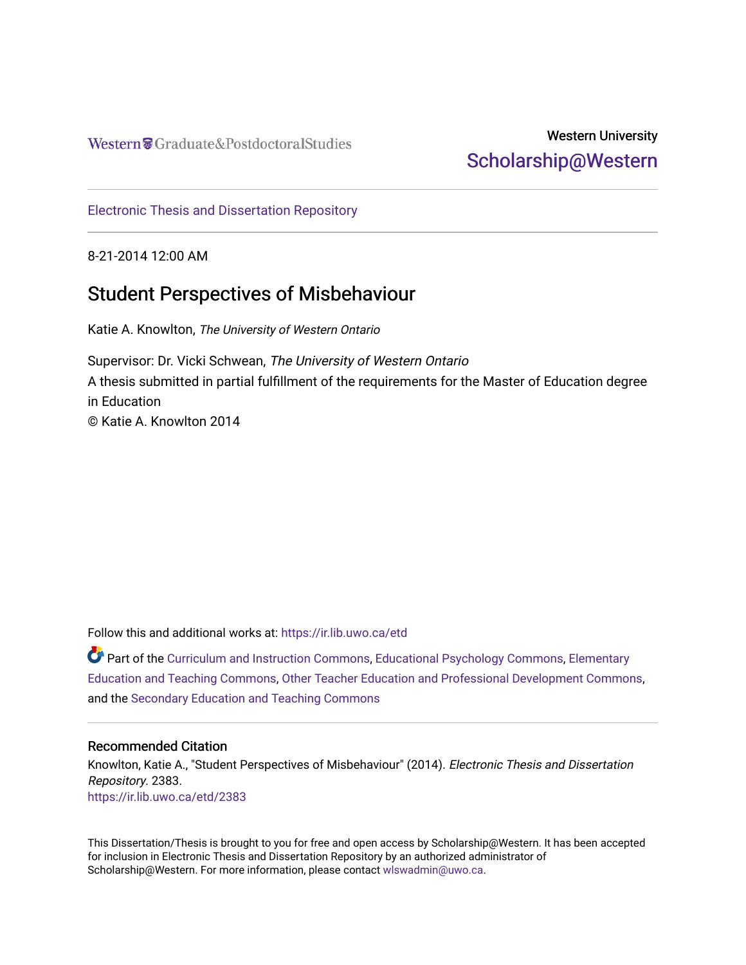Western Craduate&PostdoctoralStudies

## Western University [Scholarship@Western](https://ir.lib.uwo.ca/)

[Electronic Thesis and Dissertation Repository](https://ir.lib.uwo.ca/etd)

8-21-2014 12:00 AM

# Student Perspectives of Misbehaviour

Katie A. Knowlton, The University of Western Ontario

Supervisor: Dr. Vicki Schwean, The University of Western Ontario A thesis submitted in partial fulfillment of the requirements for the Master of Education degree in Education © Katie A. Knowlton 2014

Follow this and additional works at: [https://ir.lib.uwo.ca/etd](https://ir.lib.uwo.ca/etd?utm_source=ir.lib.uwo.ca%2Fetd%2F2383&utm_medium=PDF&utm_campaign=PDFCoverPages) 

Part of the [Curriculum and Instruction Commons,](http://network.bepress.com/hgg/discipline/786?utm_source=ir.lib.uwo.ca%2Fetd%2F2383&utm_medium=PDF&utm_campaign=PDFCoverPages) [Educational Psychology Commons,](http://network.bepress.com/hgg/discipline/798?utm_source=ir.lib.uwo.ca%2Fetd%2F2383&utm_medium=PDF&utm_campaign=PDFCoverPages) [Elementary](http://network.bepress.com/hgg/discipline/805?utm_source=ir.lib.uwo.ca%2Fetd%2F2383&utm_medium=PDF&utm_campaign=PDFCoverPages)  [Education and Teaching Commons,](http://network.bepress.com/hgg/discipline/805?utm_source=ir.lib.uwo.ca%2Fetd%2F2383&utm_medium=PDF&utm_campaign=PDFCoverPages) [Other Teacher Education and Professional Development Commons,](http://network.bepress.com/hgg/discipline/810?utm_source=ir.lib.uwo.ca%2Fetd%2F2383&utm_medium=PDF&utm_campaign=PDFCoverPages) and the [Secondary Education and Teaching Commons](http://network.bepress.com/hgg/discipline/809?utm_source=ir.lib.uwo.ca%2Fetd%2F2383&utm_medium=PDF&utm_campaign=PDFCoverPages) 

## Recommended Citation

Knowlton, Katie A., "Student Perspectives of Misbehaviour" (2014). Electronic Thesis and Dissertation Repository. 2383. [https://ir.lib.uwo.ca/etd/2383](https://ir.lib.uwo.ca/etd/2383?utm_source=ir.lib.uwo.ca%2Fetd%2F2383&utm_medium=PDF&utm_campaign=PDFCoverPages)

This Dissertation/Thesis is brought to you for free and open access by Scholarship@Western. It has been accepted for inclusion in Electronic Thesis and Dissertation Repository by an authorized administrator of Scholarship@Western. For more information, please contact [wlswadmin@uwo.ca.](mailto:wlswadmin@uwo.ca)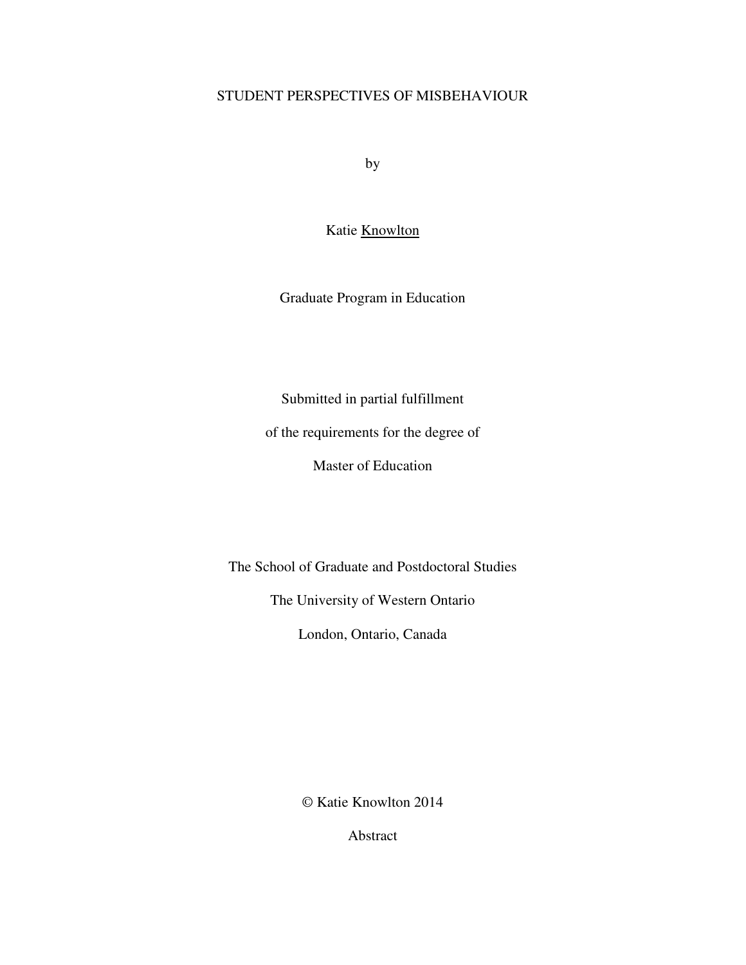## STUDENT PERSPECTIVES OF MISBEHAVIOUR

by

Katie Knowlton

Graduate Program in Education

Submitted in partial fulfillment

of the requirements for the degree of

Master of Education

The School of Graduate and Postdoctoral Studies

The University of Western Ontario

London, Ontario, Canada

© Katie Knowlton 2014

Abstract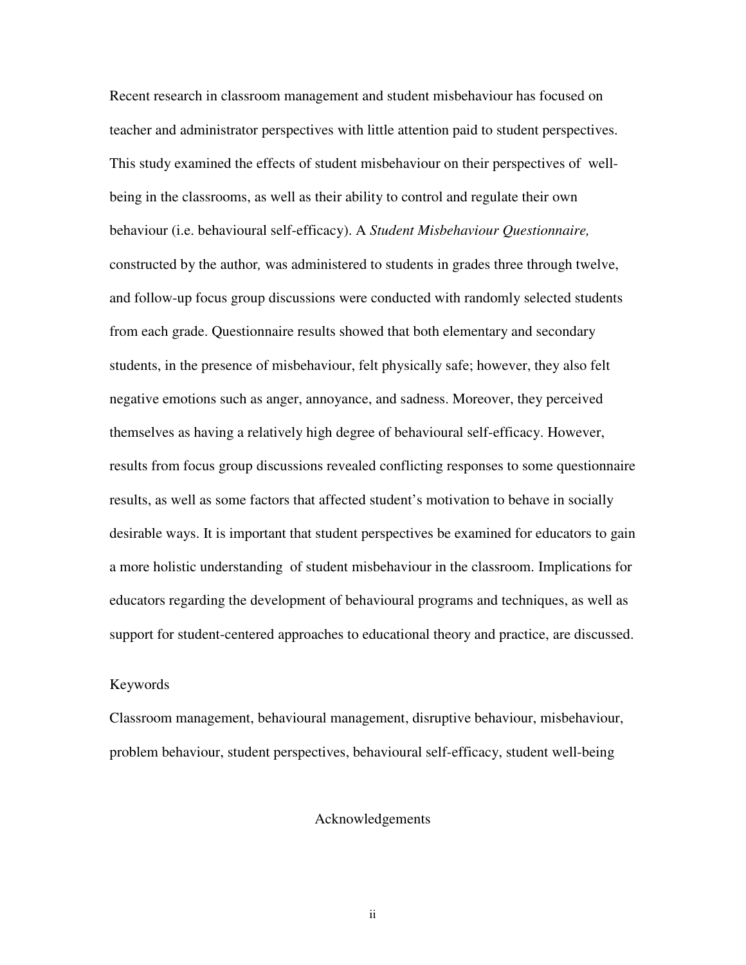Recent research in classroom management and student misbehaviour has focused on teacher and administrator perspectives with little attention paid to student perspectives. This study examined the effects of student misbehaviour on their perspectives of wellbeing in the classrooms, as well as their ability to control and regulate their own behaviour (i.e. behavioural self-efficacy). A *Student Misbehaviour Questionnaire,*  constructed by the author*,* was administered to students in grades three through twelve, and follow-up focus group discussions were conducted with randomly selected students from each grade. Questionnaire results showed that both elementary and secondary students, in the presence of misbehaviour, felt physically safe; however, they also felt negative emotions such as anger, annoyance, and sadness. Moreover, they perceived themselves as having a relatively high degree of behavioural self-efficacy. However, results from focus group discussions revealed conflicting responses to some questionnaire results, as well as some factors that affected student's motivation to behave in socially desirable ways. It is important that student perspectives be examined for educators to gain a more holistic understanding of student misbehaviour in the classroom. Implications for educators regarding the development of behavioural programs and techniques, as well as support for student-centered approaches to educational theory and practice, are discussed.

## Keywords

Classroom management, behavioural management, disruptive behaviour, misbehaviour, problem behaviour, student perspectives, behavioural self-efficacy, student well-being

## Acknowledgements

ii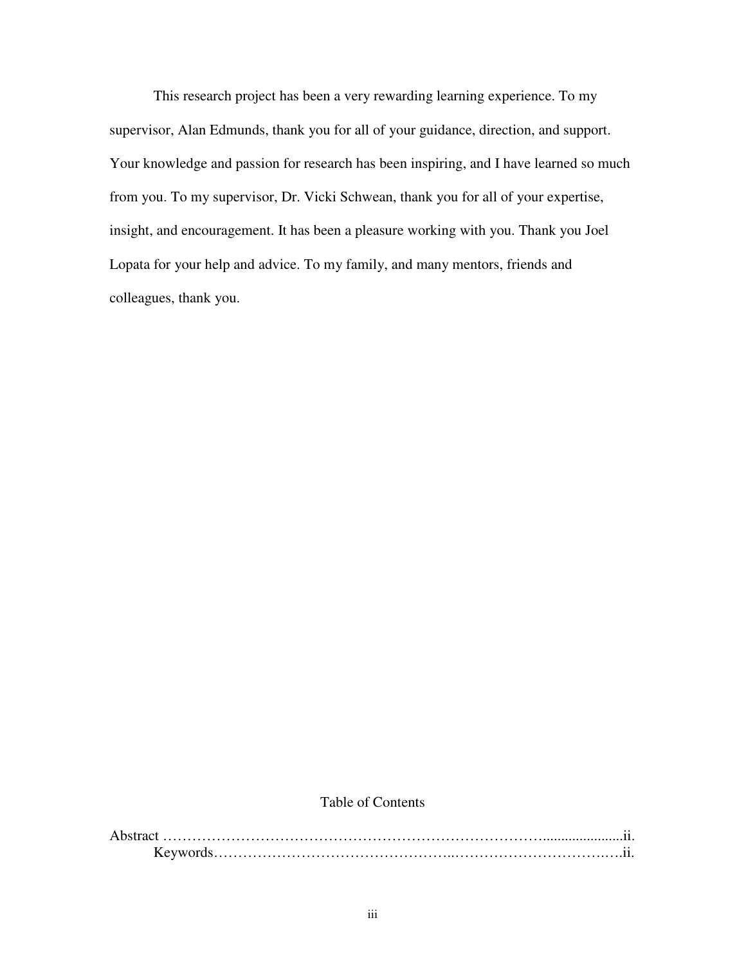This research project has been a very rewarding learning experience. To my supervisor, Alan Edmunds, thank you for all of your guidance, direction, and support. Your knowledge and passion for research has been inspiring, and I have learned so much from you. To my supervisor, Dr. Vicki Schwean, thank you for all of your expertise, insight, and encouragement. It has been a pleasure working with you. Thank you Joel Lopata for your help and advice. To my family, and many mentors, friends and colleagues, thank you.

## Table of Contents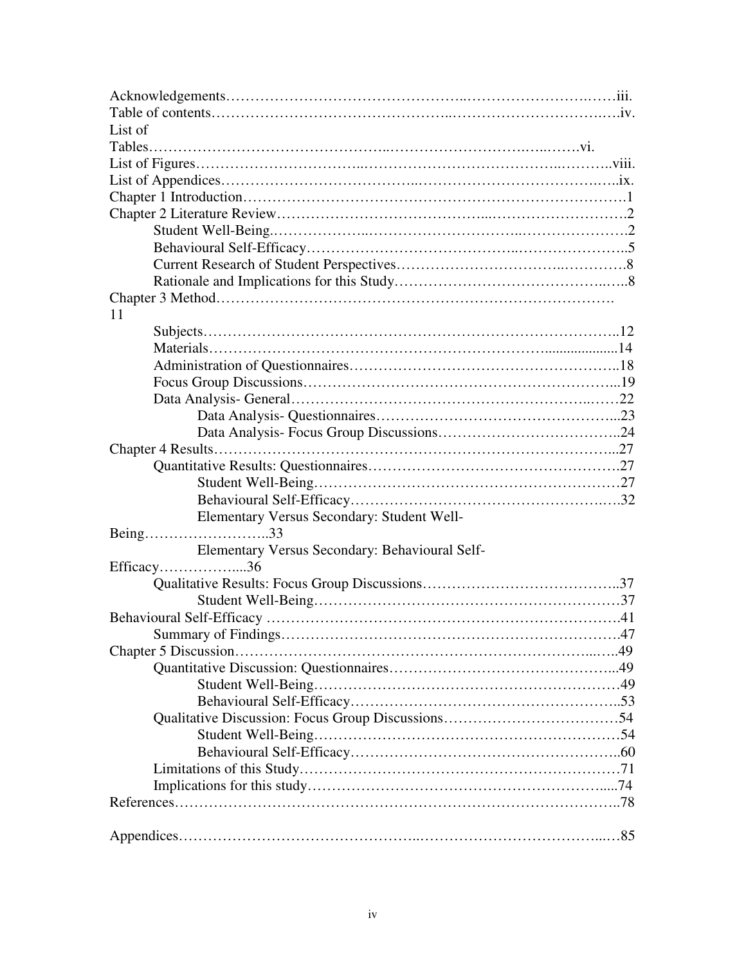| List of                                        |  |
|------------------------------------------------|--|
|                                                |  |
|                                                |  |
|                                                |  |
|                                                |  |
|                                                |  |
|                                                |  |
|                                                |  |
|                                                |  |
|                                                |  |
|                                                |  |
| 11                                             |  |
|                                                |  |
|                                                |  |
|                                                |  |
|                                                |  |
|                                                |  |
|                                                |  |
|                                                |  |
|                                                |  |
|                                                |  |
|                                                |  |
|                                                |  |
| Elementary Versus Secondary: Student Well-     |  |
| Being33                                        |  |
| Elementary Versus Secondary: Behavioural Self- |  |
| Efficacy36                                     |  |
|                                                |  |
|                                                |  |
|                                                |  |
|                                                |  |
|                                                |  |
|                                                |  |
|                                                |  |
|                                                |  |
|                                                |  |
|                                                |  |
|                                                |  |
|                                                |  |
|                                                |  |
|                                                |  |
|                                                |  |
|                                                |  |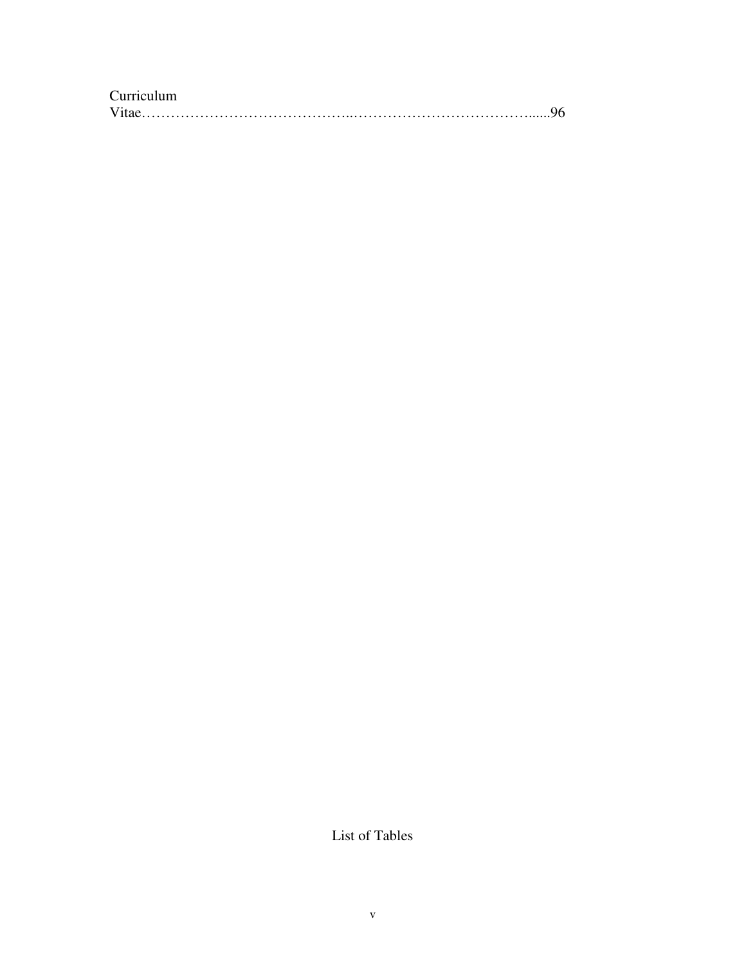| Curriculum |  |
|------------|--|
|            |  |

List of Tables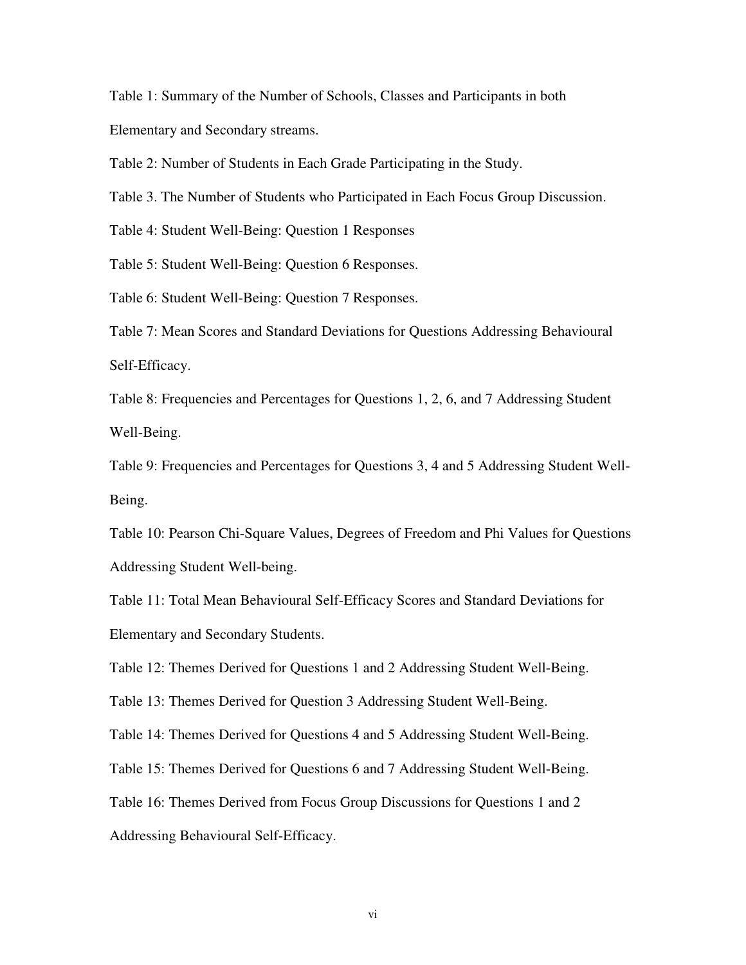Table 1: Summary of the Number of Schools, Classes and Participants in both Elementary and Secondary streams.

Table 2: Number of Students in Each Grade Participating in the Study.

Table 3. The Number of Students who Participated in Each Focus Group Discussion.

Table 4: Student Well-Being: Question 1 Responses

Table 5: Student Well-Being: Question 6 Responses.

Table 6: Student Well-Being: Question 7 Responses.

Table 7: Mean Scores and Standard Deviations for Questions Addressing Behavioural Self-Efficacy.

Table 8: Frequencies and Percentages for Questions 1, 2, 6, and 7 Addressing Student Well-Being.

Table 9: Frequencies and Percentages for Questions 3, 4 and 5 Addressing Student Well-Being.

Table 10: Pearson Chi-Square Values, Degrees of Freedom and Phi Values for Questions Addressing Student Well-being.

Table 11: Total Mean Behavioural Self-Efficacy Scores and Standard Deviations for Elementary and Secondary Students.

Table 12: Themes Derived for Questions 1 and 2 Addressing Student Well-Being.

Table 13: Themes Derived for Question 3 Addressing Student Well-Being.

Table 14: Themes Derived for Questions 4 and 5 Addressing Student Well-Being.

Table 15: Themes Derived for Questions 6 and 7 Addressing Student Well-Being.

Table 16: Themes Derived from Focus Group Discussions for Questions 1 and 2

Addressing Behavioural Self-Efficacy.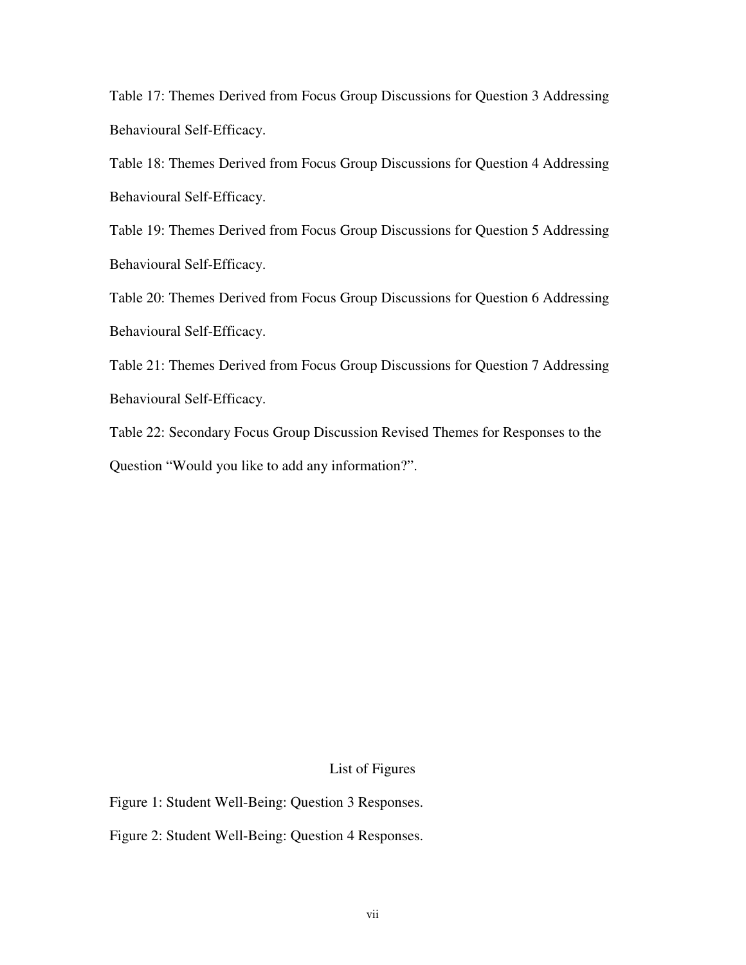Table 17: Themes Derived from Focus Group Discussions for Question 3 Addressing Behavioural Self-Efficacy.

Table 18: Themes Derived from Focus Group Discussions for Question 4 Addressing Behavioural Self-Efficacy.

Table 19: Themes Derived from Focus Group Discussions for Question 5 Addressing Behavioural Self-Efficacy.

Table 20: Themes Derived from Focus Group Discussions for Question 6 Addressing Behavioural Self-Efficacy.

Table 21: Themes Derived from Focus Group Discussions for Question 7 Addressing Behavioural Self-Efficacy.

Table 22: Secondary Focus Group Discussion Revised Themes for Responses to the Question "Would you like to add any information?".

## List of Figures

Figure 1: Student Well-Being: Question 3 Responses.

Figure 2: Student Well-Being: Question 4 Responses.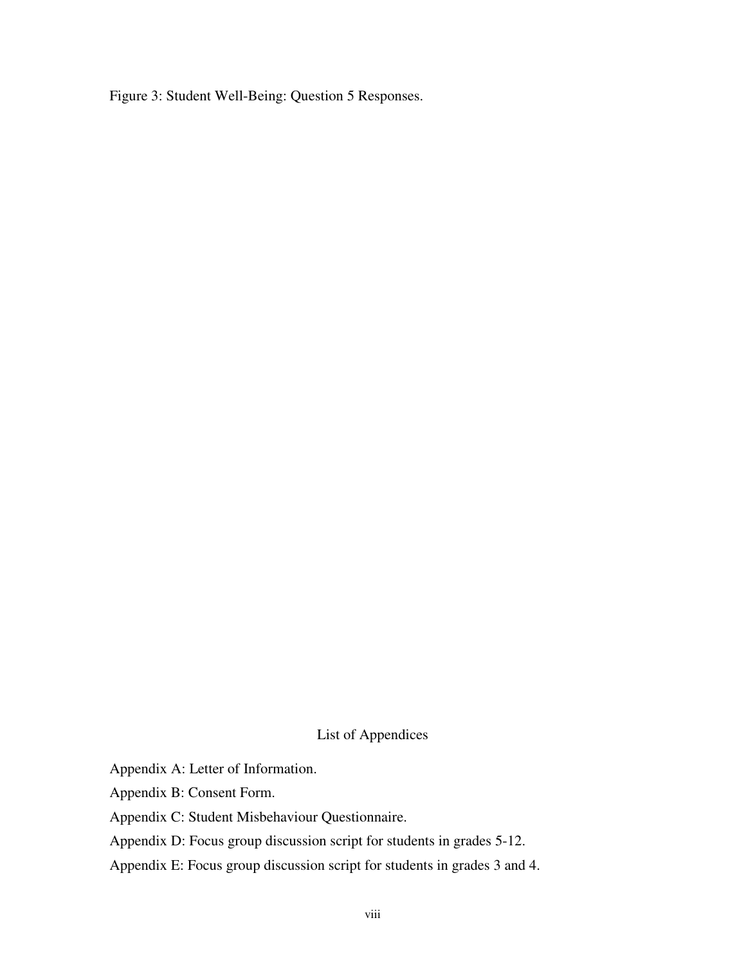Figure 3: Student Well-Being: Question 5 Responses.

List of Appendices

Appendix A: Letter of Information.

Appendix B: Consent Form.

Appendix C: Student Misbehaviour Questionnaire.

Appendix D: Focus group discussion script for students in grades 5-12.

Appendix E: Focus group discussion script for students in grades 3 and 4.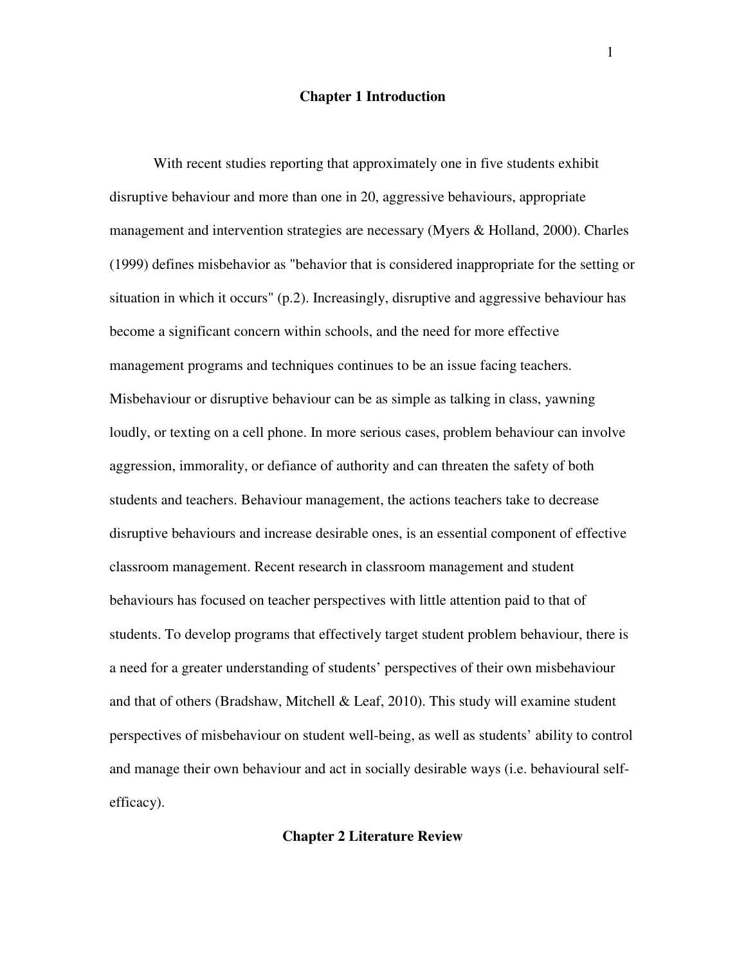#### **Chapter 1 Introduction**

 With recent studies reporting that approximately one in five students exhibit disruptive behaviour and more than one in 20, aggressive behaviours, appropriate management and intervention strategies are necessary (Myers & Holland, 2000). Charles (1999) defines misbehavior as "behavior that is considered inappropriate for the setting or situation in which it occurs" (p.2). Increasingly, disruptive and aggressive behaviour has become a significant concern within schools, and the need for more effective management programs and techniques continues to be an issue facing teachers. Misbehaviour or disruptive behaviour can be as simple as talking in class, yawning loudly, or texting on a cell phone. In more serious cases, problem behaviour can involve aggression, immorality, or defiance of authority and can threaten the safety of both students and teachers. Behaviour management, the actions teachers take to decrease disruptive behaviours and increase desirable ones, is an essential component of effective classroom management. Recent research in classroom management and student behaviours has focused on teacher perspectives with little attention paid to that of students. To develop programs that effectively target student problem behaviour, there is a need for a greater understanding of students' perspectives of their own misbehaviour and that of others (Bradshaw, Mitchell & Leaf, 2010). This study will examine student perspectives of misbehaviour on student well-being, as well as students' ability to control and manage their own behaviour and act in socially desirable ways (i.e. behavioural selfefficacy).

**Chapter 2 Literature Review**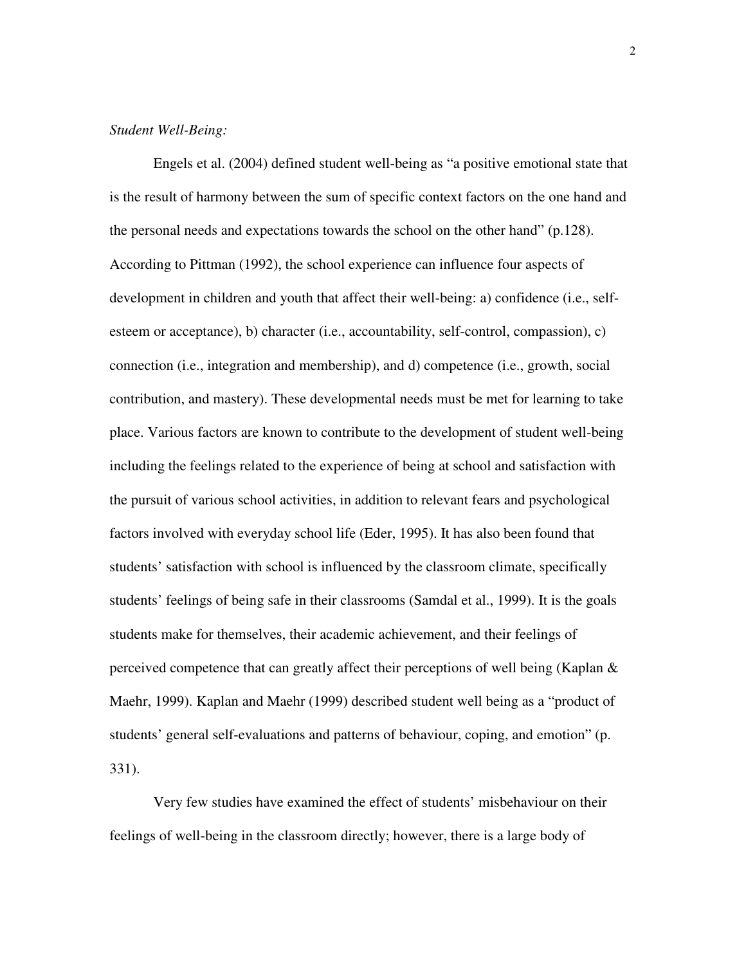## *Student Well-Being:*

 Engels et al. (2004) defined student well-being as "a positive emotional state that is the result of harmony between the sum of specific context factors on the one hand and the personal needs and expectations towards the school on the other hand" (p.128). According to Pittman (1992), the school experience can influence four aspects of development in children and youth that affect their well-being: a) confidence (i.e., selfesteem or acceptance), b) character (i.e., accountability, self-control, compassion), c) connection (i.e., integration and membership), and d) competence (i.e., growth, social contribution, and mastery). These developmental needs must be met for learning to take place. Various factors are known to contribute to the development of student well-being including the feelings related to the experience of being at school and satisfaction with the pursuit of various school activities, in addition to relevant fears and psychological factors involved with everyday school life (Eder, 1995). It has also been found that students' satisfaction with school is influenced by the classroom climate, specifically students' feelings of being safe in their classrooms (Samdal et al., 1999). It is the goals students make for themselves, their academic achievement, and their feelings of perceived competence that can greatly affect their perceptions of well being (Kaplan & Maehr, 1999). Kaplan and Maehr (1999) described student well being as a "product of students' general self-evaluations and patterns of behaviour, coping, and emotion" (p. 331).

 Very few studies have examined the effect of students' misbehaviour on their feelings of well-being in the classroom directly; however, there is a large body of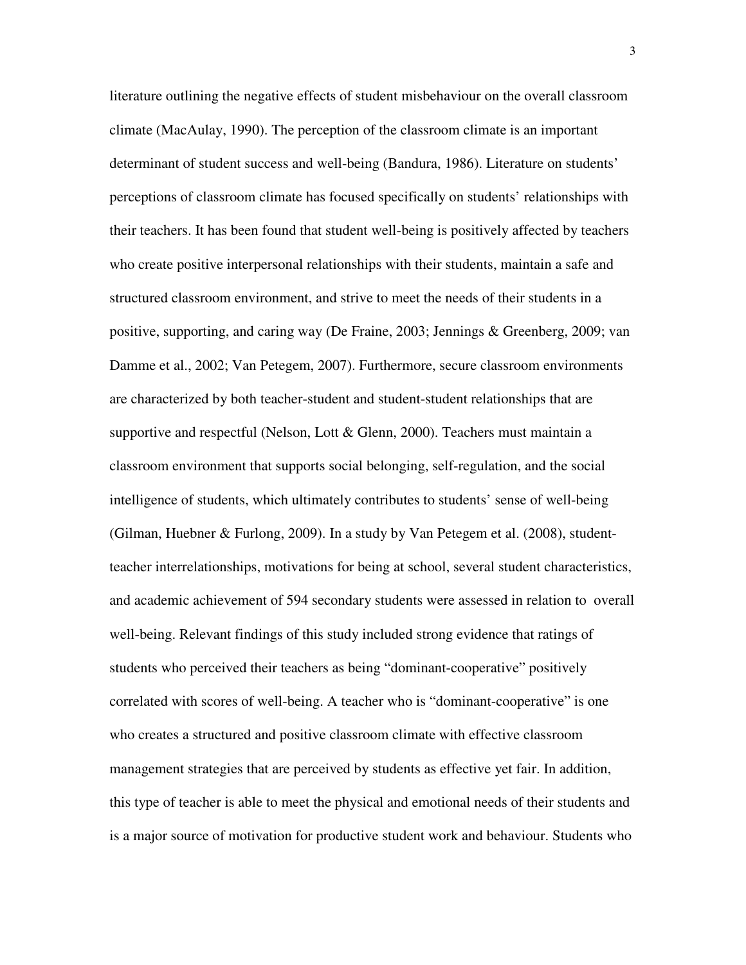literature outlining the negative effects of student misbehaviour on the overall classroom climate (MacAulay, 1990). The perception of the classroom climate is an important determinant of student success and well-being (Bandura, 1986). Literature on students' perceptions of classroom climate has focused specifically on students' relationships with their teachers. It has been found that student well-being is positively affected by teachers who create positive interpersonal relationships with their students, maintain a safe and structured classroom environment, and strive to meet the needs of their students in a positive, supporting, and caring way (De Fraine, 2003; Jennings & Greenberg, 2009; van Damme et al., 2002; Van Petegem, 2007). Furthermore, secure classroom environments are characterized by both teacher-student and student-student relationships that are supportive and respectful (Nelson, Lott & Glenn, 2000). Teachers must maintain a classroom environment that supports social belonging, self-regulation, and the social intelligence of students, which ultimately contributes to students' sense of well-being (Gilman, Huebner & Furlong, 2009). In a study by Van Petegem et al. (2008), studentteacher interrelationships, motivations for being at school, several student characteristics, and academic achievement of 594 secondary students were assessed in relation to overall well-being. Relevant findings of this study included strong evidence that ratings of students who perceived their teachers as being "dominant-cooperative" positively correlated with scores of well-being. A teacher who is "dominant-cooperative" is one who creates a structured and positive classroom climate with effective classroom management strategies that are perceived by students as effective yet fair. In addition, this type of teacher is able to meet the physical and emotional needs of their students and is a major source of motivation for productive student work and behaviour. Students who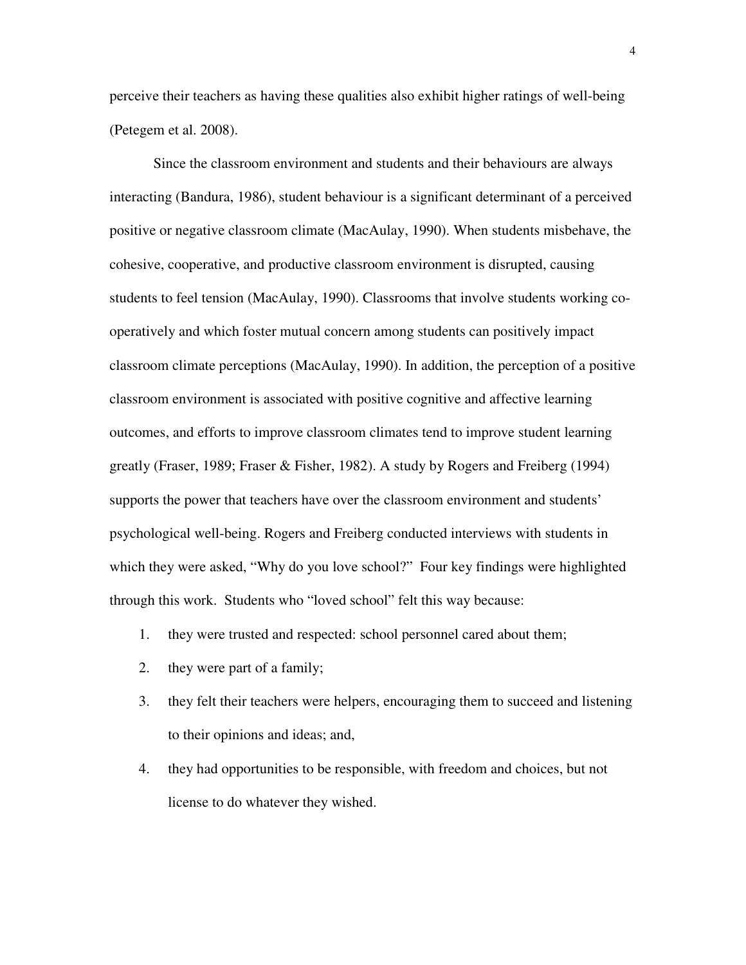perceive their teachers as having these qualities also exhibit higher ratings of well-being (Petegem et al. 2008).

 Since the classroom environment and students and their behaviours are always interacting (Bandura, 1986), student behaviour is a significant determinant of a perceived positive or negative classroom climate (MacAulay, 1990). When students misbehave, the cohesive, cooperative, and productive classroom environment is disrupted, causing students to feel tension (MacAulay, 1990). Classrooms that involve students working cooperatively and which foster mutual concern among students can positively impact classroom climate perceptions (MacAulay, 1990). In addition, the perception of a positive classroom environment is associated with positive cognitive and affective learning outcomes, and efforts to improve classroom climates tend to improve student learning greatly (Fraser, 1989; Fraser & Fisher, 1982). A study by Rogers and Freiberg (1994) supports the power that teachers have over the classroom environment and students' psychological well-being. Rogers and Freiberg conducted interviews with students in which they were asked, "Why do you love school?" Four key findings were highlighted through this work. Students who "loved school" felt this way because:

- 1. they were trusted and respected: school personnel cared about them;
- 2. they were part of a family;
- 3. they felt their teachers were helpers, encouraging them to succeed and listening to their opinions and ideas; and,
- 4. they had opportunities to be responsible, with freedom and choices, but not license to do whatever they wished.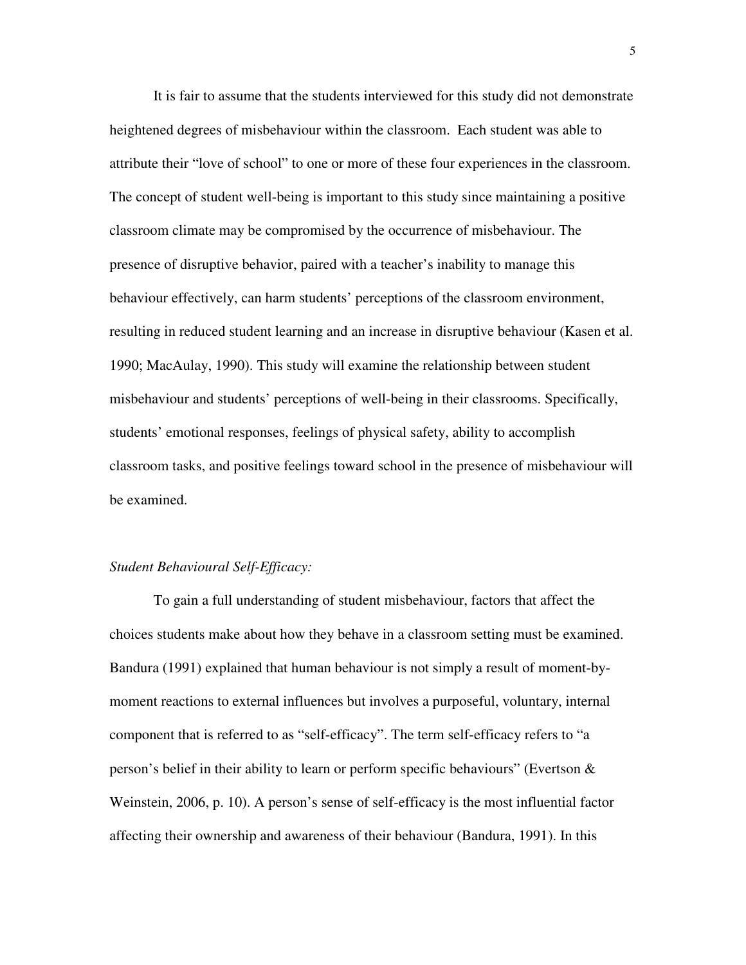It is fair to assume that the students interviewed for this study did not demonstrate heightened degrees of misbehaviour within the classroom. Each student was able to attribute their "love of school" to one or more of these four experiences in the classroom. The concept of student well-being is important to this study since maintaining a positive classroom climate may be compromised by the occurrence of misbehaviour. The presence of disruptive behavior, paired with a teacher's inability to manage this behaviour effectively, can harm students' perceptions of the classroom environment, resulting in reduced student learning and an increase in disruptive behaviour (Kasen et al. 1990; MacAulay, 1990). This study will examine the relationship between student misbehaviour and students' perceptions of well-being in their classrooms. Specifically, students' emotional responses, feelings of physical safety, ability to accomplish classroom tasks, and positive feelings toward school in the presence of misbehaviour will be examined.

## *Student Behavioural Self-Efficacy:*

 To gain a full understanding of student misbehaviour, factors that affect the choices students make about how they behave in a classroom setting must be examined. Bandura (1991) explained that human behaviour is not simply a result of moment-bymoment reactions to external influences but involves a purposeful, voluntary, internal component that is referred to as "self-efficacy". The term self-efficacy refers to "a person's belief in their ability to learn or perform specific behaviours" (Evertson & Weinstein, 2006, p. 10). A person's sense of self-efficacy is the most influential factor affecting their ownership and awareness of their behaviour (Bandura, 1991). In this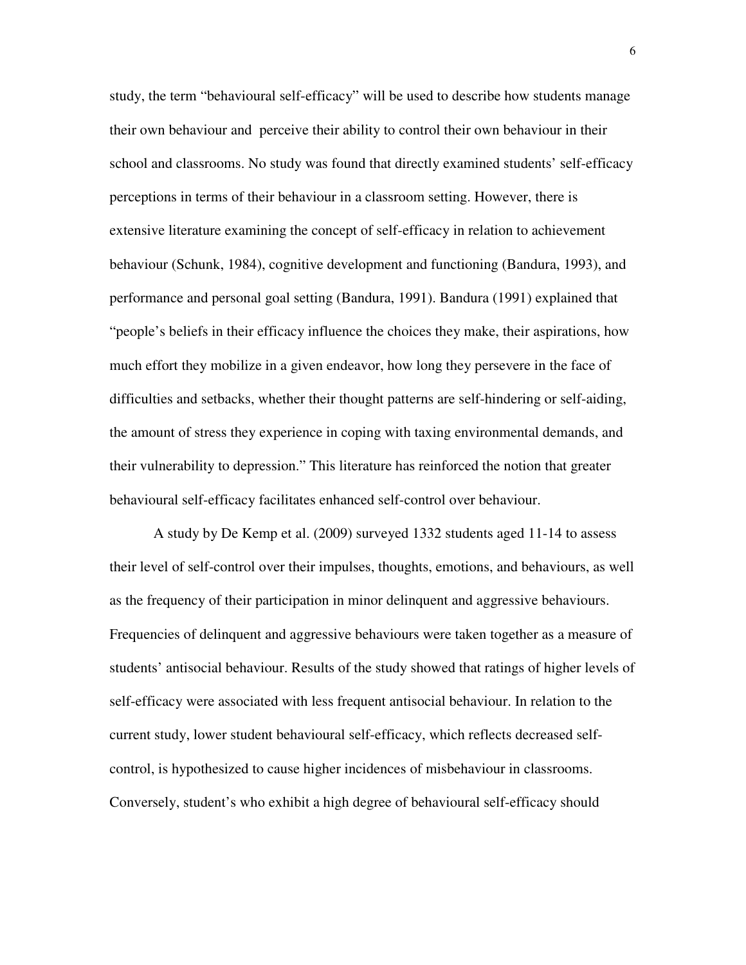study, the term "behavioural self-efficacy" will be used to describe how students manage their own behaviour and perceive their ability to control their own behaviour in their school and classrooms. No study was found that directly examined students' self-efficacy perceptions in terms of their behaviour in a classroom setting. However, there is extensive literature examining the concept of self-efficacy in relation to achievement behaviour (Schunk, 1984), cognitive development and functioning (Bandura, 1993), and performance and personal goal setting (Bandura, 1991). Bandura (1991) explained that "people's beliefs in their efficacy influence the choices they make, their aspirations, how much effort they mobilize in a given endeavor, how long they persevere in the face of difficulties and setbacks, whether their thought patterns are self-hindering or self-aiding, the amount of stress they experience in coping with taxing environmental demands, and their vulnerability to depression." This literature has reinforced the notion that greater behavioural self-efficacy facilitates enhanced self-control over behaviour.

 A study by De Kemp et al. (2009) surveyed 1332 students aged 11-14 to assess their level of self-control over their impulses, thoughts, emotions, and behaviours, as well as the frequency of their participation in minor delinquent and aggressive behaviours. Frequencies of delinquent and aggressive behaviours were taken together as a measure of students' antisocial behaviour. Results of the study showed that ratings of higher levels of self-efficacy were associated with less frequent antisocial behaviour. In relation to the current study, lower student behavioural self-efficacy, which reflects decreased selfcontrol, is hypothesized to cause higher incidences of misbehaviour in classrooms. Conversely, student's who exhibit a high degree of behavioural self-efficacy should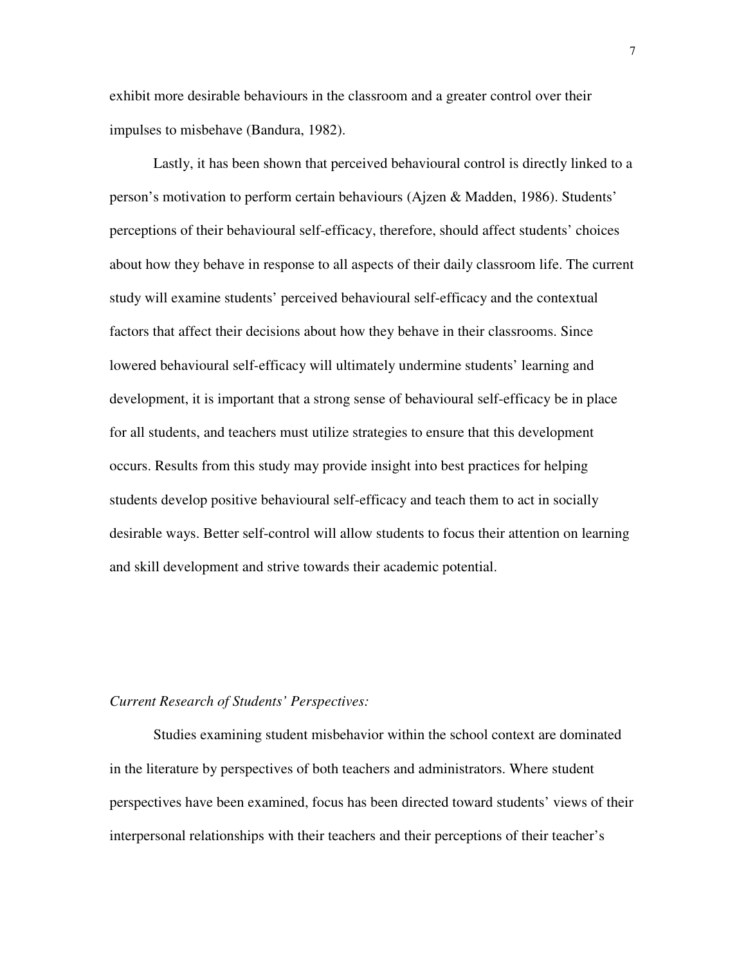exhibit more desirable behaviours in the classroom and a greater control over their impulses to misbehave (Bandura, 1982).

 Lastly, it has been shown that perceived behavioural control is directly linked to a person's motivation to perform certain behaviours (Ajzen & Madden, 1986). Students' perceptions of their behavioural self-efficacy, therefore, should affect students' choices about how they behave in response to all aspects of their daily classroom life. The current study will examine students' perceived behavioural self-efficacy and the contextual factors that affect their decisions about how they behave in their classrooms. Since lowered behavioural self-efficacy will ultimately undermine students' learning and development, it is important that a strong sense of behavioural self-efficacy be in place for all students, and teachers must utilize strategies to ensure that this development occurs. Results from this study may provide insight into best practices for helping students develop positive behavioural self-efficacy and teach them to act in socially desirable ways. Better self-control will allow students to focus their attention on learning and skill development and strive towards their academic potential.

## *Current Research of Students' Perspectives:*

 Studies examining student misbehavior within the school context are dominated in the literature by perspectives of both teachers and administrators. Where student perspectives have been examined, focus has been directed toward students' views of their interpersonal relationships with their teachers and their perceptions of their teacher's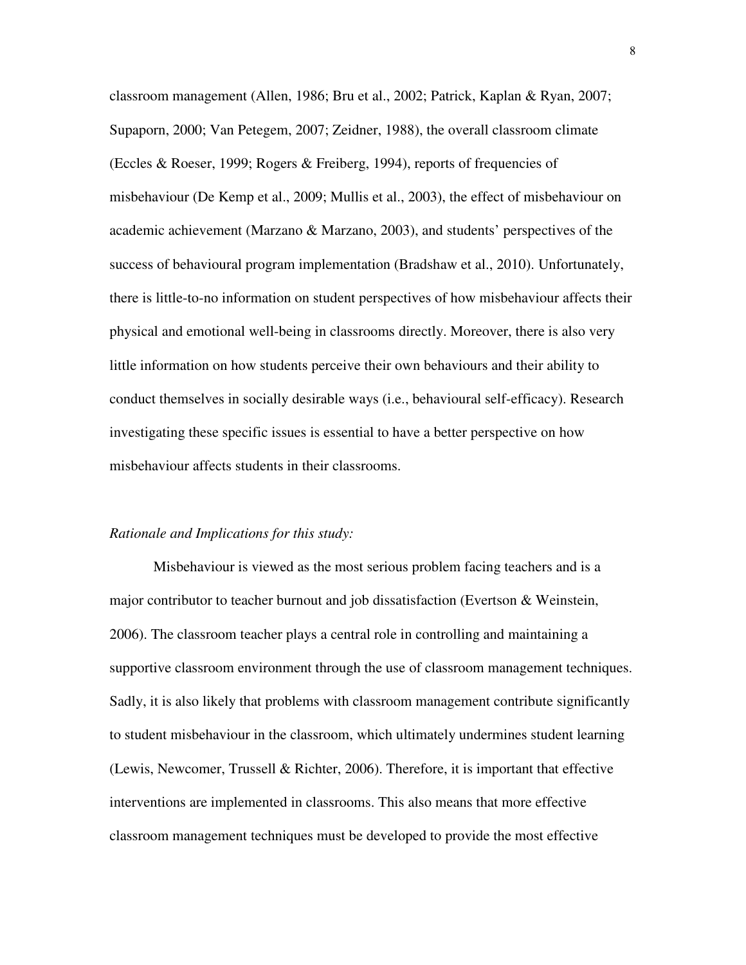classroom management (Allen, 1986; Bru et al., 2002; Patrick, Kaplan & Ryan, 2007; Supaporn, 2000; Van Petegem, 2007; Zeidner, 1988), the overall classroom climate (Eccles & Roeser, 1999; Rogers & Freiberg, 1994), reports of frequencies of misbehaviour (De Kemp et al., 2009; Mullis et al., 2003), the effect of misbehaviour on academic achievement (Marzano & Marzano, 2003), and students' perspectives of the success of behavioural program implementation (Bradshaw et al., 2010). Unfortunately, there is little-to-no information on student perspectives of how misbehaviour affects their physical and emotional well-being in classrooms directly. Moreover, there is also very little information on how students perceive their own behaviours and their ability to conduct themselves in socially desirable ways (i.e., behavioural self-efficacy). Research investigating these specific issues is essential to have a better perspective on how misbehaviour affects students in their classrooms.

#### *Rationale and Implications for this study:*

 Misbehaviour is viewed as the most serious problem facing teachers and is a major contributor to teacher burnout and job dissatisfaction (Evertson & Weinstein, 2006). The classroom teacher plays a central role in controlling and maintaining a supportive classroom environment through the use of classroom management techniques. Sadly, it is also likely that problems with classroom management contribute significantly to student misbehaviour in the classroom, which ultimately undermines student learning (Lewis, Newcomer, Trussell & Richter, 2006). Therefore, it is important that effective interventions are implemented in classrooms. This also means that more effective classroom management techniques must be developed to provide the most effective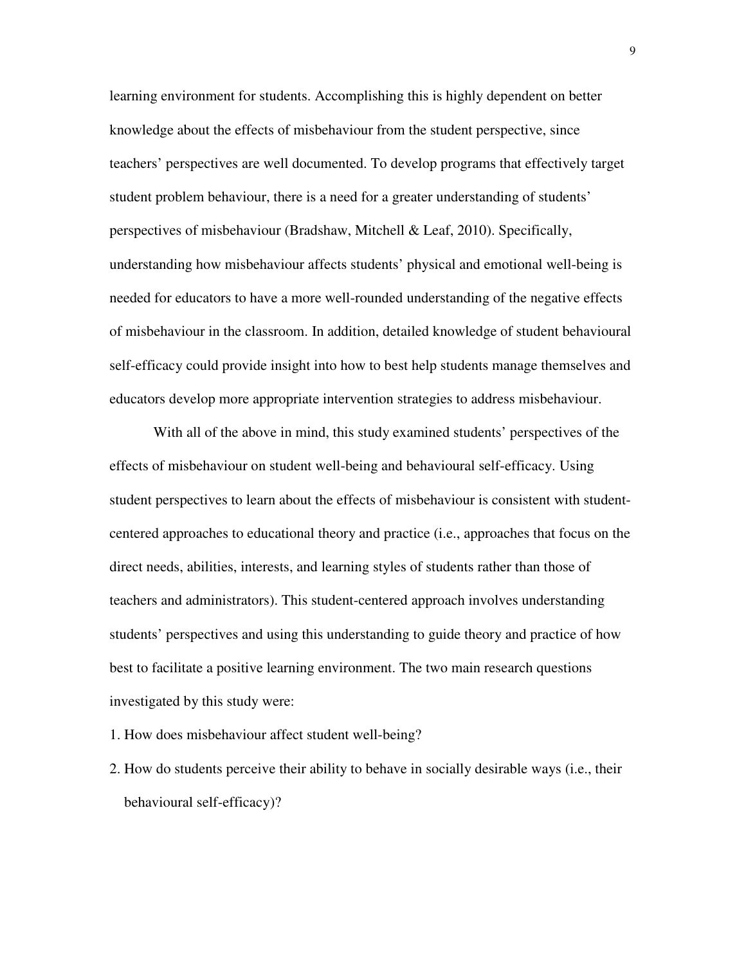learning environment for students. Accomplishing this is highly dependent on better knowledge about the effects of misbehaviour from the student perspective, since teachers' perspectives are well documented. To develop programs that effectively target student problem behaviour, there is a need for a greater understanding of students' perspectives of misbehaviour (Bradshaw, Mitchell & Leaf, 2010). Specifically, understanding how misbehaviour affects students' physical and emotional well-being is needed for educators to have a more well-rounded understanding of the negative effects of misbehaviour in the classroom. In addition, detailed knowledge of student behavioural self-efficacy could provide insight into how to best help students manage themselves and educators develop more appropriate intervention strategies to address misbehaviour.

 With all of the above in mind, this study examined students' perspectives of the effects of misbehaviour on student well-being and behavioural self-efficacy. Using student perspectives to learn about the effects of misbehaviour is consistent with studentcentered approaches to educational theory and practice (i.e., approaches that focus on the direct needs, abilities, interests, and learning styles of students rather than those of teachers and administrators). This student-centered approach involves understanding students' perspectives and using this understanding to guide theory and practice of how best to facilitate a positive learning environment. The two main research questions investigated by this study were:

- 1. How does misbehaviour affect student well-being?
- 2. How do students perceive their ability to behave in socially desirable ways (i.e., their behavioural self-efficacy)?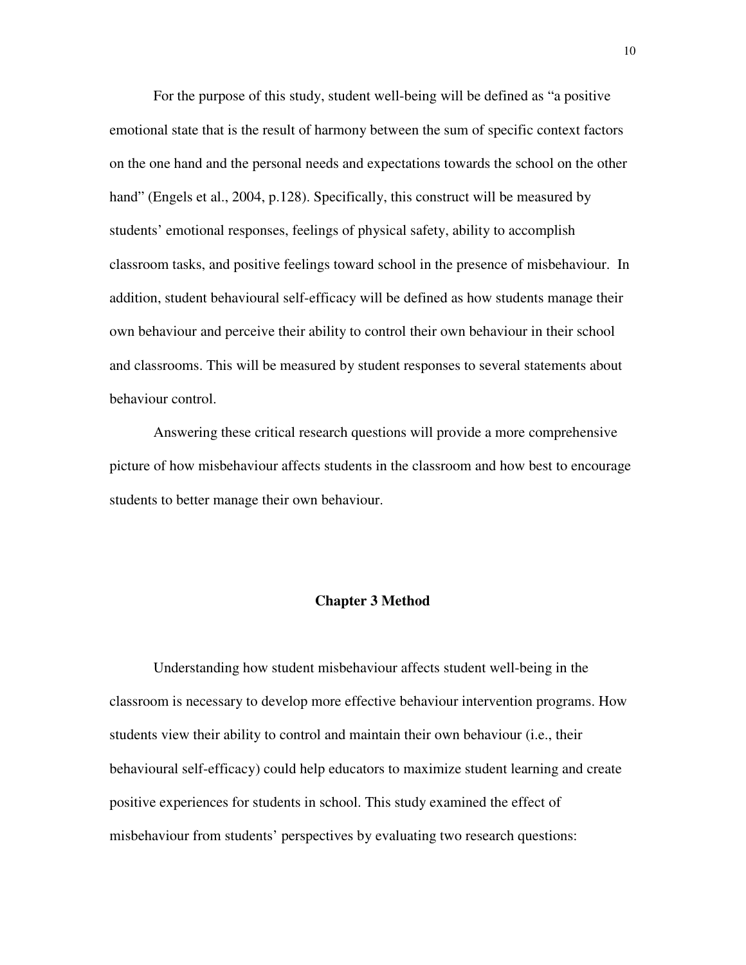For the purpose of this study, student well-being will be defined as "a positive emotional state that is the result of harmony between the sum of specific context factors on the one hand and the personal needs and expectations towards the school on the other hand" (Engels et al., 2004, p.128). Specifically, this construct will be measured by students' emotional responses, feelings of physical safety, ability to accomplish classroom tasks, and positive feelings toward school in the presence of misbehaviour. In addition, student behavioural self-efficacy will be defined as how students manage their own behaviour and perceive their ability to control their own behaviour in their school and classrooms. This will be measured by student responses to several statements about behaviour control.

 Answering these critical research questions will provide a more comprehensive picture of how misbehaviour affects students in the classroom and how best to encourage students to better manage their own behaviour.

#### **Chapter 3 Method**

 Understanding how student misbehaviour affects student well-being in the classroom is necessary to develop more effective behaviour intervention programs. How students view their ability to control and maintain their own behaviour (i.e., their behavioural self-efficacy) could help educators to maximize student learning and create positive experiences for students in school. This study examined the effect of misbehaviour from students' perspectives by evaluating two research questions: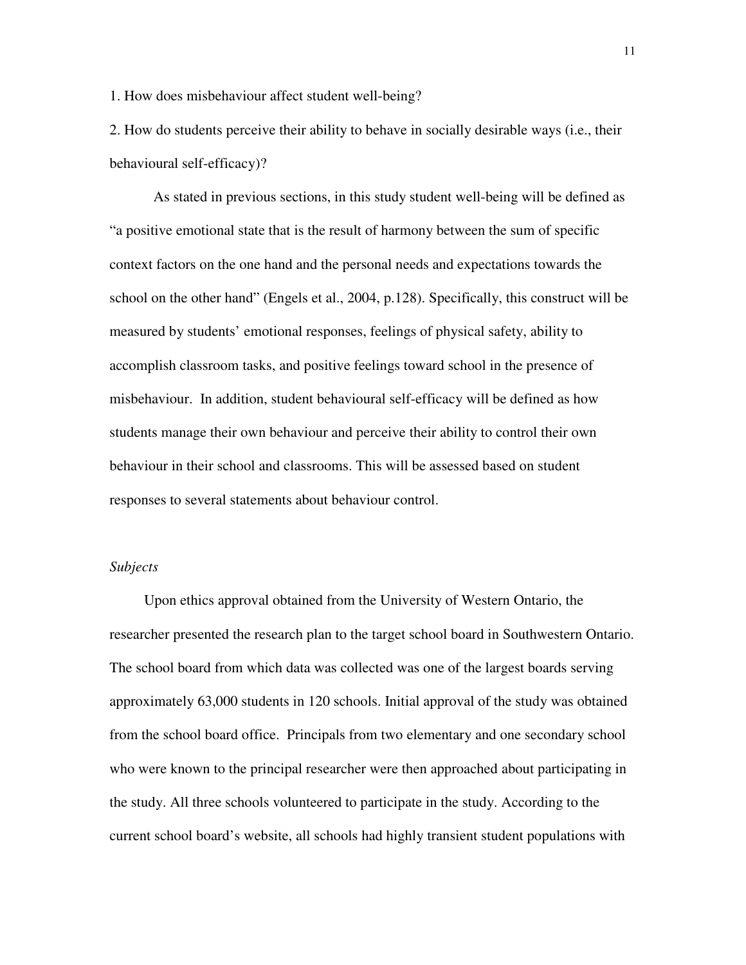1. How does misbehaviour affect student well-being?

2. How do students perceive their ability to behave in socially desirable ways (i.e., their behavioural self-efficacy)?

 As stated in previous sections, in this study student well-being will be defined as "a positive emotional state that is the result of harmony between the sum of specific context factors on the one hand and the personal needs and expectations towards the school on the other hand" (Engels et al., 2004, p.128). Specifically, this construct will be measured by students' emotional responses, feelings of physical safety, ability to accomplish classroom tasks, and positive feelings toward school in the presence of misbehaviour. In addition, student behavioural self-efficacy will be defined as how students manage their own behaviour and perceive their ability to control their own behaviour in their school and classrooms. This will be assessed based on student responses to several statements about behaviour control.

## *Subjects*

Upon ethics approval obtained from the University of Western Ontario, the researcher presented the research plan to the target school board in Southwestern Ontario. The school board from which data was collected was one of the largest boards serving approximately 63,000 students in 120 schools. Initial approval of the study was obtained from the school board office. Principals from two elementary and one secondary school who were known to the principal researcher were then approached about participating in the study. All three schools volunteered to participate in the study. According to the current school board's website, all schools had highly transient student populations with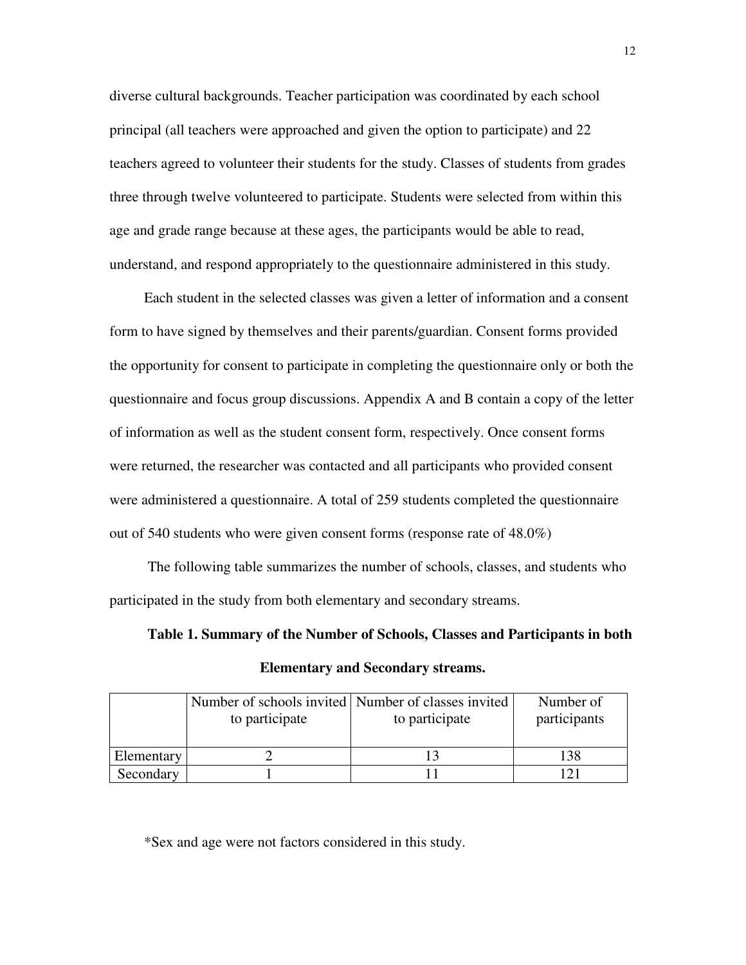diverse cultural backgrounds. Teacher participation was coordinated by each school principal (all teachers were approached and given the option to participate) and 22 teachers agreed to volunteer their students for the study. Classes of students from grades three through twelve volunteered to participate. Students were selected from within this age and grade range because at these ages, the participants would be able to read, understand, and respond appropriately to the questionnaire administered in this study.

Each student in the selected classes was given a letter of information and a consent form to have signed by themselves and their parents/guardian. Consent forms provided the opportunity for consent to participate in completing the questionnaire only or both the questionnaire and focus group discussions. Appendix A and B contain a copy of the letter of information as well as the student consent form, respectively. Once consent forms were returned, the researcher was contacted and all participants who provided consent were administered a questionnaire. A total of 259 students completed the questionnaire out of 540 students who were given consent forms (response rate of 48.0%)

 The following table summarizes the number of schools, classes, and students who participated in the study from both elementary and secondary streams.

**Table 1. Summary of the Number of Schools, Classes and Participants in both Elementary and Secondary streams.** 

|            | Number of schools invited Number of classes invited |                | Number of    |
|------------|-----------------------------------------------------|----------------|--------------|
|            | to participate                                      | to participate | participants |
|            |                                                     |                |              |
| Elementary |                                                     |                | 138          |
| Secondary  |                                                     |                | 1 ລາ         |

\*Sex and age were not factors considered in this study.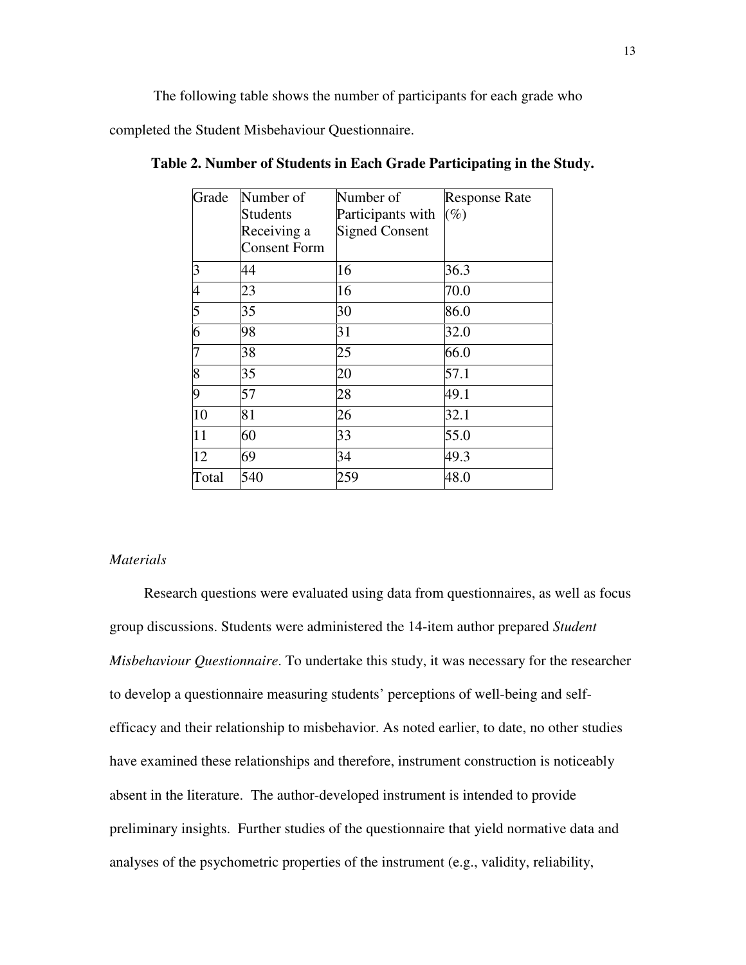The following table shows the number of participants for each grade who

completed the Student Misbehaviour Questionnaire.

| Grade                    | Number of           | Number of             | <b>Response Rate</b> |
|--------------------------|---------------------|-----------------------|----------------------|
|                          | Students            | Participants with     | $(\%)$               |
|                          | Receiving a         | <b>Signed Consent</b> |                      |
|                          | <b>Consent Form</b> |                       |                      |
| 3                        | 44                  | 16                    | 36.3                 |
| $\overline{\mathcal{A}}$ | 23                  | 16                    | 70.0                 |
| $\overline{5}$           | 35                  | 30                    | 86.0                 |
| 6                        | 98                  | 31                    | 32.0                 |
| 7                        | 38                  | 25                    | 66.0                 |
| $\overline{8}$           | 35                  | 20                    | 57.1                 |
| 9                        | 57                  | 28                    | 49.1                 |
| 10                       | 81                  | 26                    | 32.1                 |
| $\overline{11}$          | 60                  | 33                    | 55.0                 |
| 12                       | 69                  | 34                    | 49.3                 |
| Total                    | 540                 | 259                   | 48.0                 |

**Table 2. Number of Students in Each Grade Participating in the Study.** 

## *Materials*

Research questions were evaluated using data from questionnaires, as well as focus group discussions. Students were administered the 14-item author prepared *Student Misbehaviour Questionnaire*. To undertake this study, it was necessary for the researcher to develop a questionnaire measuring students' perceptions of well-being and selfefficacy and their relationship to misbehavior. As noted earlier, to date, no other studies have examined these relationships and therefore, instrument construction is noticeably absent in the literature. The author-developed instrument is intended to provide preliminary insights. Further studies of the questionnaire that yield normative data and analyses of the psychometric properties of the instrument (e.g., validity, reliability,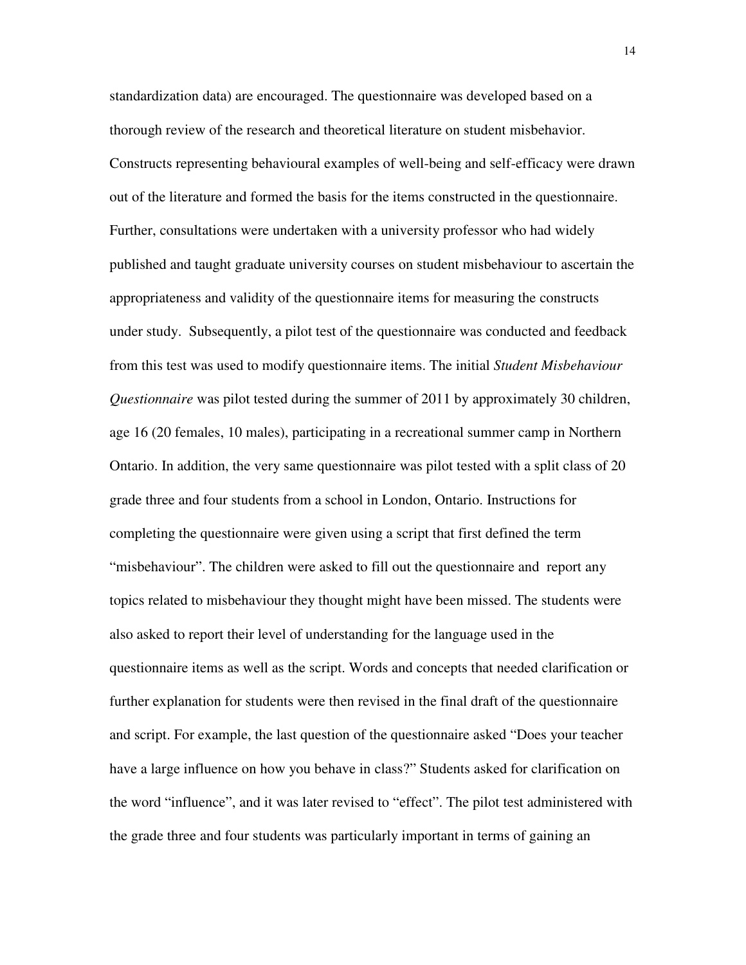standardization data) are encouraged. The questionnaire was developed based on a thorough review of the research and theoretical literature on student misbehavior. Constructs representing behavioural examples of well-being and self-efficacy were drawn out of the literature and formed the basis for the items constructed in the questionnaire. Further, consultations were undertaken with a university professor who had widely published and taught graduate university courses on student misbehaviour to ascertain the appropriateness and validity of the questionnaire items for measuring the constructs under study. Subsequently, a pilot test of the questionnaire was conducted and feedback from this test was used to modify questionnaire items. The initial *Student Misbehaviour Questionnaire* was pilot tested during the summer of 2011 by approximately 30 children, age 16 (20 females, 10 males), participating in a recreational summer camp in Northern Ontario. In addition, the very same questionnaire was pilot tested with a split class of 20 grade three and four students from a school in London, Ontario. Instructions for completing the questionnaire were given using a script that first defined the term "misbehaviour". The children were asked to fill out the questionnaire and report any topics related to misbehaviour they thought might have been missed. The students were also asked to report their level of understanding for the language used in the questionnaire items as well as the script. Words and concepts that needed clarification or further explanation for students were then revised in the final draft of the questionnaire and script. For example, the last question of the questionnaire asked "Does your teacher have a large influence on how you behave in class?" Students asked for clarification on the word "influence", and it was later revised to "effect". The pilot test administered with the grade three and four students was particularly important in terms of gaining an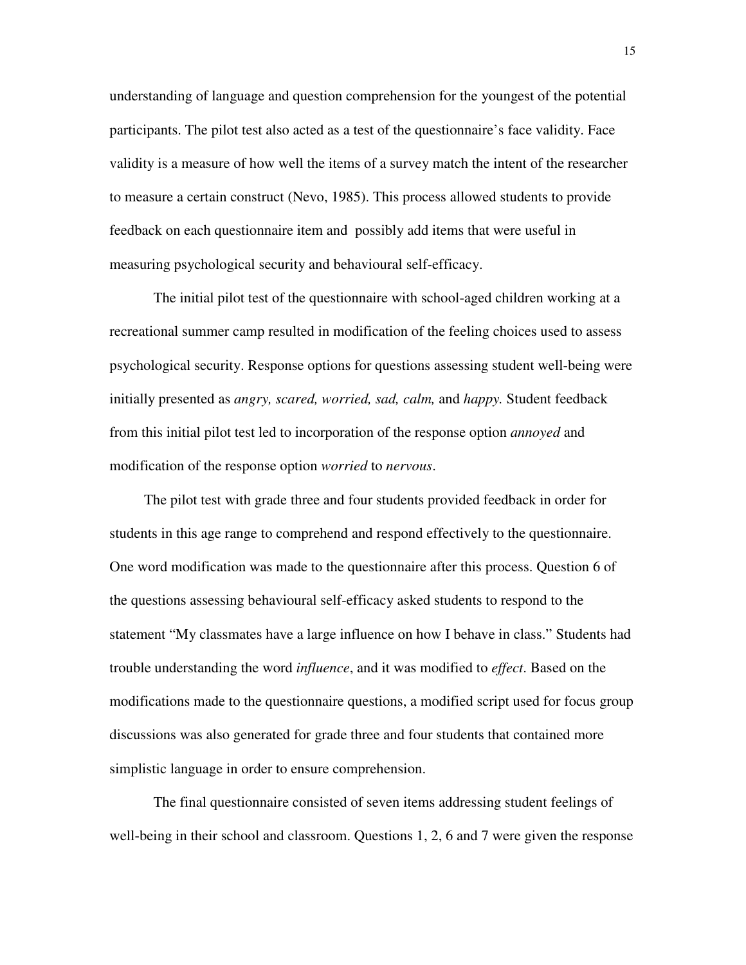understanding of language and question comprehension for the youngest of the potential participants. The pilot test also acted as a test of the questionnaire's face validity. Face validity is a measure of how well the items of a survey match the intent of the researcher to measure a certain construct (Nevo, 1985). This process allowed students to provide feedback on each questionnaire item and possibly add items that were useful in measuring psychological security and behavioural self-efficacy.

 The initial pilot test of the questionnaire with school-aged children working at a recreational summer camp resulted in modification of the feeling choices used to assess psychological security. Response options for questions assessing student well-being were initially presented as *angry, scared, worried, sad, calm,* and *happy.* Student feedback from this initial pilot test led to incorporation of the response option *annoyed* and modification of the response option *worried* to *nervous*.

The pilot test with grade three and four students provided feedback in order for students in this age range to comprehend and respond effectively to the questionnaire. One word modification was made to the questionnaire after this process. Question 6 of the questions assessing behavioural self-efficacy asked students to respond to the statement "My classmates have a large influence on how I behave in class." Students had trouble understanding the word *influence*, and it was modified to *effect*. Based on the modifications made to the questionnaire questions, a modified script used for focus group discussions was also generated for grade three and four students that contained more simplistic language in order to ensure comprehension.

 The final questionnaire consisted of seven items addressing student feelings of well-being in their school and classroom. Questions 1, 2, 6 and 7 were given the response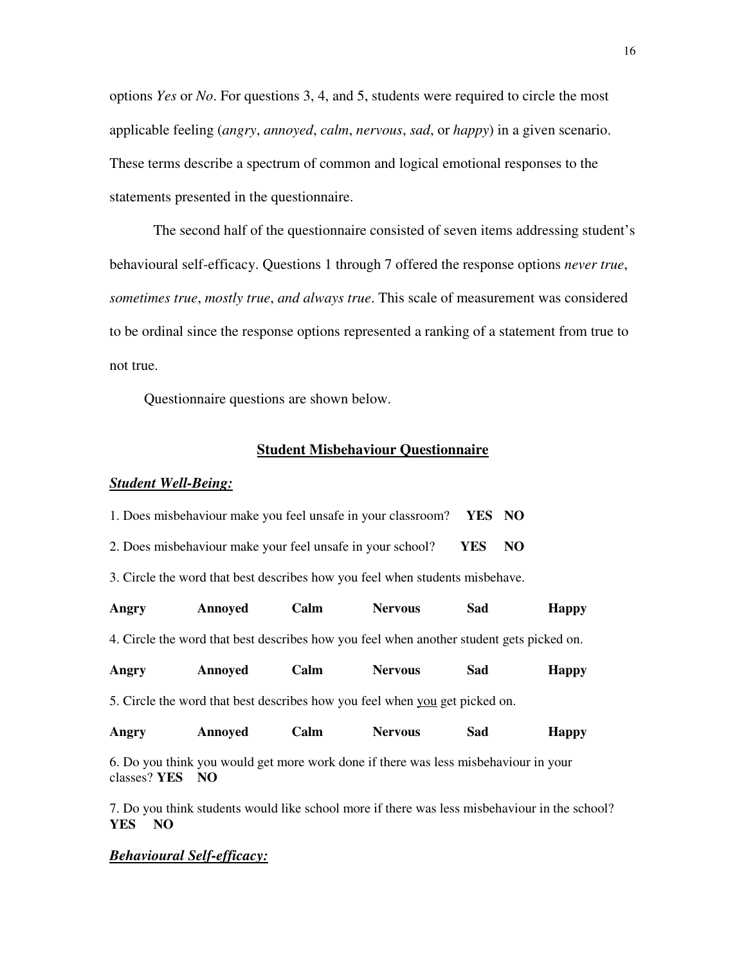options *Yes* or *No*. For questions 3, 4, and 5, students were required to circle the most applicable feeling (*angry*, *annoyed*, *calm*, *nervous*, *sad*, or *happy*) in a given scenario. These terms describe a spectrum of common and logical emotional responses to the statements presented in the questionnaire.

 The second half of the questionnaire consisted of seven items addressing student's behavioural self-efficacy. Questions 1 through 7 offered the response options *never true*, *sometimes true*, *mostly true*, *and always true*. This scale of measurement was considered to be ordinal since the response options represented a ranking of a statement from true to not true.

Questionnaire questions are shown below.

## **Student Misbehaviour Questionnaire**

## *Student Well-Being:*

| 1. Does misbehaviour make you feel unsafe in your classroom? YES NO |  |
|---------------------------------------------------------------------|--|
|                                                                     |  |

2. Does misbehaviour make your feel unsafe in your school? **YES NO**

3. Circle the word that best describes how you feel when students misbehave.

| Angry        | <b>Annoyed</b>                                                                            | Calm | <b>Nervous</b> | Sad | <b>Happy</b> |
|--------------|-------------------------------------------------------------------------------------------|------|----------------|-----|--------------|
|              | 4. Circle the word that best describes how you feel when another student gets picked on.  |      |                |     |              |
| Angry        | <b>Annoyed</b>                                                                            | Calm | <b>Nervous</b> | Sad | <b>Happy</b> |
|              | 5. Circle the word that best describes how you feel when you get picked on.               |      |                |     |              |
| Angry        | <b>Annoyed</b>                                                                            | Calm | <b>Nervous</b> | Sad | <b>Happy</b> |
| classes? YES | 6. Do you think you would get more work done if there was less misbehaviour in your<br>NO |      |                |     |              |

7. Do you think students would like school more if there was less misbehaviour in the school? **YES NO**

## *Behavioural Self-efficacy:*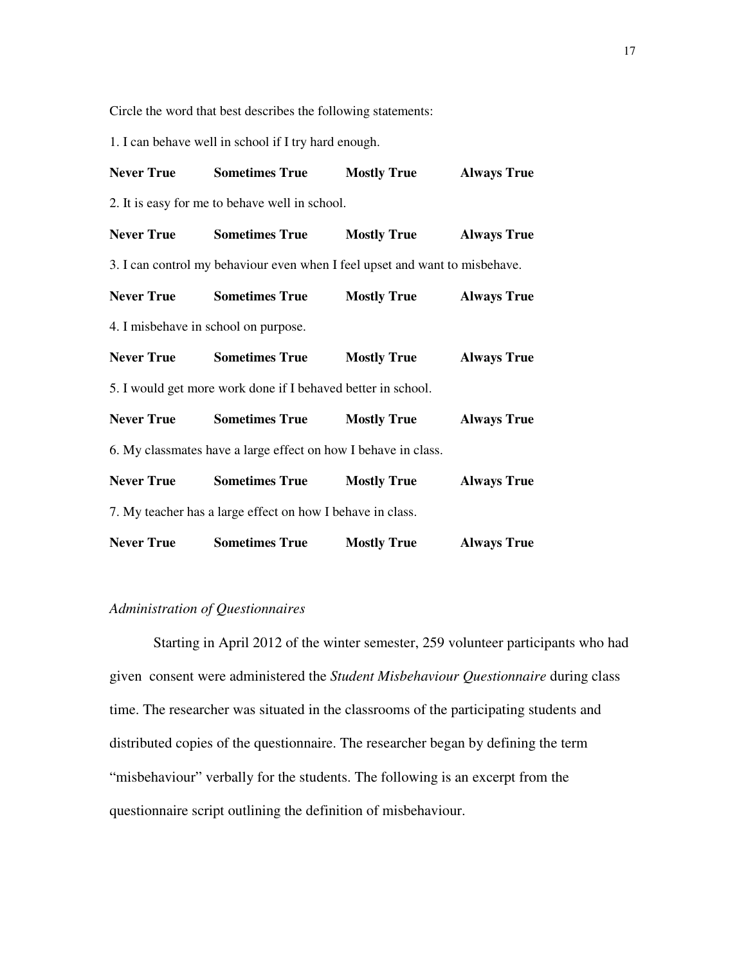Circle the word that best describes the following statements:

1. I can behave well in school if I try hard enough.

|                   | <b>Never True Sometimes True</b>                                            | <b>Mostly True</b> | <b>Always True</b> |
|-------------------|-----------------------------------------------------------------------------|--------------------|--------------------|
|                   | 2. It is easy for me to behave well in school.                              |                    |                    |
|                   | <b>Never True Sometimes True</b>                                            | <b>Mostly True</b> | <b>Always True</b> |
|                   | 3. I can control my behaviour even when I feel upset and want to misbehave. |                    |                    |
|                   | <b>Never True Sometimes True</b>                                            | <b>Mostly True</b> | <b>Always True</b> |
|                   | 4. I misbehave in school on purpose.                                        |                    |                    |
|                   | <b>Never True Sometimes True</b>                                            | <b>Mostly True</b> | <b>Always True</b> |
|                   | 5. I would get more work done if I behaved better in school.                |                    |                    |
|                   | <b>Never True Sometimes True</b>                                            | <b>Mostly True</b> | <b>Always True</b> |
|                   | 6. My classmates have a large effect on how I behave in class.              |                    |                    |
|                   | <b>Never True Sometimes True</b>                                            | <b>Mostly True</b> | <b>Always True</b> |
|                   | 7. My teacher has a large effect on how I behave in class.                  |                    |                    |
| <b>Never True</b> | <b>Sometimes True</b>                                                       | <b>Mostly True</b> | <b>Always True</b> |

## *Administration of Questionnaires*

 Starting in April 2012 of the winter semester, 259 volunteer participants who had given consent were administered the *Student Misbehaviour Questionnaire* during class time. The researcher was situated in the classrooms of the participating students and distributed copies of the questionnaire. The researcher began by defining the term "misbehaviour" verbally for the students. The following is an excerpt from the questionnaire script outlining the definition of misbehaviour.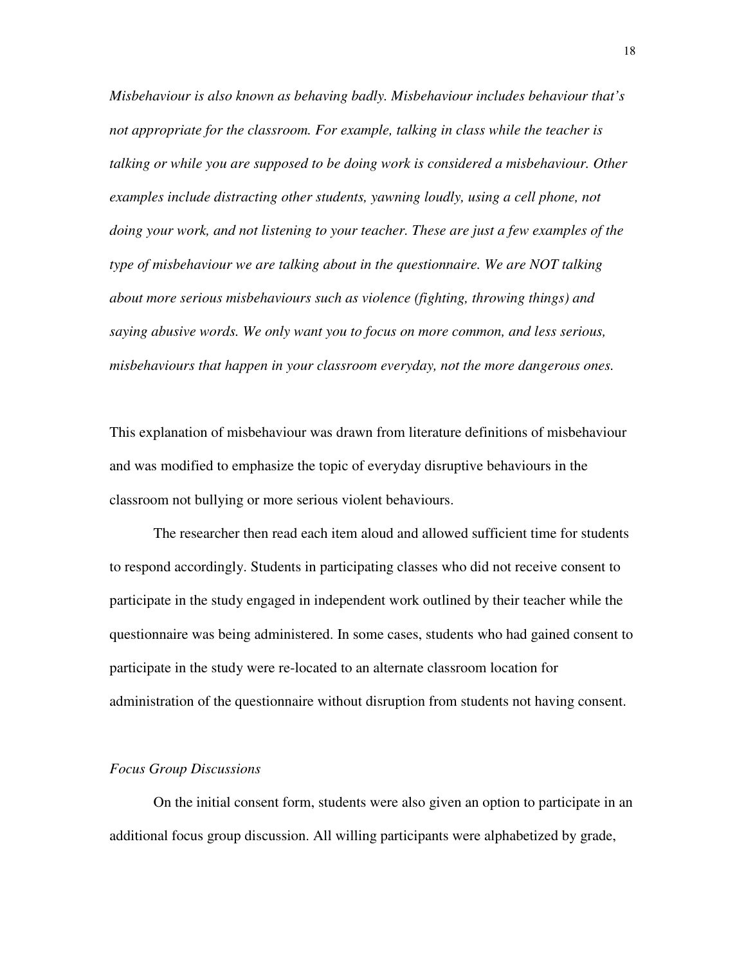*Misbehaviour is also known as behaving badly. Misbehaviour includes behaviour that's not appropriate for the classroom. For example, talking in class while the teacher is talking or while you are supposed to be doing work is considered a misbehaviour. Other examples include distracting other students, yawning loudly, using a cell phone, not doing your work, and not listening to your teacher. These are just a few examples of the type of misbehaviour we are talking about in the questionnaire. We are NOT talking about more serious misbehaviours such as violence (fighting, throwing things) and saying abusive words. We only want you to focus on more common, and less serious, misbehaviours that happen in your classroom everyday, not the more dangerous ones.* 

This explanation of misbehaviour was drawn from literature definitions of misbehaviour and was modified to emphasize the topic of everyday disruptive behaviours in the classroom not bullying or more serious violent behaviours.

 The researcher then read each item aloud and allowed sufficient time for students to respond accordingly. Students in participating classes who did not receive consent to participate in the study engaged in independent work outlined by their teacher while the questionnaire was being administered. In some cases, students who had gained consent to participate in the study were re-located to an alternate classroom location for administration of the questionnaire without disruption from students not having consent.

#### *Focus Group Discussions*

 On the initial consent form, students were also given an option to participate in an additional focus group discussion. All willing participants were alphabetized by grade,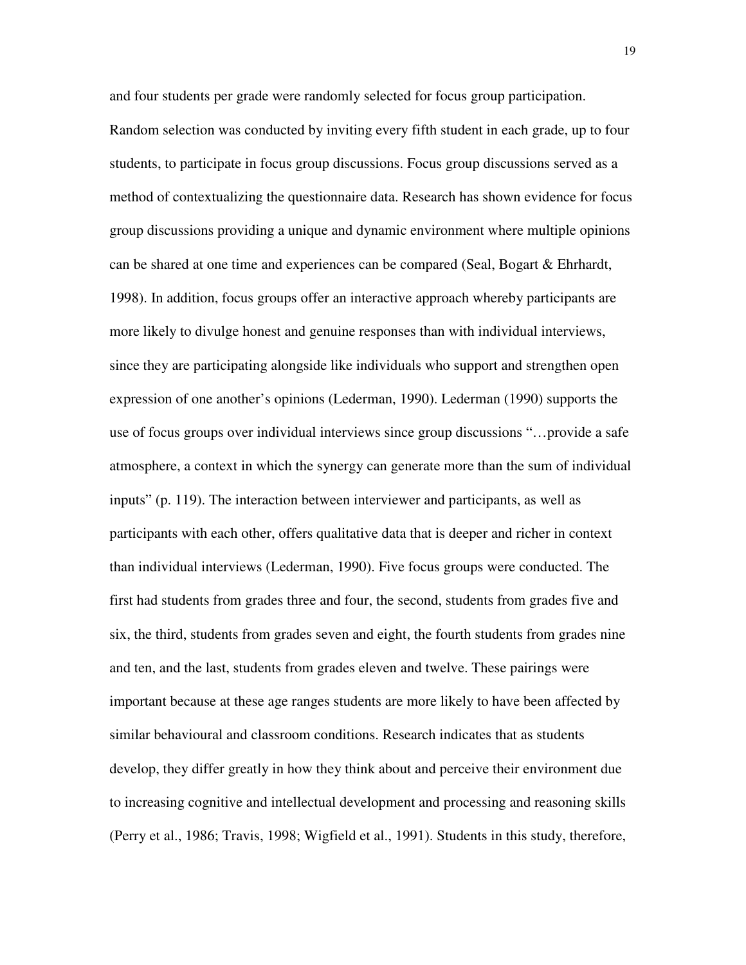and four students per grade were randomly selected for focus group participation. Random selection was conducted by inviting every fifth student in each grade, up to four students, to participate in focus group discussions. Focus group discussions served as a method of contextualizing the questionnaire data. Research has shown evidence for focus group discussions providing a unique and dynamic environment where multiple opinions can be shared at one time and experiences can be compared (Seal, Bogart & Ehrhardt, 1998). In addition, focus groups offer an interactive approach whereby participants are more likely to divulge honest and genuine responses than with individual interviews, since they are participating alongside like individuals who support and strengthen open expression of one another's opinions (Lederman, 1990). Lederman (1990) supports the use of focus groups over individual interviews since group discussions "…provide a safe atmosphere, a context in which the synergy can generate more than the sum of individual inputs" (p. 119). The interaction between interviewer and participants, as well as participants with each other, offers qualitative data that is deeper and richer in context than individual interviews (Lederman, 1990). Five focus groups were conducted. The first had students from grades three and four, the second, students from grades five and six, the third, students from grades seven and eight, the fourth students from grades nine and ten, and the last, students from grades eleven and twelve. These pairings were important because at these age ranges students are more likely to have been affected by similar behavioural and classroom conditions. Research indicates that as students develop, they differ greatly in how they think about and perceive their environment due to increasing cognitive and intellectual development and processing and reasoning skills (Perry et al., 1986; Travis, 1998; Wigfield et al., 1991). Students in this study, therefore,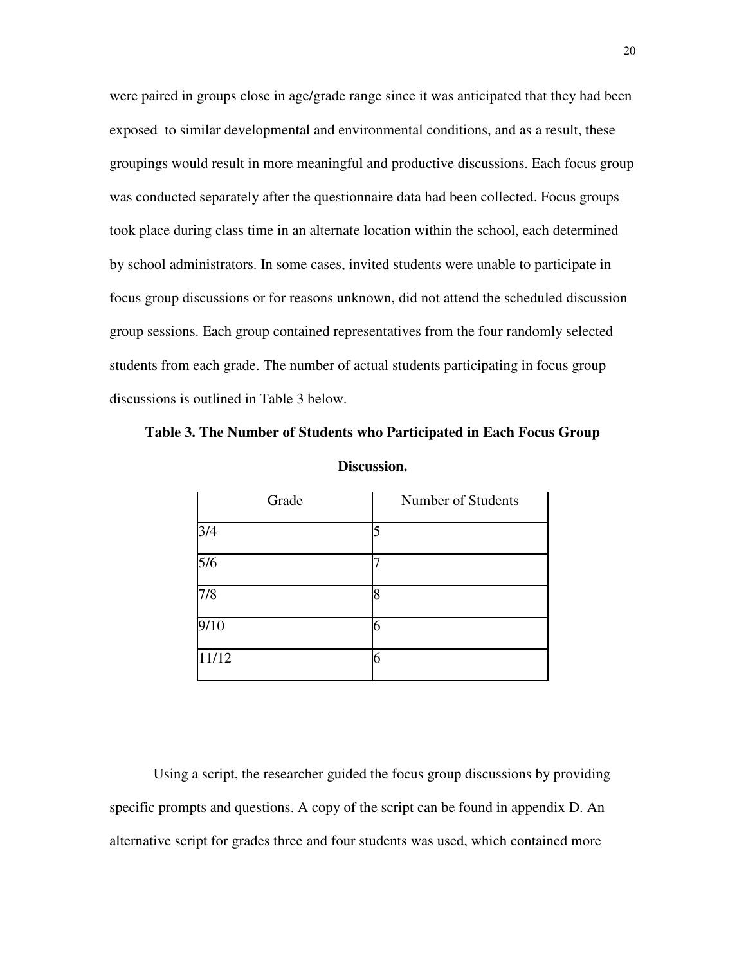were paired in groups close in age/grade range since it was anticipated that they had been exposed to similar developmental and environmental conditions, and as a result, these groupings would result in more meaningful and productive discussions. Each focus group was conducted separately after the questionnaire data had been collected. Focus groups took place during class time in an alternate location within the school, each determined by school administrators. In some cases, invited students were unable to participate in focus group discussions or for reasons unknown, did not attend the scheduled discussion group sessions. Each group contained representatives from the four randomly selected students from each grade. The number of actual students participating in focus group discussions is outlined in Table 3 below.

**Table 3. The Number of Students who Participated in Each Focus Group** 

| Grade                    | Number of Students |
|--------------------------|--------------------|
| $\frac{3}{4}$            |                    |
| $\overline{\frac{5}{6}}$ |                    |
| 7/8                      | 18                 |
| 9/10                     | 6                  |
| 11/12                    | 6                  |

**Discussion.** 

 Using a script, the researcher guided the focus group discussions by providing specific prompts and questions. A copy of the script can be found in appendix D. An alternative script for grades three and four students was used, which contained more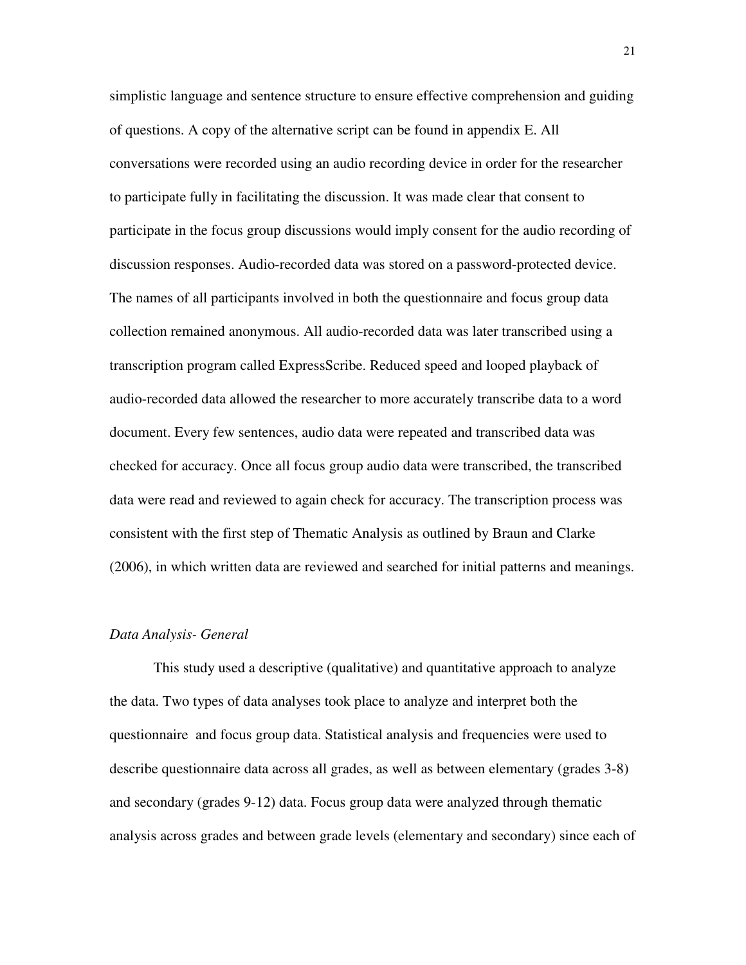simplistic language and sentence structure to ensure effective comprehension and guiding of questions. A copy of the alternative script can be found in appendix E. All conversations were recorded using an audio recording device in order for the researcher to participate fully in facilitating the discussion. It was made clear that consent to participate in the focus group discussions would imply consent for the audio recording of discussion responses. Audio-recorded data was stored on a password-protected device. The names of all participants involved in both the questionnaire and focus group data collection remained anonymous. All audio-recorded data was later transcribed using a transcription program called ExpressScribe. Reduced speed and looped playback of audio-recorded data allowed the researcher to more accurately transcribe data to a word document. Every few sentences, audio data were repeated and transcribed data was checked for accuracy. Once all focus group audio data were transcribed, the transcribed data were read and reviewed to again check for accuracy. The transcription process was consistent with the first step of Thematic Analysis as outlined by Braun and Clarke (2006), in which written data are reviewed and searched for initial patterns and meanings.

#### *Data Analysis- General*

This study used a descriptive (qualitative) and quantitative approach to analyze the data. Two types of data analyses took place to analyze and interpret both the questionnaire and focus group data. Statistical analysis and frequencies were used to describe questionnaire data across all grades, as well as between elementary (grades 3-8) and secondary (grades 9-12) data. Focus group data were analyzed through thematic analysis across grades and between grade levels (elementary and secondary) since each of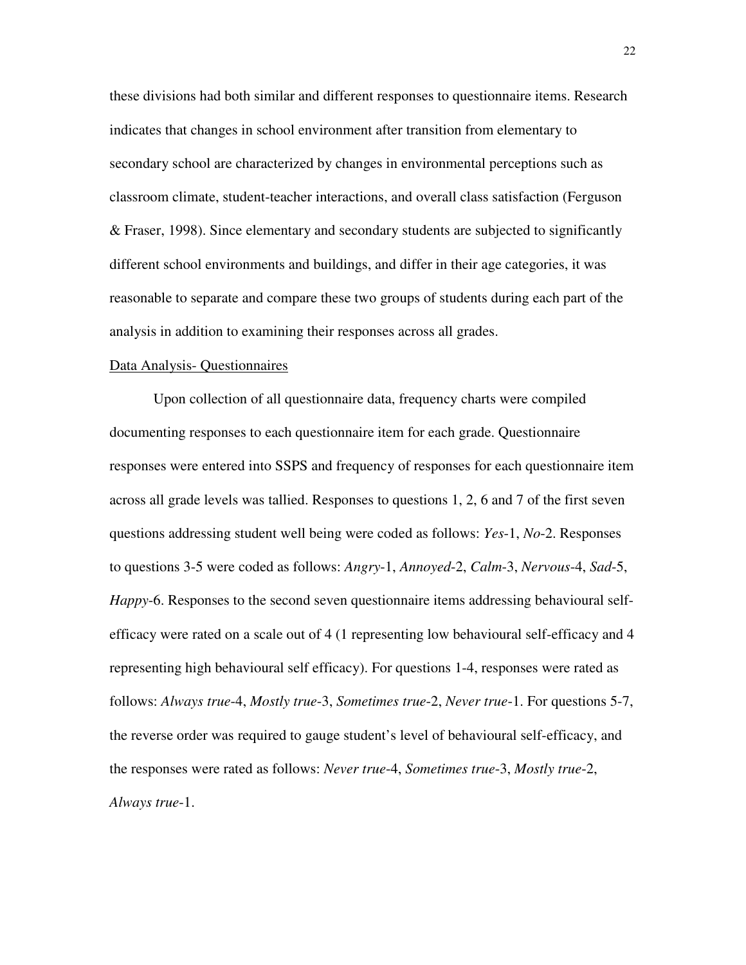these divisions had both similar and different responses to questionnaire items. Research indicates that changes in school environment after transition from elementary to secondary school are characterized by changes in environmental perceptions such as classroom climate, student-teacher interactions, and overall class satisfaction (Ferguson & Fraser, 1998). Since elementary and secondary students are subjected to significantly different school environments and buildings, and differ in their age categories, it was reasonable to separate and compare these two groups of students during each part of the analysis in addition to examining their responses across all grades.

### Data Analysis- Questionnaires

 Upon collection of all questionnaire data, frequency charts were compiled documenting responses to each questionnaire item for each grade. Questionnaire responses were entered into SSPS and frequency of responses for each questionnaire item across all grade levels was tallied. Responses to questions 1, 2, 6 and 7 of the first seven questions addressing student well being were coded as follows: *Yes*-1, *No*-2. Responses to questions 3-5 were coded as follows: *Angry*-1, *Annoyed*-2, *Calm*-3, *Nervous*-4, *Sad*-5, *Happy*-6. Responses to the second seven questionnaire items addressing behavioural selfefficacy were rated on a scale out of 4 (1 representing low behavioural self-efficacy and 4 representing high behavioural self efficacy). For questions 1-4, responses were rated as follows: *Always true*-4, *Mostly true*-3, *Sometimes true*-2, *Never true*-1. For questions 5-7, the reverse order was required to gauge student's level of behavioural self-efficacy, and the responses were rated as follows: *Never true*-4, *Sometimes true*-3, *Mostly true*-2, *Always true*-1.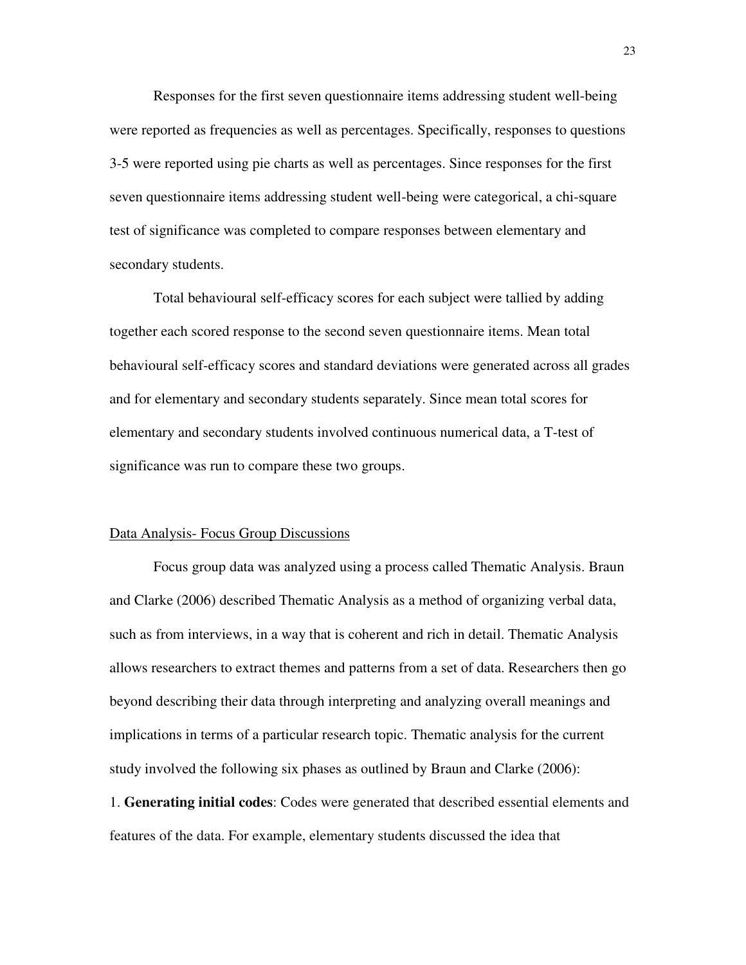Responses for the first seven questionnaire items addressing student well-being were reported as frequencies as well as percentages. Specifically, responses to questions 3-5 were reported using pie charts as well as percentages. Since responses for the first seven questionnaire items addressing student well-being were categorical, a chi-square test of significance was completed to compare responses between elementary and secondary students.

 Total behavioural self-efficacy scores for each subject were tallied by adding together each scored response to the second seven questionnaire items. Mean total behavioural self-efficacy scores and standard deviations were generated across all grades and for elementary and secondary students separately. Since mean total scores for elementary and secondary students involved continuous numerical data, a T-test of significance was run to compare these two groups.

#### Data Analysis- Focus Group Discussions

 Focus group data was analyzed using a process called Thematic Analysis. Braun and Clarke (2006) described Thematic Analysis as a method of organizing verbal data, such as from interviews, in a way that is coherent and rich in detail. Thematic Analysis allows researchers to extract themes and patterns from a set of data. Researchers then go beyond describing their data through interpreting and analyzing overall meanings and implications in terms of a particular research topic. Thematic analysis for the current study involved the following six phases as outlined by Braun and Clarke (2006):

1. **Generating initial codes**: Codes were generated that described essential elements and features of the data. For example, elementary students discussed the idea that

23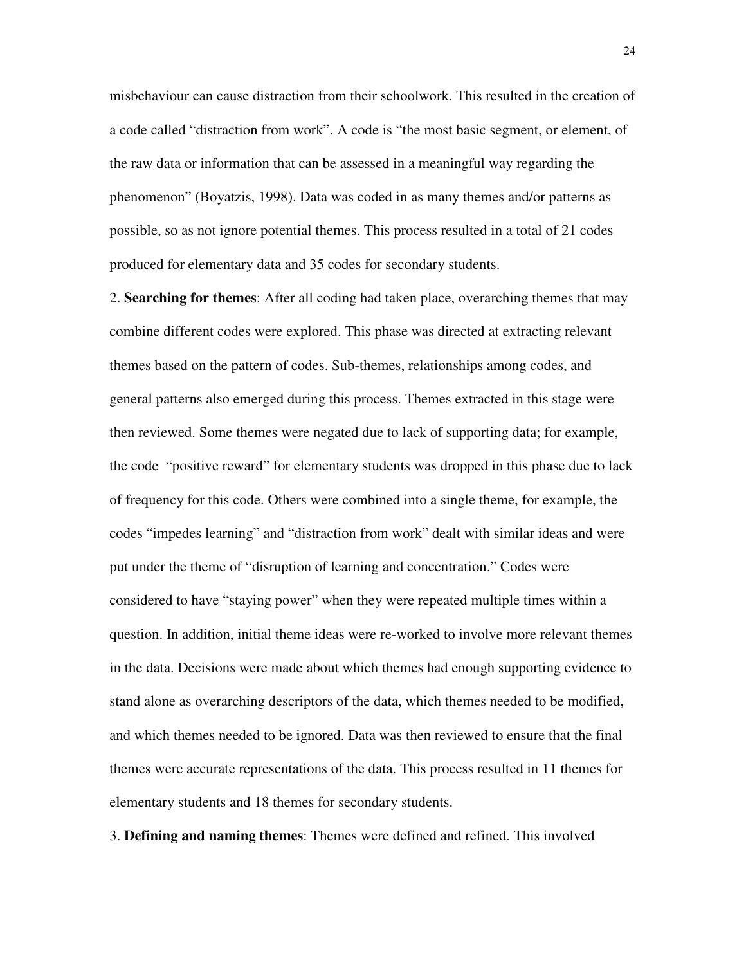misbehaviour can cause distraction from their schoolwork. This resulted in the creation of a code called "distraction from work". A code is "the most basic segment, or element, of the raw data or information that can be assessed in a meaningful way regarding the phenomenon" (Boyatzis, 1998). Data was coded in as many themes and/or patterns as possible, so as not ignore potential themes. This process resulted in a total of 21 codes produced for elementary data and 35 codes for secondary students.

2. **Searching for themes**: After all coding had taken place, overarching themes that may combine different codes were explored. This phase was directed at extracting relevant themes based on the pattern of codes. Sub-themes, relationships among codes, and general patterns also emerged during this process. Themes extracted in this stage were then reviewed. Some themes were negated due to lack of supporting data; for example, the code "positive reward" for elementary students was dropped in this phase due to lack of frequency for this code. Others were combined into a single theme, for example, the codes "impedes learning" and "distraction from work" dealt with similar ideas and were put under the theme of "disruption of learning and concentration." Codes were considered to have "staying power" when they were repeated multiple times within a question. In addition, initial theme ideas were re-worked to involve more relevant themes in the data. Decisions were made about which themes had enough supporting evidence to stand alone as overarching descriptors of the data, which themes needed to be modified, and which themes needed to be ignored. Data was then reviewed to ensure that the final themes were accurate representations of the data. This process resulted in 11 themes for elementary students and 18 themes for secondary students.

3. **Defining and naming themes**: Themes were defined and refined. This involved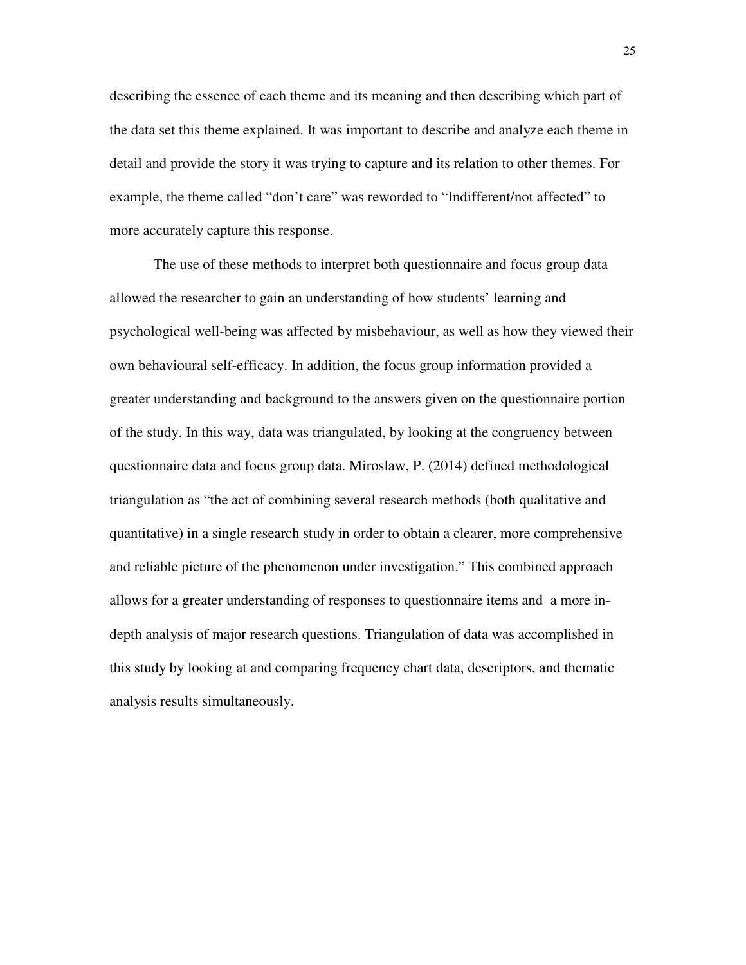describing the essence of each theme and its meaning and then describing which part of the data set this theme explained. It was important to describe and analyze each theme in detail and provide the story it was trying to capture and its relation to other themes. For example, the theme called "don't care" was reworded to "Indifferent/not affected" to more accurately capture this response.

 The use of these methods to interpret both questionnaire and focus group data allowed the researcher to gain an understanding of how students' learning and psychological well-being was affected by misbehaviour, as well as how they viewed their own behavioural self-efficacy. In addition, the focus group information provided a greater understanding and background to the answers given on the questionnaire portion of the study. In this way, data was triangulated, by looking at the congruency between questionnaire data and focus group data. Miroslaw, P. (2014) defined methodological triangulation as "the act of combining several research methods (both qualitative and quantitative) in a single research study in order to obtain a clearer, more comprehensive and reliable picture of the phenomenon under investigation." This combined approach allows for a greater understanding of responses to questionnaire items and a more indepth analysis of major research questions. Triangulation of data was accomplished in this study by looking at and comparing frequency chart data, descriptors, and thematic analysis results simultaneously.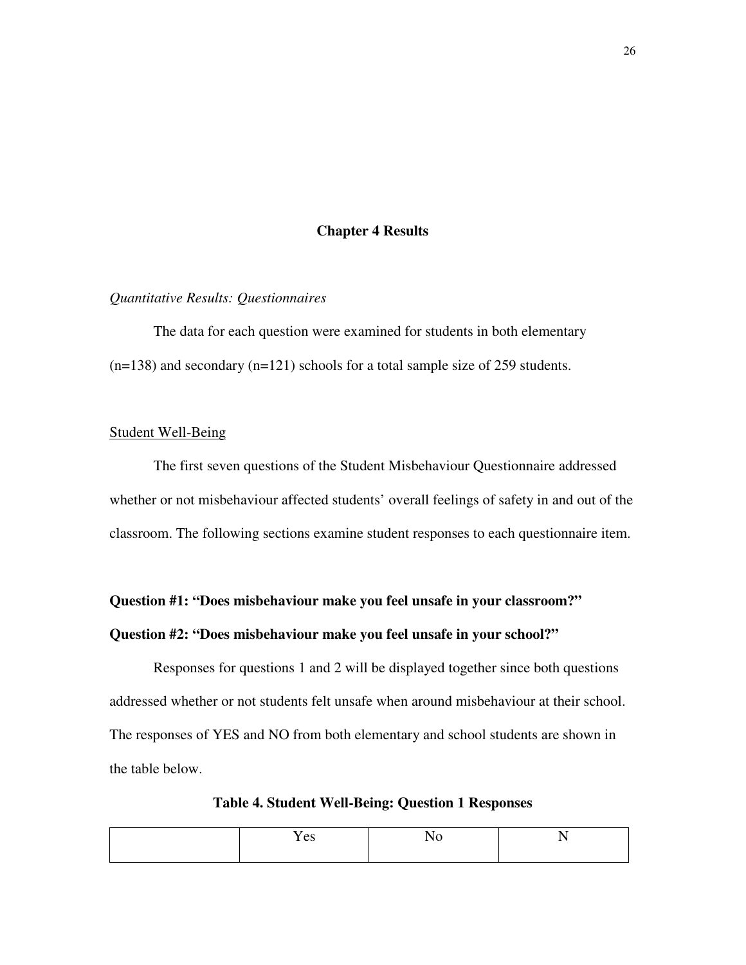## **Chapter 4 Results**

## *Quantitative Results: Questionnaires*

 The data for each question were examined for students in both elementary  $(n=138)$  and secondary  $(n=121)$  schools for a total sample size of 259 students.

## Student Well-Being

 The first seven questions of the Student Misbehaviour Questionnaire addressed whether or not misbehaviour affected students' overall feelings of safety in and out of the classroom. The following sections examine student responses to each questionnaire item.

## **Question #1: "Does misbehaviour make you feel unsafe in your classroom?"**

## **Question #2: "Does misbehaviour make you feel unsafe in your school?"**

 Responses for questions 1 and 2 will be displayed together since both questions addressed whether or not students felt unsafe when around misbehaviour at their school. The responses of YES and NO from both elementary and school students are shown in the table below.

**Table 4. Student Well-Being: Question 1 Responses** 

| $\alpha$<br>C) |  |
|----------------|--|
|                |  |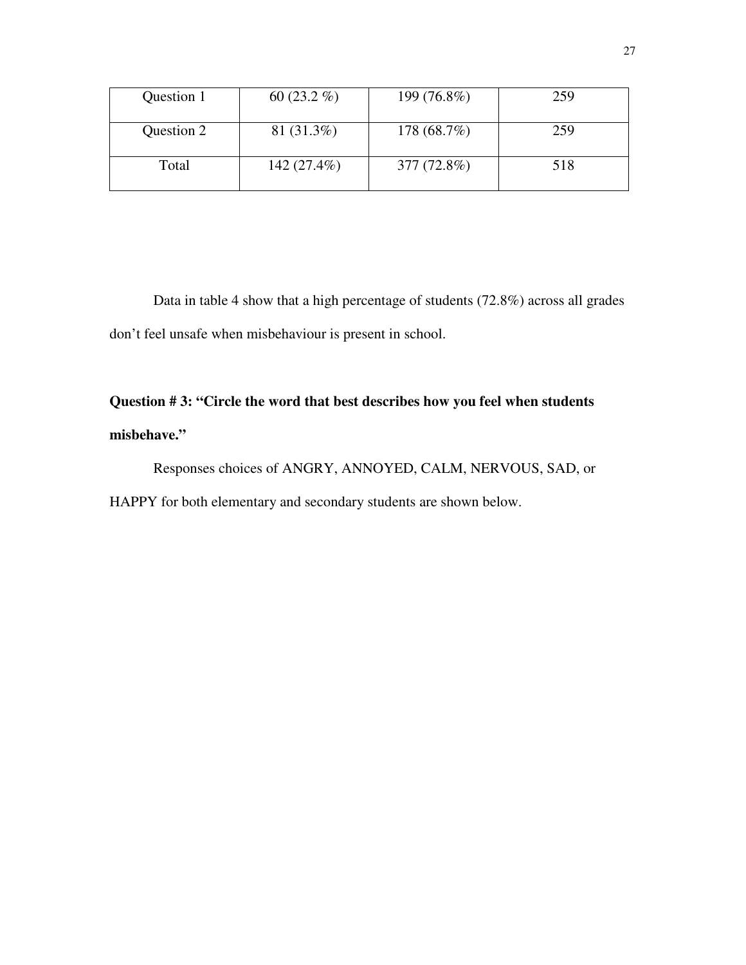| Question 1 | 60 $(23.2\%)$ | 199 (76.8%) | 259 |
|------------|---------------|-------------|-----|
| Question 2 | 81 (31.3%)    | 178 (68.7%) | 259 |
| Total      | 142 (27.4%)   | 377 (72.8%) | 518 |

 Data in table 4 show that a high percentage of students (72.8%) across all grades don't feel unsafe when misbehaviour is present in school.

# **Question # 3: "Circle the word that best describes how you feel when students misbehave."**

Responses choices of ANGRY, ANNOYED, CALM, NERVOUS, SAD, or HAPPY for both elementary and secondary students are shown below.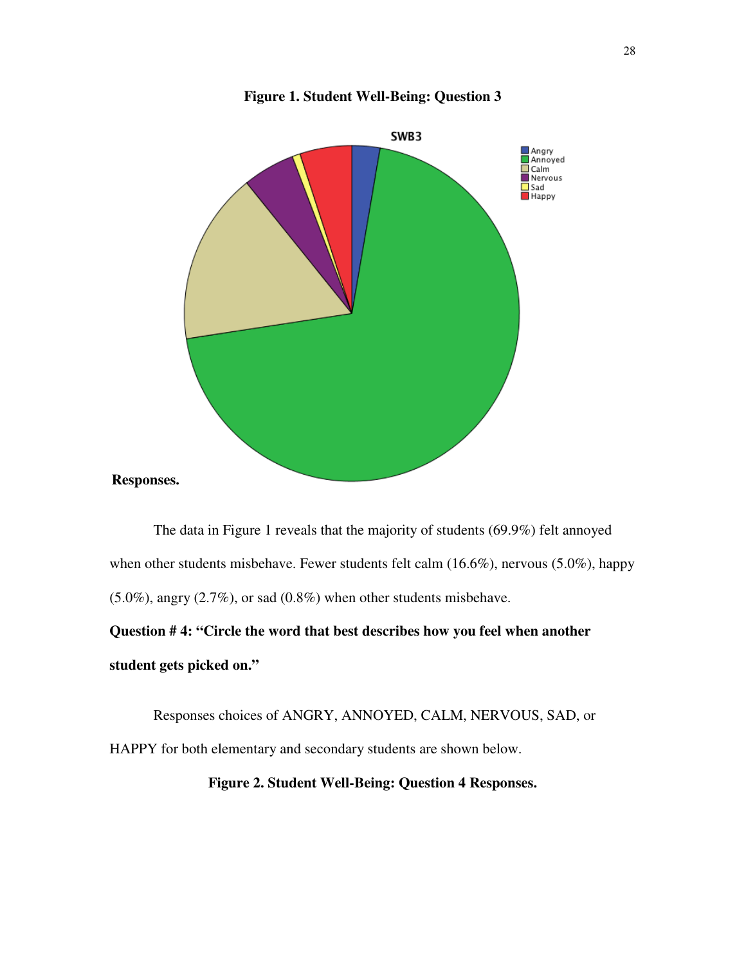

#### **Figure 1. Student Well-Being: Question 3**

 The data in Figure 1 reveals that the majority of students (69.9%) felt annoyed when other students misbehave. Fewer students felt calm (16.6%), nervous (5.0%), happy  $(5.0\%)$ , angry  $(2.7\%)$ , or sad  $(0.8\%)$  when other students misbehave.

**Question # 4: "Circle the word that best describes how you feel when another student gets picked on."** 

 Responses choices of ANGRY, ANNOYED, CALM, NERVOUS, SAD, or HAPPY for both elementary and secondary students are shown below.

**Figure 2. Student Well-Being: Question 4 Responses.**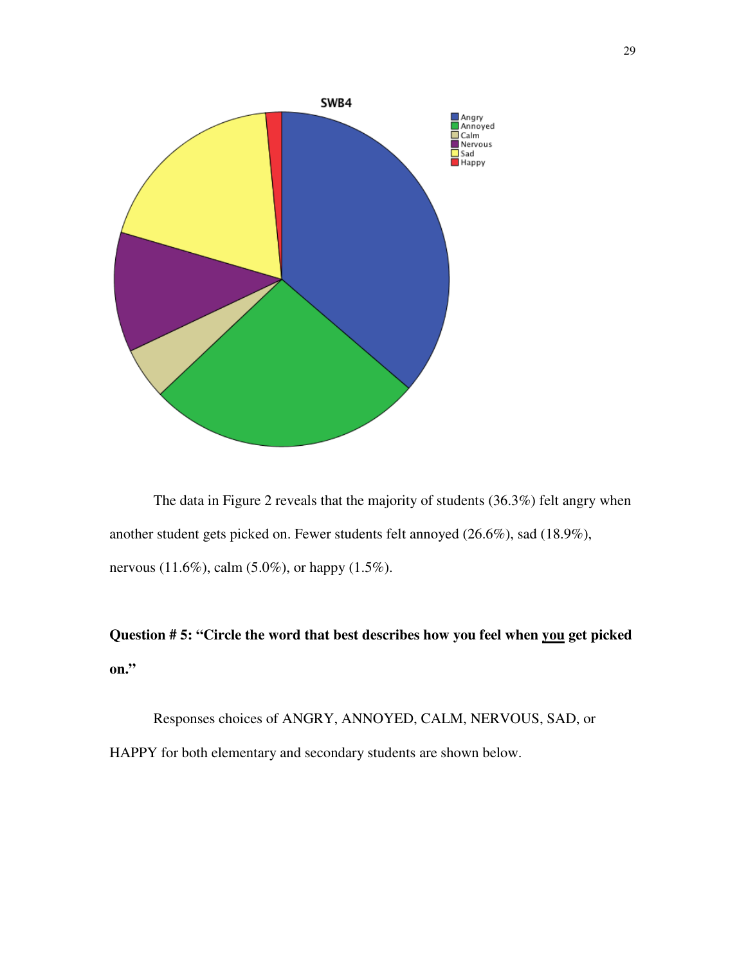

 The data in Figure 2 reveals that the majority of students (36.3%) felt angry when another student gets picked on. Fewer students felt annoyed (26.6%), sad (18.9%), nervous (11.6%), calm (5.0%), or happy (1.5%).

**Question # 5: "Circle the word that best describes how you feel when you get picked on."** 

 Responses choices of ANGRY, ANNOYED, CALM, NERVOUS, SAD, or HAPPY for both elementary and secondary students are shown below.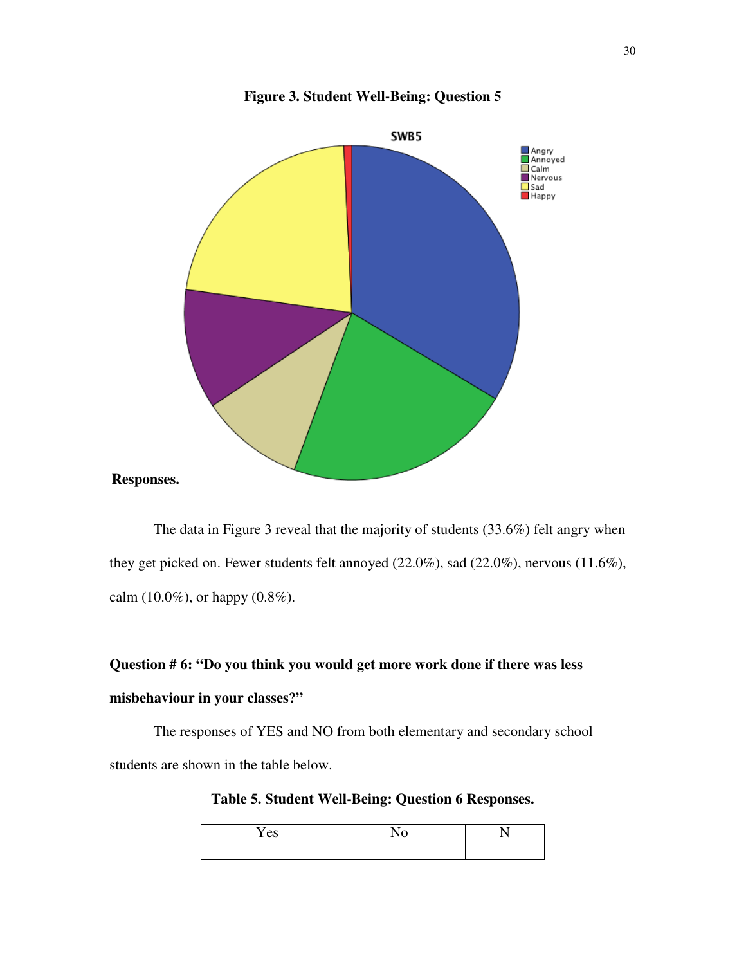

**Figure 3. Student Well-Being: Question 5** 

 The data in Figure 3 reveal that the majority of students (33.6%) felt angry when they get picked on. Fewer students felt annoyed (22.0%), sad (22.0%), nervous (11.6%), calm  $(10.0\%)$ , or happy  $(0.8\%)$ .

# **Question # 6: "Do you think you would get more work done if there was less misbehaviour in your classes?"**

The responses of YES and NO from both elementary and secondary school students are shown in the table below.

**Table 5. Student Well-Being: Question 6 Responses.** 

| Yes | $\mathbf{r}$<br>1 Y V | - -<br>- |
|-----|-----------------------|----------|
|     |                       |          |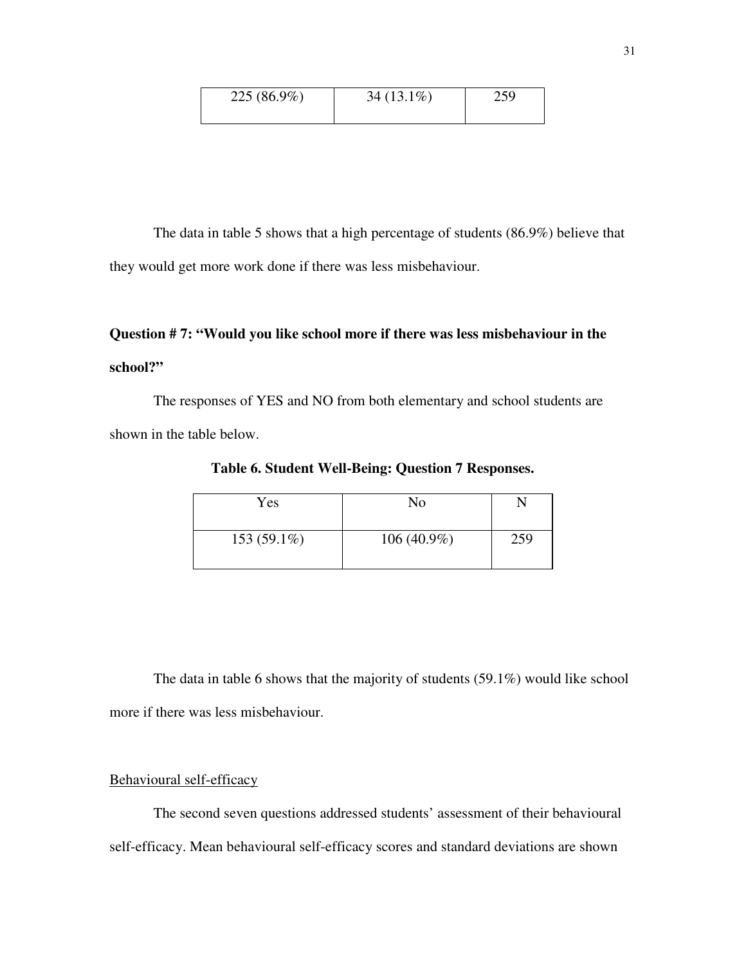| 225 (86.9%) | $34(13.1\%)$ | 259 |
|-------------|--------------|-----|
|             |              |     |

 The data in table 5 shows that a high percentage of students (86.9%) believe that they would get more work done if there was less misbehaviour.

# **Question # 7: "Would you like school more if there was less misbehaviour in the school?"**

The responses of YES and NO from both elementary and school students are shown in the table below.

**Table 6. Student Well-Being: Question 7 Responses.** 

| Yes           | No            |     |
|---------------|---------------|-----|
| $153(59.1\%)$ | $106(40.9\%)$ | 259 |

 The data in table 6 shows that the majority of students (59.1%) would like school more if there was less misbehaviour.

# Behavioural self-efficacy

 The second seven questions addressed students' assessment of their behavioural self-efficacy. Mean behavioural self-efficacy scores and standard deviations are shown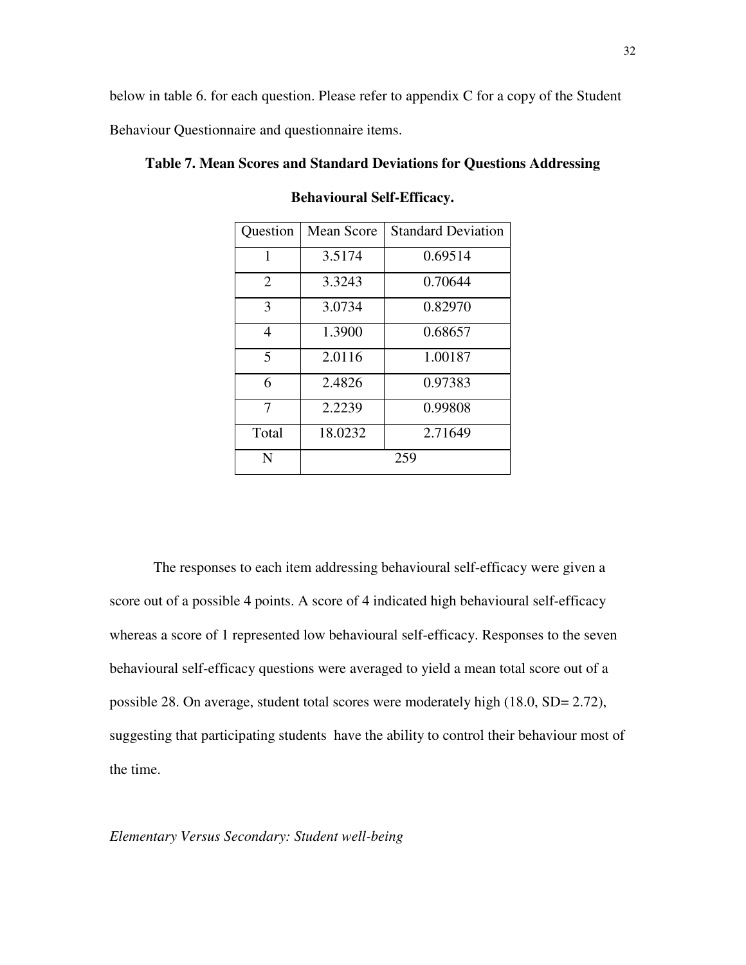below in table 6. for each question. Please refer to appendix C for a copy of the Student

Behaviour Questionnaire and questionnaire items.

| Question       | Mean Score | <b>Standard Deviation</b> |
|----------------|------------|---------------------------|
| 1              | 3.5174     | 0.69514                   |
| $\overline{2}$ | 3.3243     | 0.70644                   |
| 3              | 3.0734     | 0.82970                   |
| 4              | 1.3900     | 0.68657                   |
| 5              | 2.0116     | 1.00187                   |
| 6              | 2.4826     | 0.97383                   |
| 7              | 2.2239     | 0.99808                   |
| Total          | 18.0232    | 2.71649                   |
| N              |            | 259                       |

**Table 7. Mean Scores and Standard Deviations for Questions Addressing** 

**Behavioural Self-Efficacy.** 

 The responses to each item addressing behavioural self-efficacy were given a score out of a possible 4 points. A score of 4 indicated high behavioural self-efficacy whereas a score of 1 represented low behavioural self-efficacy. Responses to the seven behavioural self-efficacy questions were averaged to yield a mean total score out of a possible 28. On average, student total scores were moderately high (18.0, SD= 2.72), suggesting that participating students have the ability to control their behaviour most of the time.

*Elementary Versus Secondary: Student well-being*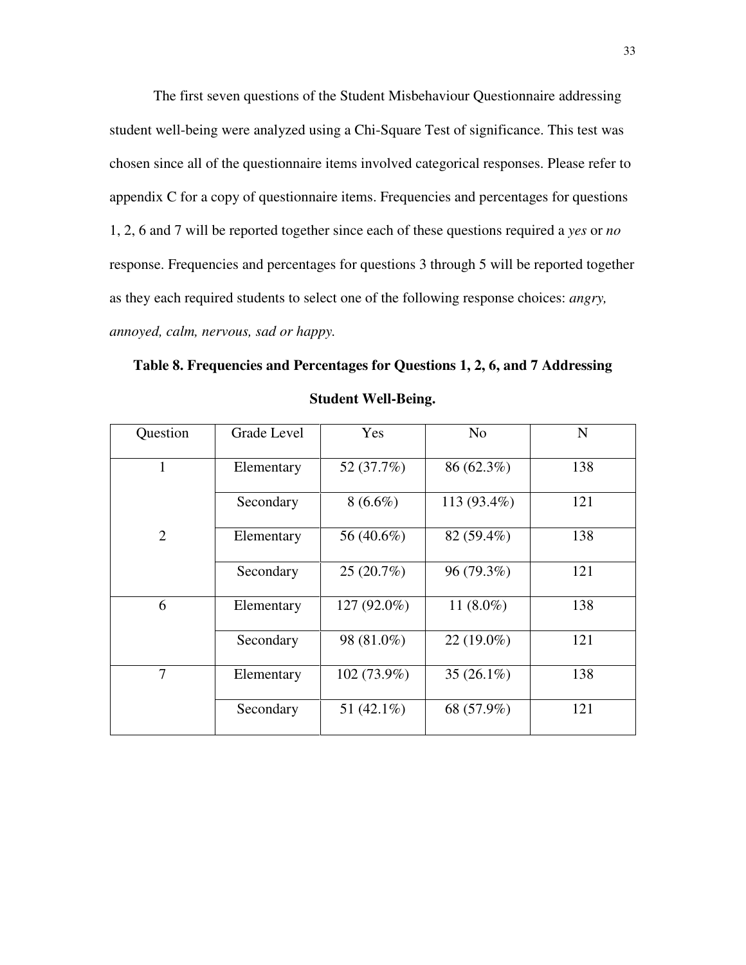The first seven questions of the Student Misbehaviour Questionnaire addressing student well-being were analyzed using a Chi-Square Test of significance. This test was chosen since all of the questionnaire items involved categorical responses. Please refer to appendix C for a copy of questionnaire items. Frequencies and percentages for questions 1, 2, 6 and 7 will be reported together since each of these questions required a *yes* or *no* response. Frequencies and percentages for questions 3 through 5 will be reported together as they each required students to select one of the following response choices: *angry, annoyed, calm, nervous, sad or happy.* 

**Table 8. Frequencies and Percentages for Questions 1, 2, 6, and 7 Addressing Student Well-Being.** 

| Question       | Grade Level | Yes         | N <sub>o</sub> | $\mathbf N$ |
|----------------|-------------|-------------|----------------|-------------|
|                | Elementary  | 52 (37.7%)  | 86 (62.3%)     | 138         |
|                | Secondary   | $8(6.6\%)$  | 113 (93.4%)    | 121         |
| $\overline{2}$ | Elementary  | 56 (40.6%)  | 82 (59.4%)     | 138         |
|                | Secondary   | 25(20.7%)   | 96 (79.3%)     | 121         |
| 6              | Elementary  | 127 (92.0%) | 11 $(8.0\%)$   | 138         |
|                | Secondary   | 98 (81.0%)  | $22(19.0\%)$   | 121         |
| 7              | Elementary  | 102 (73.9%) | 35 $(26.1\%)$  | 138         |
|                | Secondary   | 51 (42.1%)  | 68 (57.9%)     | 121         |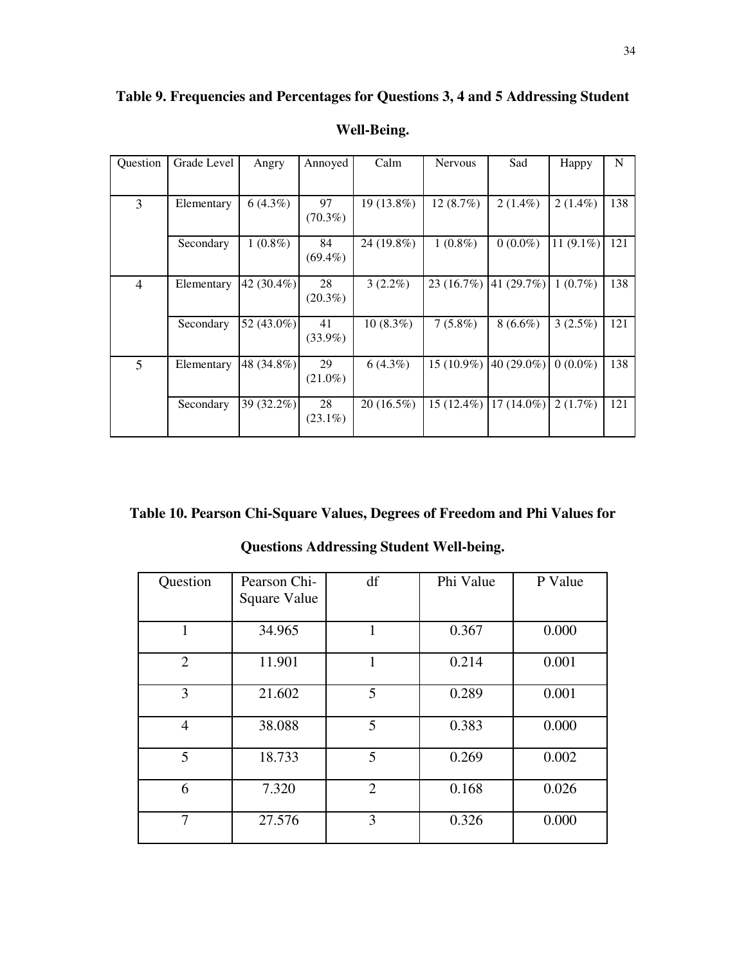| Question       | Grade Level | Angry         | Annoyed    | Calm        | <b>Nervous</b> | Sad                   | Happy        | N   |
|----------------|-------------|---------------|------------|-------------|----------------|-----------------------|--------------|-----|
|                |             |               |            |             |                |                       |              |     |
|                |             |               |            |             |                |                       |              |     |
| 3              | Elementary  | $6(4.3\%)$    | 97         | 19 (13.8%)  | $12(8.7\%)$    | $2(1.4\%)$            | $2(1.4\%)$   | 138 |
|                |             |               | $(70.3\%)$ |             |                |                       |              |     |
|                |             |               |            |             |                |                       |              |     |
|                | Secondary   | $1(0.8\%)$    | 84         | 24 (19.8%)  | $1(0.8\%)$     | $0(0.0\%)$            | 11 $(9.1\%)$ | 121 |
|                |             |               | $(69.4\%)$ |             |                |                       |              |     |
|                |             |               |            |             |                |                       |              |     |
| $\overline{4}$ | Elementary  | 42 $(30.4\%)$ | 28         | $3(2.2\%)$  | 23(16.7%)      | $ 41(29.7\%) $        | $1(0.7\%)$   | 138 |
|                |             |               | $(20.3\%)$ |             |                |                       |              |     |
|                |             |               |            |             |                |                       |              |     |
|                | Secondary   | 52 (43.0%)    | 41         | $10(8.3\%)$ | $7(5.8\%)$     | $8(6.6\%)$            | 3(2.5%)      | 121 |
|                |             |               | $(33.9\%)$ |             |                |                       |              |     |
|                |             |               |            |             |                |                       |              |     |
| $\mathfrak{S}$ | Elementary  | 48 (34.8%)    | 29         | $6(4.3\%)$  |                | 15 (10.9%) 40 (29.0%) | $0(0.0\%)$   | 138 |
|                |             |               |            |             |                |                       |              |     |
|                |             |               | $(21.0\%)$ |             |                |                       |              |     |
|                | Secondary   | 39 (32.2%)    | 28         | 20 (16.5%)  | $15(12.4\%)$   | $17(14.0\%)$          | 2(1.7%)      | 121 |
|                |             |               |            |             |                |                       |              |     |
|                |             |               | $(23.1\%)$ |             |                |                       |              |     |
|                |             |               |            |             |                |                       |              |     |

**Table 9. Frequencies and Percentages for Questions 3, 4 and 5 Addressing Student** 

# **Well-Being.**

**Table 10. Pearson Chi-Square Values, Degrees of Freedom and Phi Values for** 

| Question       | Pearson Chi-<br>Square Value | df             | Phi Value | P Value |
|----------------|------------------------------|----------------|-----------|---------|
| 1              | 34.965                       | 1              | 0.367     | 0.000   |
| $\overline{2}$ | 11.901                       | 1              | 0.214     | 0.001   |
| 3              | 21.602                       | 5              | 0.289     | 0.001   |
| $\overline{4}$ | 38.088                       | 5              | 0.383     | 0.000   |
| 5              | 18.733                       | 5              | 0.269     | 0.002   |
| 6              | 7.320                        | $\overline{2}$ | 0.168     | 0.026   |
| 7              | 27.576                       | 3              | 0.326     | 0.000   |

**Questions Addressing Student Well-being.**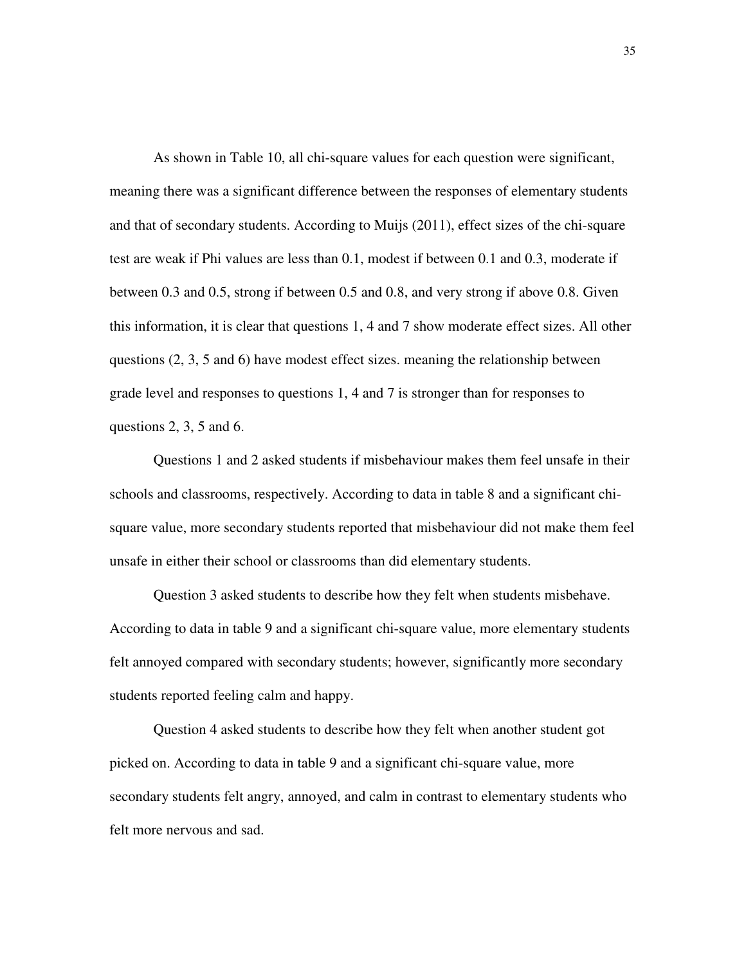As shown in Table 10, all chi-square values for each question were significant, meaning there was a significant difference between the responses of elementary students and that of secondary students. According to Muijs (2011), effect sizes of the chi-square test are weak if Phi values are less than 0.1, modest if between 0.1 and 0.3, moderate if between 0.3 and 0.5, strong if between 0.5 and 0.8, and very strong if above 0.8. Given this information, it is clear that questions 1, 4 and 7 show moderate effect sizes. All other questions (2, 3, 5 and 6) have modest effect sizes. meaning the relationship between grade level and responses to questions 1, 4 and 7 is stronger than for responses to questions  $2, 3, 5$  and 6.

 Questions 1 and 2 asked students if misbehaviour makes them feel unsafe in their schools and classrooms, respectively. According to data in table 8 and a significant chisquare value, more secondary students reported that misbehaviour did not make them feel unsafe in either their school or classrooms than did elementary students.

 Question 3 asked students to describe how they felt when students misbehave. According to data in table 9 and a significant chi-square value, more elementary students felt annoyed compared with secondary students; however, significantly more secondary students reported feeling calm and happy.

 Question 4 asked students to describe how they felt when another student got picked on. According to data in table 9 and a significant chi-square value, more secondary students felt angry, annoyed, and calm in contrast to elementary students who felt more nervous and sad.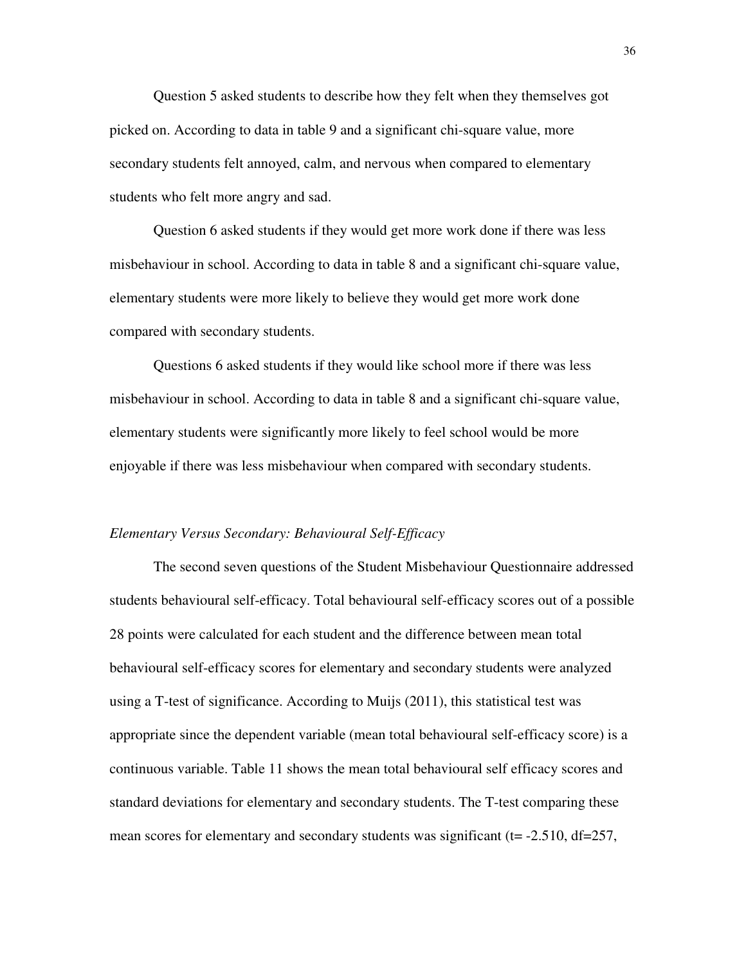Question 5 asked students to describe how they felt when they themselves got picked on. According to data in table 9 and a significant chi-square value, more secondary students felt annoyed, calm, and nervous when compared to elementary students who felt more angry and sad.

 Question 6 asked students if they would get more work done if there was less misbehaviour in school. According to data in table 8 and a significant chi-square value, elementary students were more likely to believe they would get more work done compared with secondary students.

 Questions 6 asked students if they would like school more if there was less misbehaviour in school. According to data in table 8 and a significant chi-square value, elementary students were significantly more likely to feel school would be more enjoyable if there was less misbehaviour when compared with secondary students.

#### *Elementary Versus Secondary: Behavioural Self-Efficacy*

 The second seven questions of the Student Misbehaviour Questionnaire addressed students behavioural self-efficacy. Total behavioural self-efficacy scores out of a possible 28 points were calculated for each student and the difference between mean total behavioural self-efficacy scores for elementary and secondary students were analyzed using a T-test of significance. According to Muijs (2011), this statistical test was appropriate since the dependent variable (mean total behavioural self-efficacy score) is a continuous variable. Table 11 shows the mean total behavioural self efficacy scores and standard deviations for elementary and secondary students. The T-test comparing these mean scores for elementary and secondary students was significant ( $t = -2.510$ ,  $df = 257$ ,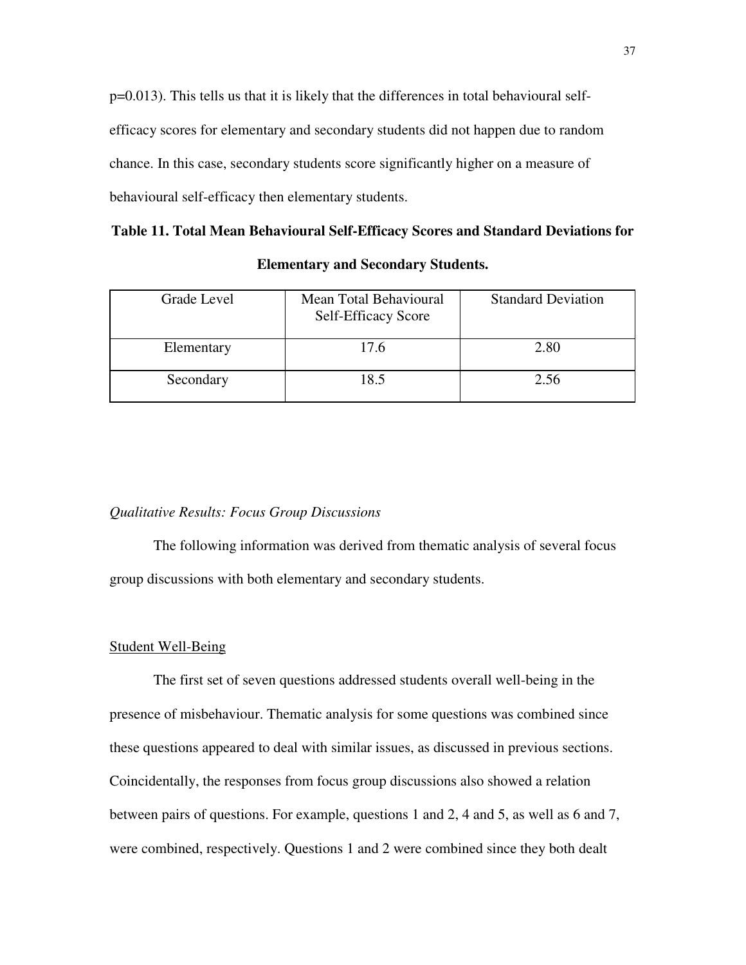p=0.013). This tells us that it is likely that the differences in total behavioural selfefficacy scores for elementary and secondary students did not happen due to random chance. In this case, secondary students score significantly higher on a measure of behavioural self-efficacy then elementary students.

| Grade Level | Mean Total Behavioural<br><b>Self-Efficacy Score</b> | <b>Standard Deviation</b> |
|-------------|------------------------------------------------------|---------------------------|
| Elementary  | 17.6                                                 | 2.80                      |
| Secondary   | 18.5                                                 | 2.56                      |

**Elementary and Secondary Students.** 

#### *Qualitative Results: Focus Group Discussions*

 The following information was derived from thematic analysis of several focus group discussions with both elementary and secondary students.

#### Student Well-Being

The first set of seven questions addressed students overall well-being in the presence of misbehaviour. Thematic analysis for some questions was combined since these questions appeared to deal with similar issues, as discussed in previous sections. Coincidentally, the responses from focus group discussions also showed a relation between pairs of questions. For example, questions 1 and 2, 4 and 5, as well as 6 and 7, were combined, respectively. Questions 1 and 2 were combined since they both dealt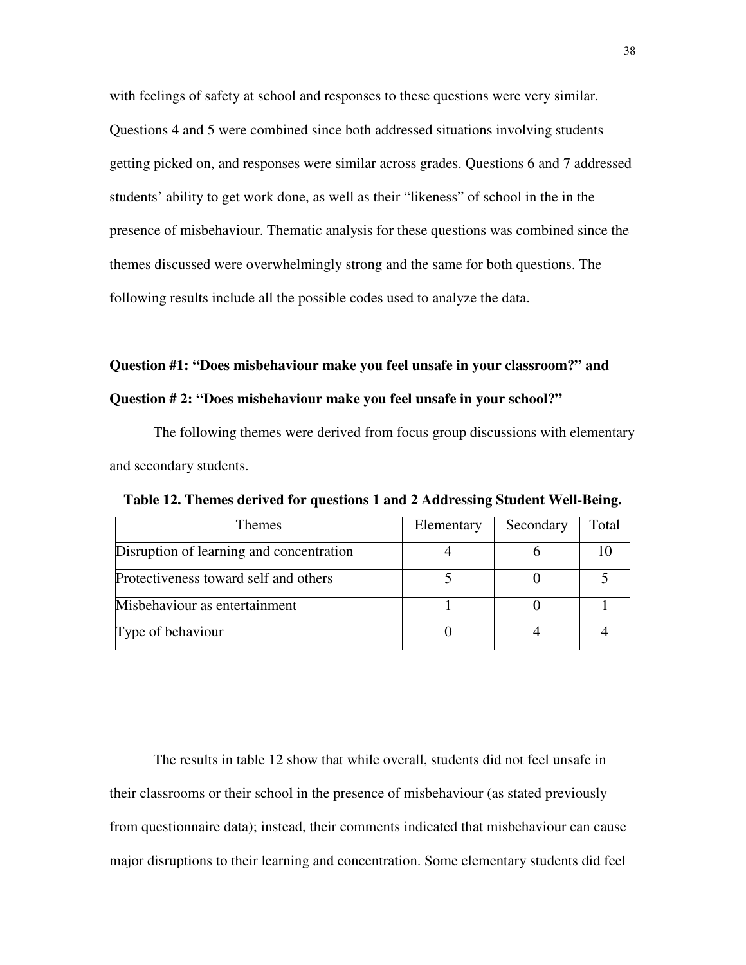with feelings of safety at school and responses to these questions were very similar. Questions 4 and 5 were combined since both addressed situations involving students getting picked on, and responses were similar across grades. Questions 6 and 7 addressed students' ability to get work done, as well as their "likeness" of school in the in the presence of misbehaviour. Thematic analysis for these questions was combined since the themes discussed were overwhelmingly strong and the same for both questions. The following results include all the possible codes used to analyze the data.

# **Question #1: "Does misbehaviour make you feel unsafe in your classroom?" and**

## **Question # 2: "Does misbehaviour make you feel unsafe in your school?"**

The following themes were derived from focus group discussions with elementary and secondary students.

| <b>Themes</b>                            | Elementary | Secondary | Total |
|------------------------------------------|------------|-----------|-------|
| Disruption of learning and concentration |            |           |       |
| Protectiveness toward self and others    |            |           |       |
| Misbehaviour as entertainment            |            |           |       |
| Type of behaviour                        |            |           |       |

**Table 12. Themes derived for questions 1 and 2 Addressing Student Well-Being.** 

 The results in table 12 show that while overall, students did not feel unsafe in their classrooms or their school in the presence of misbehaviour (as stated previously from questionnaire data); instead, their comments indicated that misbehaviour can cause major disruptions to their learning and concentration. Some elementary students did feel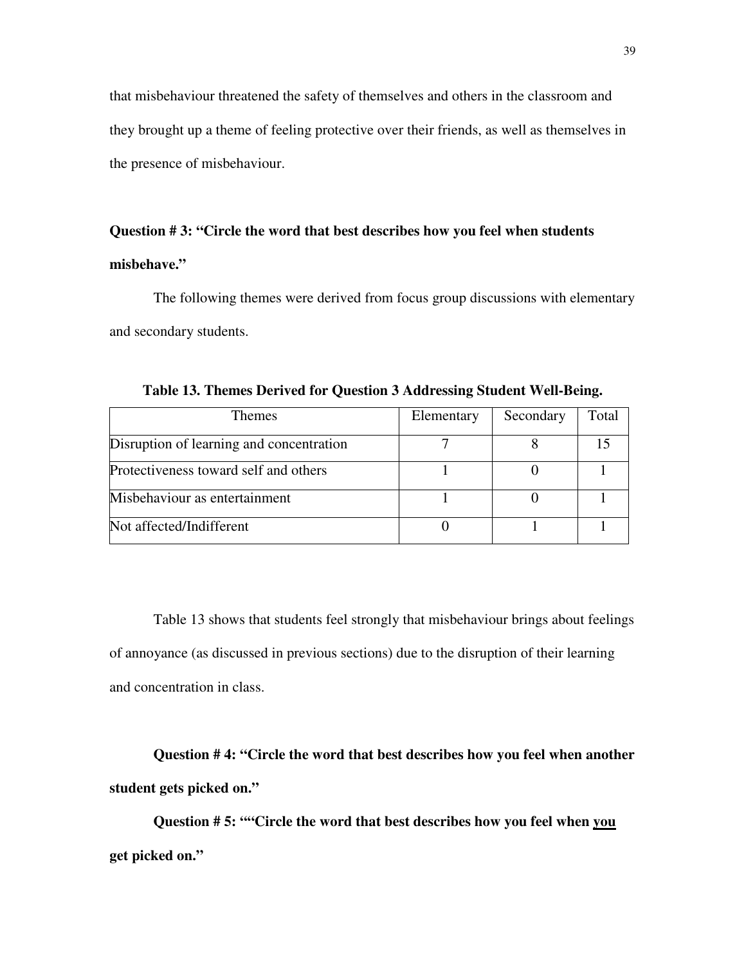that misbehaviour threatened the safety of themselves and others in the classroom and they brought up a theme of feeling protective over their friends, as well as themselves in the presence of misbehaviour.

# **Question # 3: "Circle the word that best describes how you feel when students**

# **misbehave."**

The following themes were derived from focus group discussions with elementary and secondary students.

| <b>Themes</b>                            | Elementary | Secondary | Total |
|------------------------------------------|------------|-----------|-------|
| Disruption of learning and concentration |            |           |       |
| Protectiveness toward self and others    |            |           |       |
| Misbehaviour as entertainment            |            |           |       |
| Not affected/Indifferent                 |            |           |       |

**Table 13. Themes Derived for Question 3 Addressing Student Well-Being.**

 Table 13 shows that students feel strongly that misbehaviour brings about feelings of annoyance (as discussed in previous sections) due to the disruption of their learning and concentration in class.

 **Question # 4: "Circle the word that best describes how you feel when another student gets picked on."** 

 **Question # 5: ""Circle the word that best describes how you feel when you get picked on."**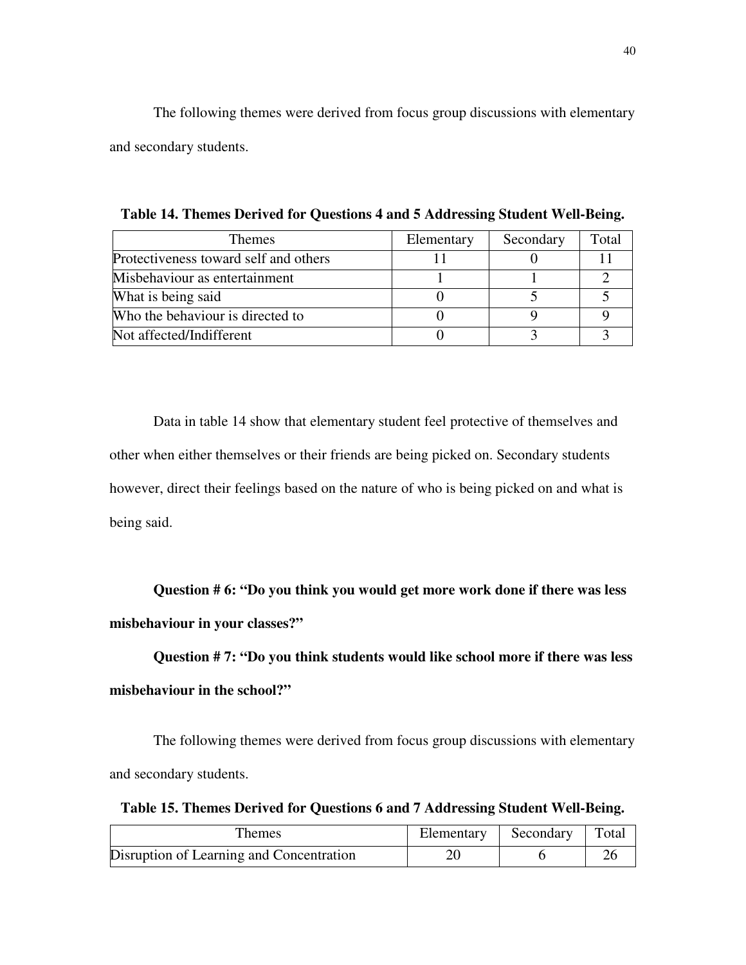The following themes were derived from focus group discussions with elementary and secondary students.

| Themes                                | Elementary | Secondary | Total |
|---------------------------------------|------------|-----------|-------|
| Protectiveness toward self and others |            |           |       |
| Misbehaviour as entertainment         |            |           |       |
| What is being said                    |            |           |       |
| Who the behaviour is directed to      |            |           |       |
| Not affected/Indifferent              |            |           |       |

**Table 14. Themes Derived for Questions 4 and 5 Addressing Student Well-Being.** 

Data in table 14 show that elementary student feel protective of themselves and other when either themselves or their friends are being picked on. Secondary students however, direct their feelings based on the nature of who is being picked on and what is being said.

 **Question # 6: "Do you think you would get more work done if there was less misbehaviour in your classes?"** 

 **Question # 7: "Do you think students would like school more if there was less misbehaviour in the school?"** 

The following themes were derived from focus group discussions with elementary and secondary students.

**Table 15. Themes Derived for Questions 6 and 7 Addressing Student Well-Being.** 

| Themes                                   | Elementary | Secondary | Total |
|------------------------------------------|------------|-----------|-------|
| Disruption of Learning and Concentration |            |           |       |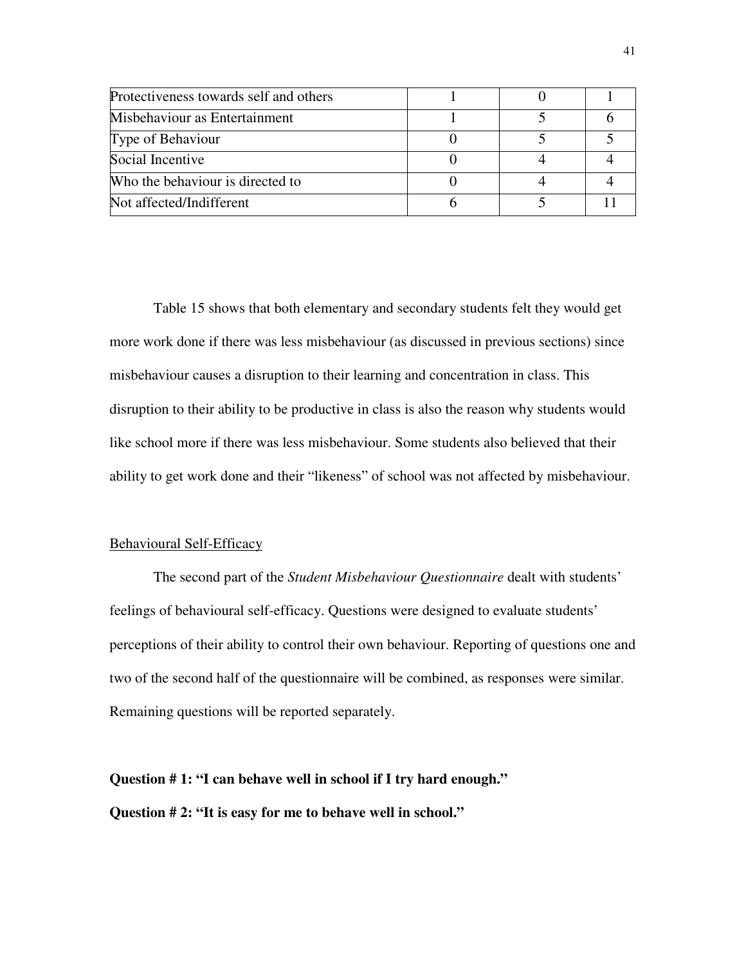| Protectiveness towards self and others |  |  |
|----------------------------------------|--|--|
| Misbehaviour as Entertainment          |  |  |
| Type of Behaviour                      |  |  |
| Social Incentive                       |  |  |
| Who the behaviour is directed to       |  |  |
| Not affected/Indifferent               |  |  |

Table 15 shows that both elementary and secondary students felt they would get more work done if there was less misbehaviour (as discussed in previous sections) since misbehaviour causes a disruption to their learning and concentration in class. This disruption to their ability to be productive in class is also the reason why students would like school more if there was less misbehaviour. Some students also believed that their ability to get work done and their "likeness" of school was not affected by misbehaviour.

## Behavioural Self-Efficacy

 The second part of the *Student Misbehaviour Questionnaire* dealt with students' feelings of behavioural self-efficacy. Questions were designed to evaluate students' perceptions of their ability to control their own behaviour. Reporting of questions one and two of the second half of the questionnaire will be combined, as responses were similar. Remaining questions will be reported separately.

**Question # 1: "I can behave well in school if I try hard enough." Question # 2: "It is easy for me to behave well in school."**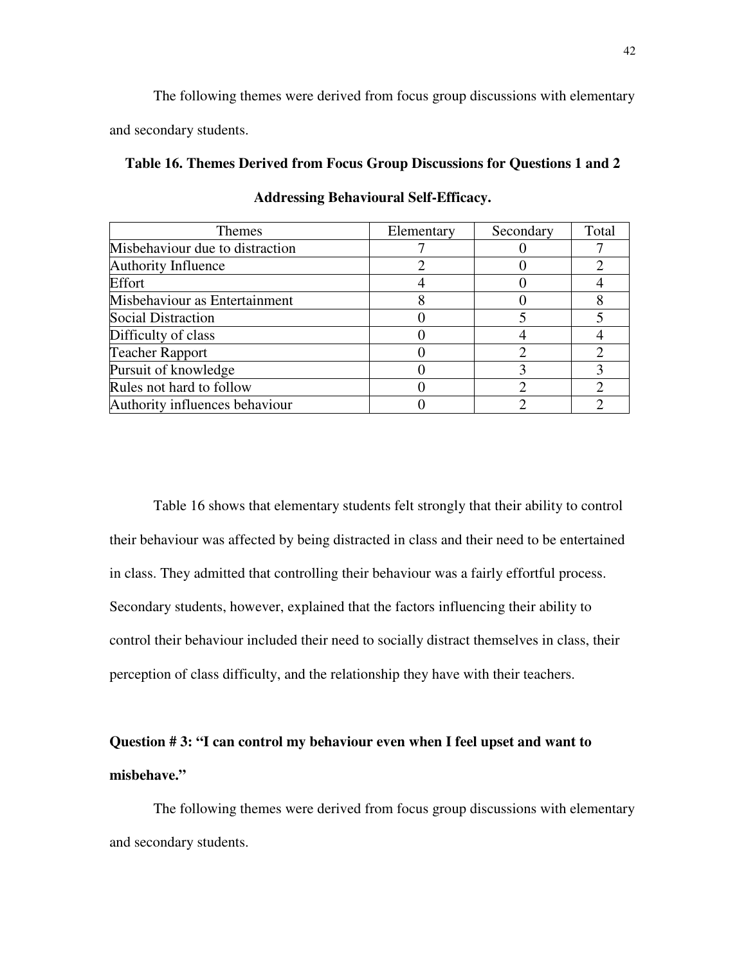The following themes were derived from focus group discussions with elementary and secondary students.

# **Table 16. Themes Derived from Focus Group Discussions for Questions 1 and 2**

| <b>Themes</b>                   | Elementary | Secondary | Total         |
|---------------------------------|------------|-----------|---------------|
| Misbehaviour due to distraction |            |           |               |
| Authority Influence             |            |           |               |
| Effort                          |            |           |               |
| Misbehaviour as Entertainment   |            |           |               |
| <b>Social Distraction</b>       |            |           |               |
| Difficulty of class             |            |           |               |
| <b>Teacher Rapport</b>          |            |           |               |
| Pursuit of knowledge            |            |           |               |
| Rules not hard to follow        |            |           | $\mathcal{D}$ |
| Authority influences behaviour  |            |           |               |

**Addressing Behavioural Self-Efficacy.** 

 Table 16 shows that elementary students felt strongly that their ability to control their behaviour was affected by being distracted in class and their need to be entertained in class. They admitted that controlling their behaviour was a fairly effortful process. Secondary students, however, explained that the factors influencing their ability to control their behaviour included their need to socially distract themselves in class, their perception of class difficulty, and the relationship they have with their teachers.

# **Question # 3: "I can control my behaviour even when I feel upset and want to misbehave."**

The following themes were derived from focus group discussions with elementary and secondary students.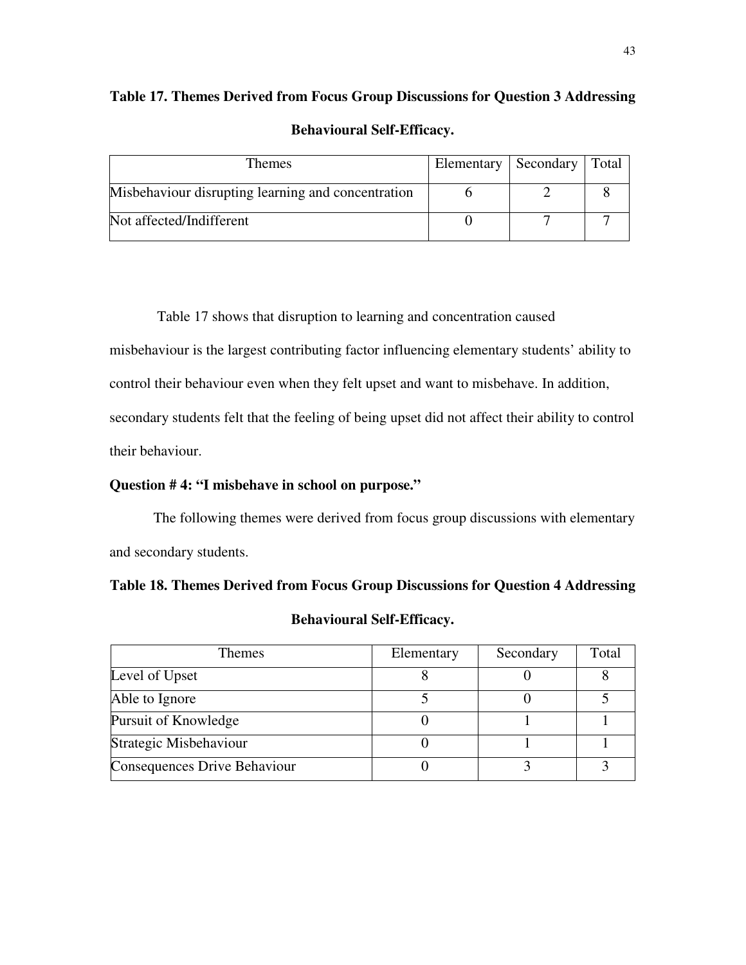# **Table 17. Themes Derived from Focus Group Discussions for Question 3 Addressing Behavioural Self-Efficacy.**

| Themes                                             | Elementary   Secondary   Total |  |
|----------------------------------------------------|--------------------------------|--|
| Misbehaviour disrupting learning and concentration |                                |  |
| Not affected/Indifferent                           |                                |  |

Table 17 shows that disruption to learning and concentration caused

misbehaviour is the largest contributing factor influencing elementary students' ability to

control their behaviour even when they felt upset and want to misbehave. In addition,

secondary students felt that the feeling of being upset did not affect their ability to control

their behaviour.

# **Question # 4: "I misbehave in school on purpose."**

The following themes were derived from focus group discussions with elementary and secondary students.

# **Table 18. Themes Derived from Focus Group Discussions for Question 4 Addressing**

| <b>Themes</b>                | Elementary | Secondary | Total |
|------------------------------|------------|-----------|-------|
| Level of Upset               |            |           |       |
| Able to Ignore               |            |           |       |
| Pursuit of Knowledge         |            |           |       |
| Strategic Misbehaviour       |            |           |       |
| Consequences Drive Behaviour |            |           |       |

# **Behavioural Self-Efficacy.**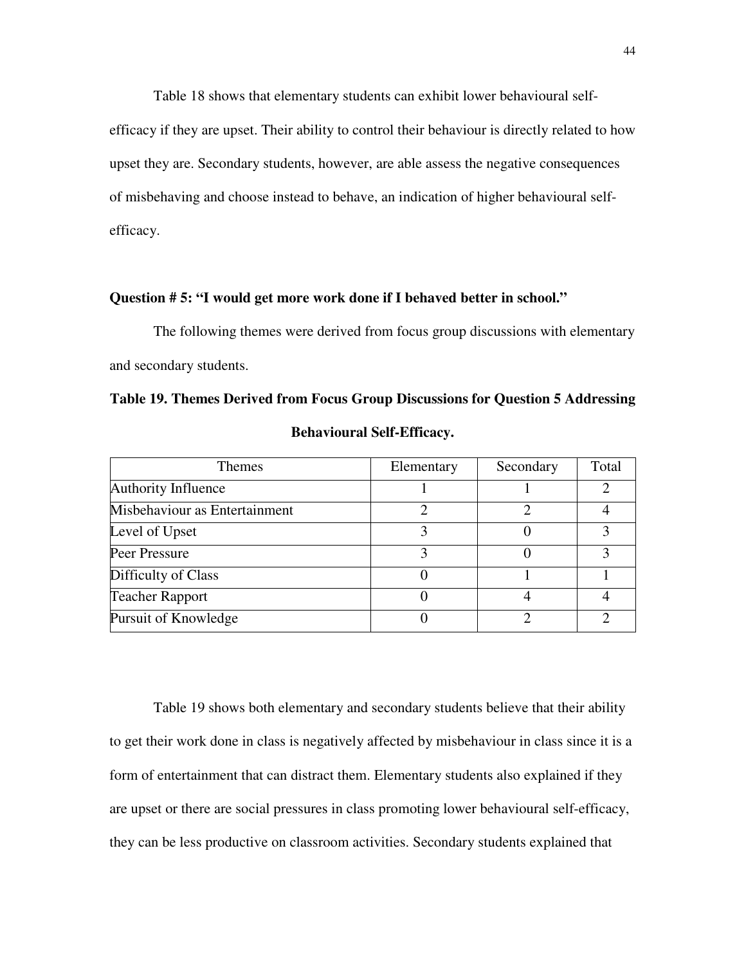Table 18 shows that elementary students can exhibit lower behavioural selfefficacy if they are upset. Their ability to control their behaviour is directly related to how upset they are. Secondary students, however, are able assess the negative consequences of misbehaving and choose instead to behave, an indication of higher behavioural selfefficacy.

## **Question # 5: "I would get more work done if I behaved better in school."**

The following themes were derived from focus group discussions with elementary and secondary students.

**Table 19. Themes Derived from Focus Group Discussions for Question 5 Addressing** 

| <b>Themes</b>                 | Elementary | Secondary | Total |
|-------------------------------|------------|-----------|-------|
| Authority Influence           |            |           |       |
| Misbehaviour as Entertainment |            |           |       |
| Level of Upset                |            |           |       |
| Peer Pressure                 |            |           |       |
| Difficulty of Class           |            |           |       |
| <b>Teacher Rapport</b>        |            |           |       |
| Pursuit of Knowledge          |            |           |       |

**Behavioural Self-Efficacy.** 

 Table 19 shows both elementary and secondary students believe that their ability to get their work done in class is negatively affected by misbehaviour in class since it is a form of entertainment that can distract them. Elementary students also explained if they are upset or there are social pressures in class promoting lower behavioural self-efficacy, they can be less productive on classroom activities. Secondary students explained that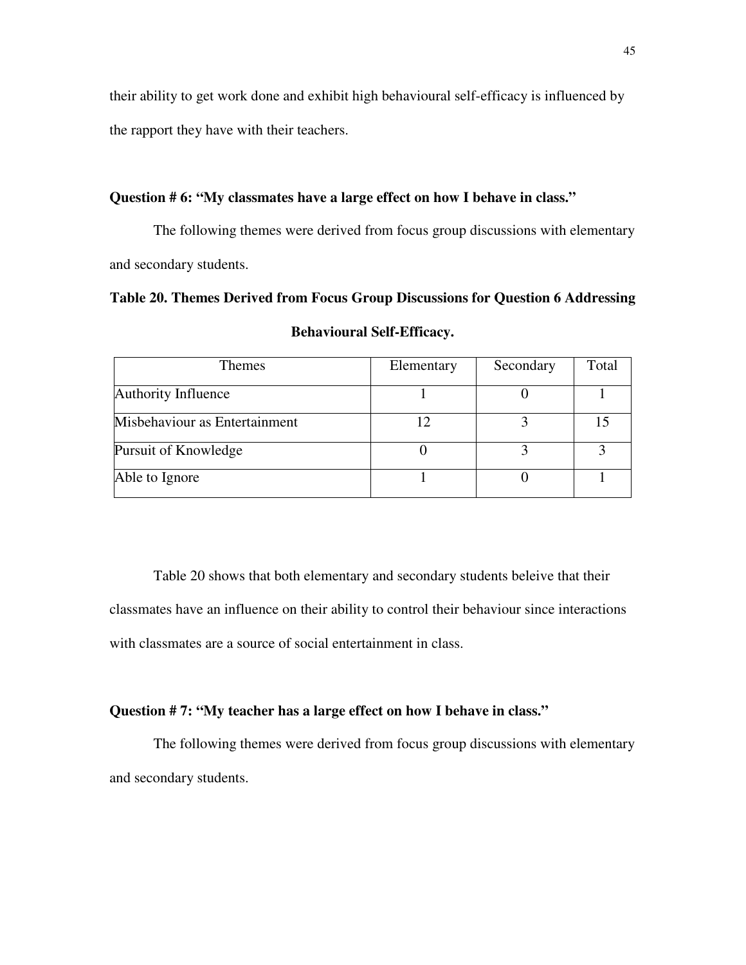their ability to get work done and exhibit high behavioural self-efficacy is influenced by the rapport they have with their teachers.

# **Question # 6: "My classmates have a large effect on how I behave in class."**

The following themes were derived from focus group discussions with elementary and secondary students.

**Table 20. Themes Derived from Focus Group Discussions for Question 6 Addressing Behavioural Self-Efficacy.**

| <b>Themes</b>                 | Elementary | Secondary | Total |
|-------------------------------|------------|-----------|-------|
| Authority Influence           |            |           |       |
| Misbehaviour as Entertainment |            |           |       |
| Pursuit of Knowledge          |            |           |       |
| Able to Ignore                |            |           |       |

Table 20 shows that both elementary and secondary students beleive that their classmates have an influence on their ability to control their behaviour since interactions with classmates are a source of social entertainment in class.

# **Question # 7: "My teacher has a large effect on how I behave in class."**

The following themes were derived from focus group discussions with elementary and secondary students.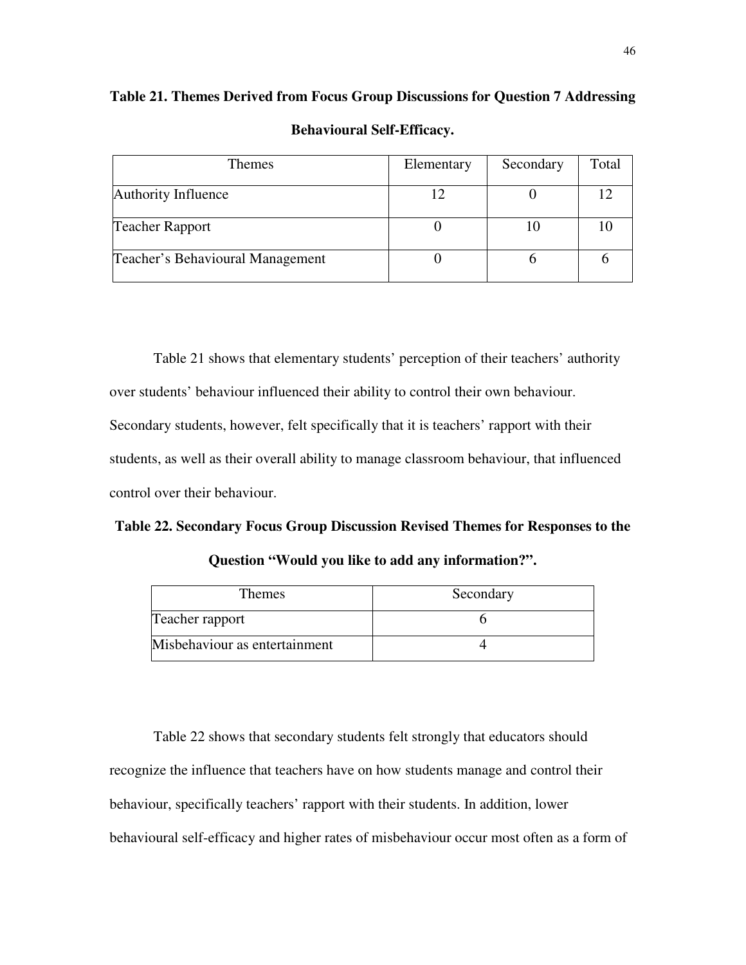| <b>Behavioural Self-Efficacy.</b> |            |           |       |
|-----------------------------------|------------|-----------|-------|
| <b>Themes</b>                     | Elementary | Secondary | Total |
| Authority Influence               |            |           |       |
| <b>Teacher Rapport</b>            |            | 10        | 10    |
| Teacher's Behavioural Management  |            |           |       |

**Table 21. Themes Derived from Focus Group Discussions for Question 7 Addressing** 

 Table 21 shows that elementary students' perception of their teachers' authority over students' behaviour influenced their ability to control their own behaviour. Secondary students, however, felt specifically that it is teachers' rapport with their students, as well as their overall ability to manage classroom behaviour, that influenced control over their behaviour.

## **Table 22. Secondary Focus Group Discussion Revised Themes for Responses to the**

| <b>Themes</b>                 | Secondary |
|-------------------------------|-----------|
| Teacher rapport               |           |
| Misbehaviour as entertainment |           |

Table 22 shows that secondary students felt strongly that educators should recognize the influence that teachers have on how students manage and control their behaviour, specifically teachers' rapport with their students. In addition, lower behavioural self-efficacy and higher rates of misbehaviour occur most often as a form of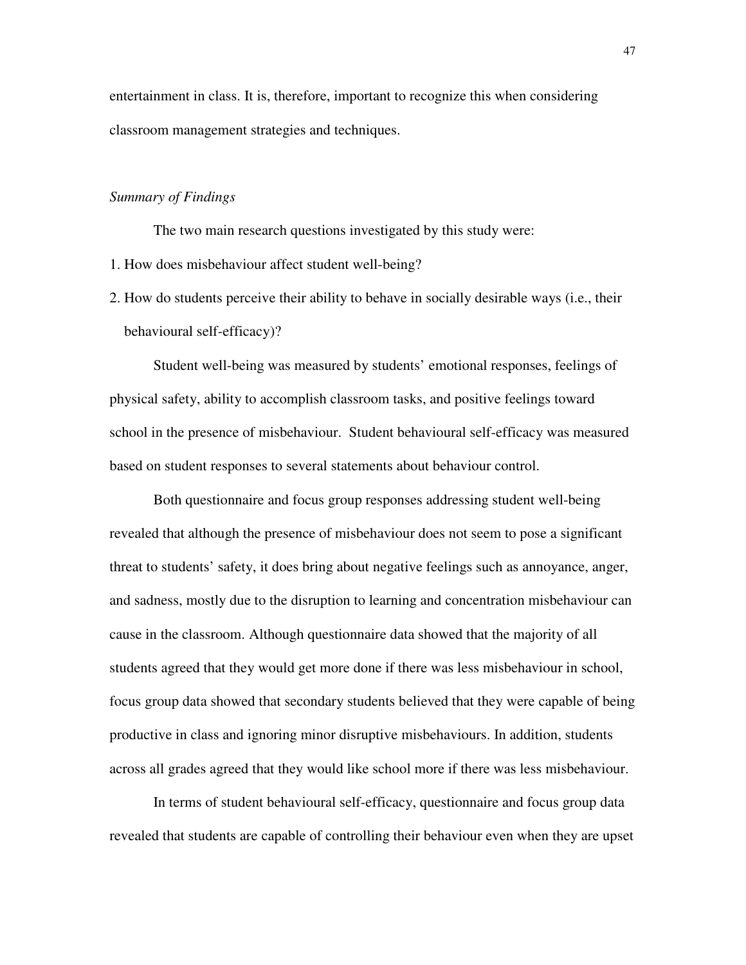entertainment in class. It is, therefore, important to recognize this when considering classroom management strategies and techniques.

## *Summary of Findings*

The two main research questions investigated by this study were:

- 1. How does misbehaviour affect student well-being?
- 2. How do students perceive their ability to behave in socially desirable ways (i.e., their behavioural self-efficacy)?

 Student well-being was measured by students' emotional responses, feelings of physical safety, ability to accomplish classroom tasks, and positive feelings toward school in the presence of misbehaviour. Student behavioural self-efficacy was measured based on student responses to several statements about behaviour control.

 Both questionnaire and focus group responses addressing student well-being revealed that although the presence of misbehaviour does not seem to pose a significant threat to students' safety, it does bring about negative feelings such as annoyance, anger, and sadness, mostly due to the disruption to learning and concentration misbehaviour can cause in the classroom. Although questionnaire data showed that the majority of all students agreed that they would get more done if there was less misbehaviour in school, focus group data showed that secondary students believed that they were capable of being productive in class and ignoring minor disruptive misbehaviours. In addition, students across all grades agreed that they would like school more if there was less misbehaviour.

 In terms of student behavioural self-efficacy, questionnaire and focus group data revealed that students are capable of controlling their behaviour even when they are upset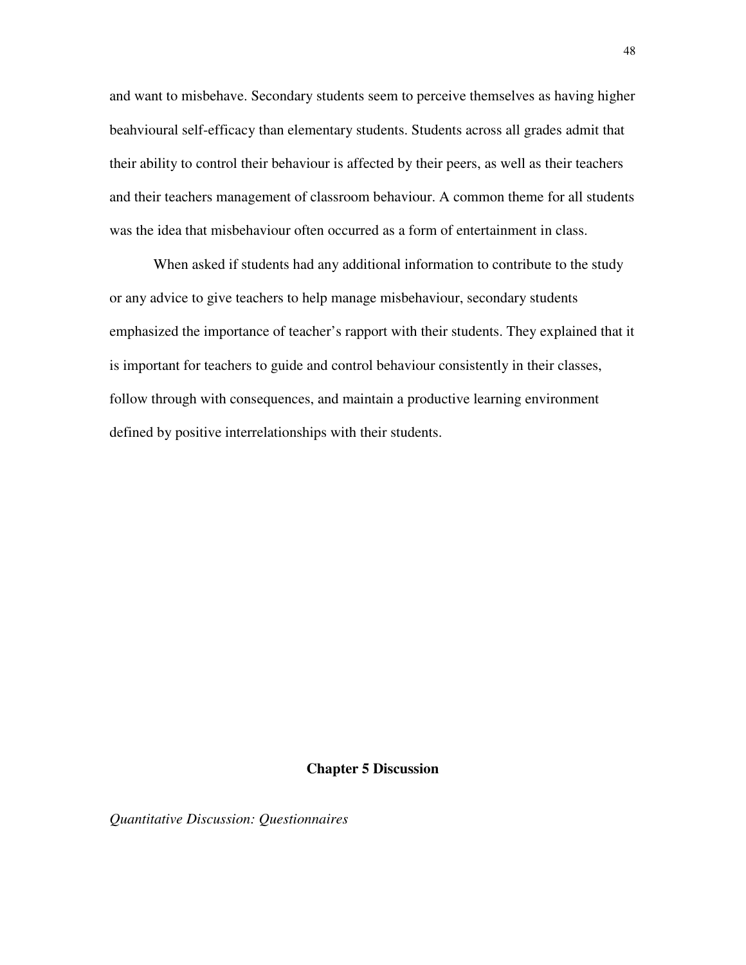and want to misbehave. Secondary students seem to perceive themselves as having higher beahvioural self-efficacy than elementary students. Students across all grades admit that their ability to control their behaviour is affected by their peers, as well as their teachers and their teachers management of classroom behaviour. A common theme for all students was the idea that misbehaviour often occurred as a form of entertainment in class.

 When asked if students had any additional information to contribute to the study or any advice to give teachers to help manage misbehaviour, secondary students emphasized the importance of teacher's rapport with their students. They explained that it is important for teachers to guide and control behaviour consistently in their classes, follow through with consequences, and maintain a productive learning environment defined by positive interrelationships with their students.

#### **Chapter 5 Discussion**

*Quantitative Discussion: Questionnaires*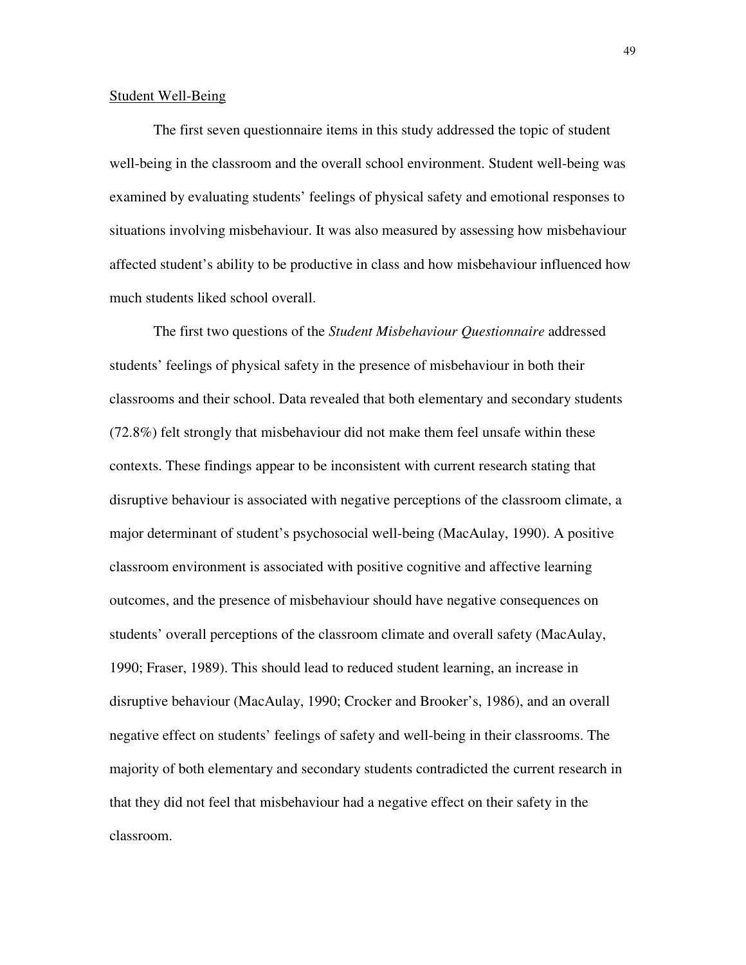#### Student Well-Being

 The first seven questionnaire items in this study addressed the topic of student well-being in the classroom and the overall school environment. Student well-being was examined by evaluating students' feelings of physical safety and emotional responses to situations involving misbehaviour. It was also measured by assessing how misbehaviour affected student's ability to be productive in class and how misbehaviour influenced how much students liked school overall.

 The first two questions of the *Student Misbehaviour Questionnaire* addressed students' feelings of physical safety in the presence of misbehaviour in both their classrooms and their school. Data revealed that both elementary and secondary students (72.8%) felt strongly that misbehaviour did not make them feel unsafe within these contexts. These findings appear to be inconsistent with current research stating that disruptive behaviour is associated with negative perceptions of the classroom climate, a major determinant of student's psychosocial well-being (MacAulay, 1990). A positive classroom environment is associated with positive cognitive and affective learning outcomes, and the presence of misbehaviour should have negative consequences on students' overall perceptions of the classroom climate and overall safety (MacAulay, 1990; Fraser, 1989). This should lead to reduced student learning, an increase in disruptive behaviour (MacAulay, 1990; Crocker and Brooker's, 1986), and an overall negative effect on students' feelings of safety and well-being in their classrooms. The majority of both elementary and secondary students contradicted the current research in that they did not feel that misbehaviour had a negative effect on their safety in the classroom.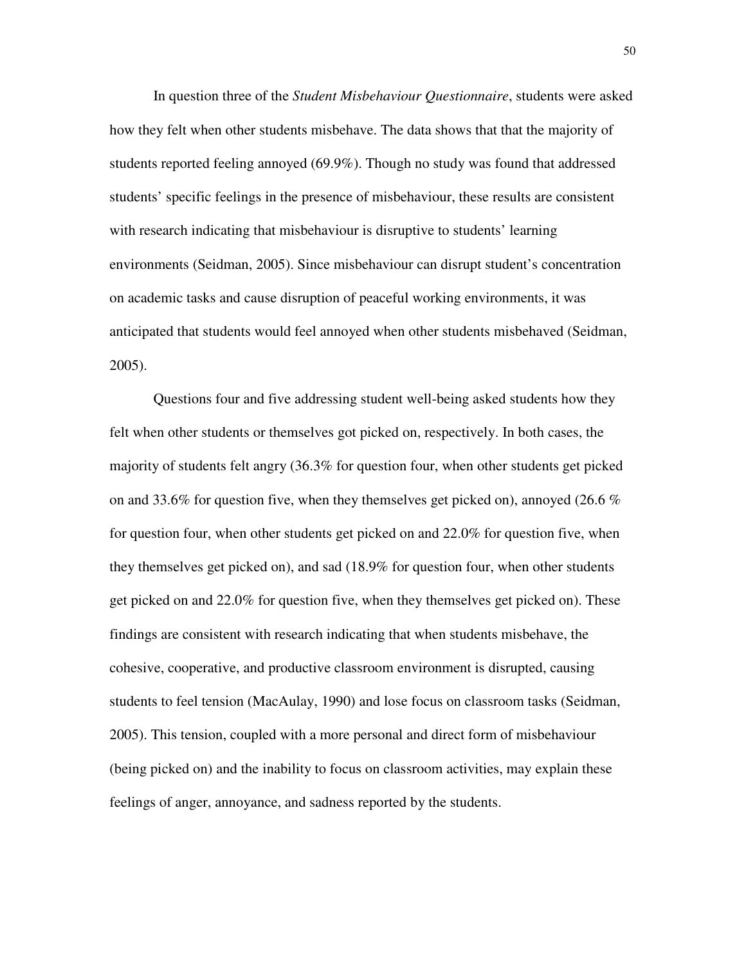In question three of the *Student Misbehaviour Questionnaire*, students were asked how they felt when other students misbehave. The data shows that that the majority of students reported feeling annoyed (69.9%). Though no study was found that addressed students' specific feelings in the presence of misbehaviour, these results are consistent with research indicating that misbehaviour is disruptive to students' learning environments (Seidman, 2005). Since misbehaviour can disrupt student's concentration on academic tasks and cause disruption of peaceful working environments, it was anticipated that students would feel annoyed when other students misbehaved (Seidman, 2005).

 Questions four and five addressing student well-being asked students how they felt when other students or themselves got picked on, respectively. In both cases, the majority of students felt angry (36.3% for question four, when other students get picked on and 33.6% for question five, when they themselves get picked on), annoyed (26.6 % for question four, when other students get picked on and 22.0% for question five, when they themselves get picked on), and sad (18.9% for question four, when other students get picked on and 22.0% for question five, when they themselves get picked on). These findings are consistent with research indicating that when students misbehave, the cohesive, cooperative, and productive classroom environment is disrupted, causing students to feel tension (MacAulay, 1990) and lose focus on classroom tasks (Seidman, 2005). This tension, coupled with a more personal and direct form of misbehaviour (being picked on) and the inability to focus on classroom activities, may explain these feelings of anger, annoyance, and sadness reported by the students.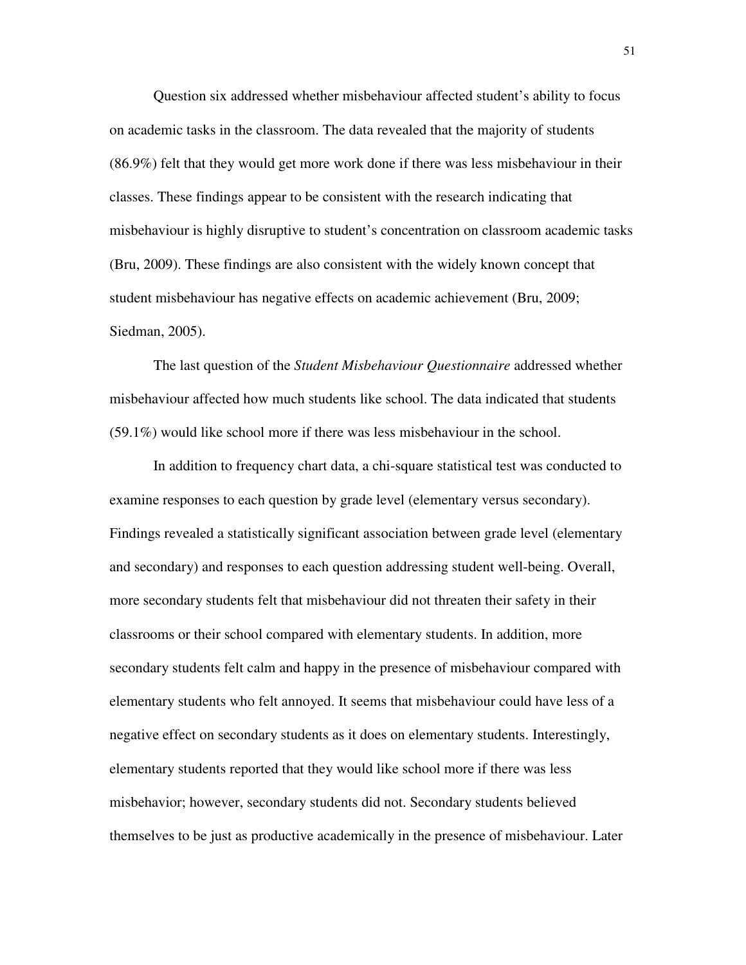Question six addressed whether misbehaviour affected student's ability to focus on academic tasks in the classroom. The data revealed that the majority of students (86.9%) felt that they would get more work done if there was less misbehaviour in their classes. These findings appear to be consistent with the research indicating that misbehaviour is highly disruptive to student's concentration on classroom academic tasks (Bru, 2009). These findings are also consistent with the widely known concept that student misbehaviour has negative effects on academic achievement (Bru, 2009; Siedman, 2005).

 The last question of the *Student Misbehaviour Questionnaire* addressed whether misbehaviour affected how much students like school. The data indicated that students (59.1%) would like school more if there was less misbehaviour in the school.

 In addition to frequency chart data, a chi-square statistical test was conducted to examine responses to each question by grade level (elementary versus secondary). Findings revealed a statistically significant association between grade level (elementary and secondary) and responses to each question addressing student well-being. Overall, more secondary students felt that misbehaviour did not threaten their safety in their classrooms or their school compared with elementary students. In addition, more secondary students felt calm and happy in the presence of misbehaviour compared with elementary students who felt annoyed. It seems that misbehaviour could have less of a negative effect on secondary students as it does on elementary students. Interestingly, elementary students reported that they would like school more if there was less misbehavior; however, secondary students did not. Secondary students believed themselves to be just as productive academically in the presence of misbehaviour. Later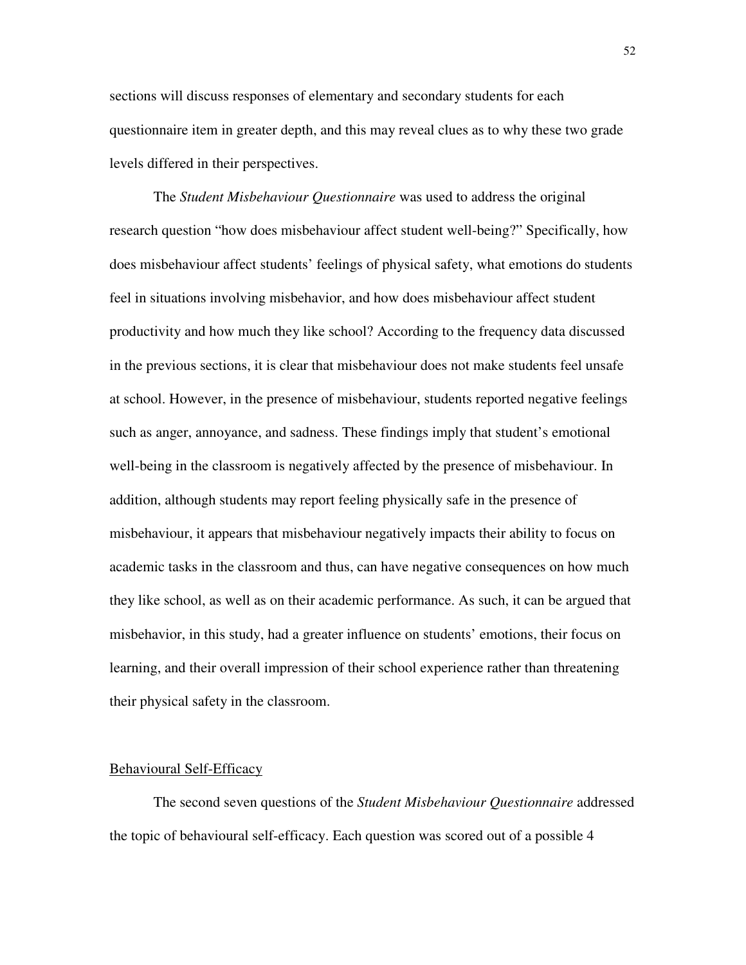sections will discuss responses of elementary and secondary students for each questionnaire item in greater depth, and this may reveal clues as to why these two grade levels differed in their perspectives.

 The *Student Misbehaviour Questionnaire* was used to address the original research question "how does misbehaviour affect student well-being?" Specifically, how does misbehaviour affect students' feelings of physical safety, what emotions do students feel in situations involving misbehavior, and how does misbehaviour affect student productivity and how much they like school? According to the frequency data discussed in the previous sections, it is clear that misbehaviour does not make students feel unsafe at school. However, in the presence of misbehaviour, students reported negative feelings such as anger, annoyance, and sadness. These findings imply that student's emotional well-being in the classroom is negatively affected by the presence of misbehaviour. In addition, although students may report feeling physically safe in the presence of misbehaviour, it appears that misbehaviour negatively impacts their ability to focus on academic tasks in the classroom and thus, can have negative consequences on how much they like school, as well as on their academic performance. As such, it can be argued that misbehavior, in this study, had a greater influence on students' emotions, their focus on learning, and their overall impression of their school experience rather than threatening their physical safety in the classroom.

#### Behavioural Self-Efficacy

 The second seven questions of the *Student Misbehaviour Questionnaire* addressed the topic of behavioural self-efficacy. Each question was scored out of a possible 4

52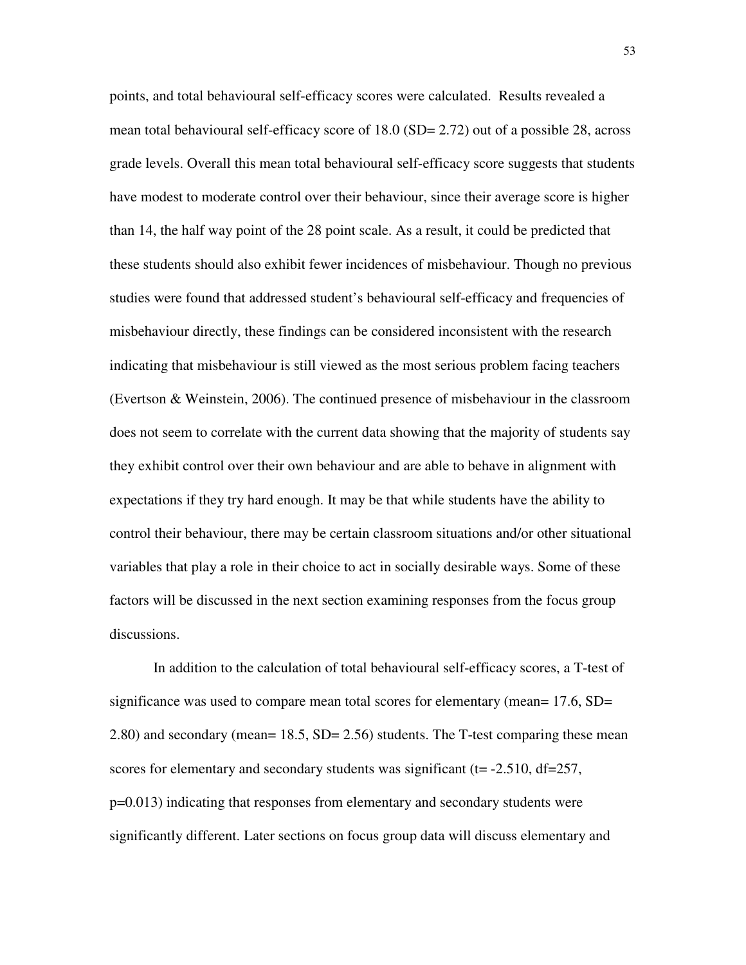points, and total behavioural self-efficacy scores were calculated. Results revealed a mean total behavioural self-efficacy score of 18.0 (SD= 2.72) out of a possible 28, across grade levels. Overall this mean total behavioural self-efficacy score suggests that students have modest to moderate control over their behaviour, since their average score is higher than 14, the half way point of the 28 point scale. As a result, it could be predicted that these students should also exhibit fewer incidences of misbehaviour. Though no previous studies were found that addressed student's behavioural self-efficacy and frequencies of misbehaviour directly, these findings can be considered inconsistent with the research indicating that misbehaviour is still viewed as the most serious problem facing teachers (Evertson & Weinstein, 2006). The continued presence of misbehaviour in the classroom does not seem to correlate with the current data showing that the majority of students say they exhibit control over their own behaviour and are able to behave in alignment with expectations if they try hard enough. It may be that while students have the ability to control their behaviour, there may be certain classroom situations and/or other situational variables that play a role in their choice to act in socially desirable ways. Some of these factors will be discussed in the next section examining responses from the focus group discussions.

 In addition to the calculation of total behavioural self-efficacy scores, a T-test of significance was used to compare mean total scores for elementary (mean= 17.6, SD= 2.80) and secondary (mean= 18.5, SD= 2.56) students. The T-test comparing these mean scores for elementary and secondary students was significant ( $t = -2.510$ ,  $df = 257$ , p=0.013) indicating that responses from elementary and secondary students were significantly different. Later sections on focus group data will discuss elementary and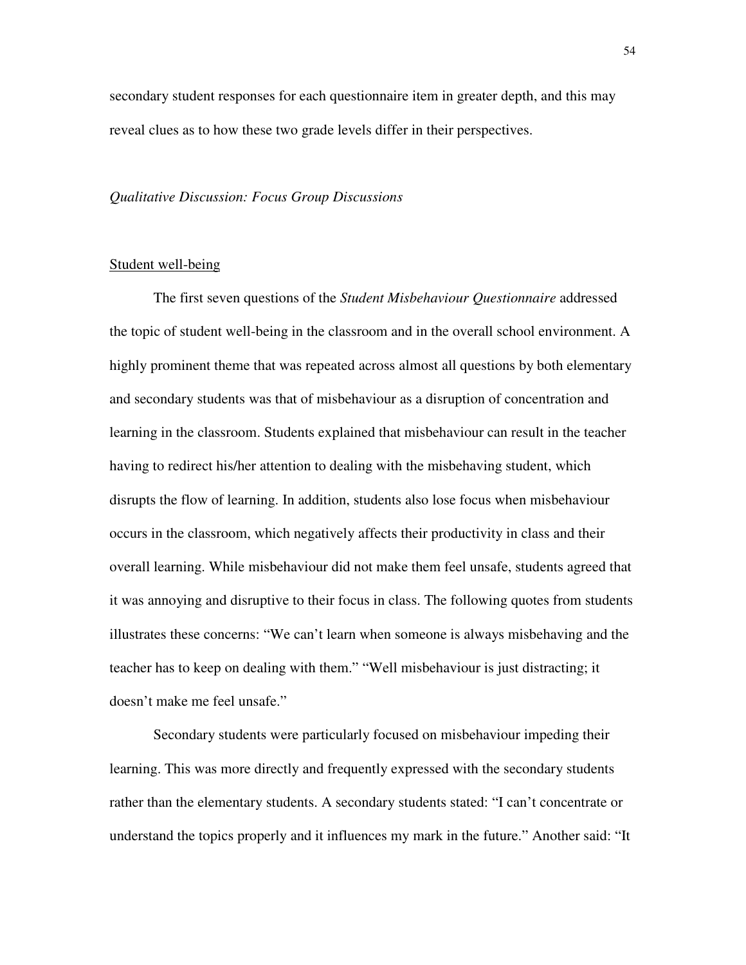secondary student responses for each questionnaire item in greater depth, and this may reveal clues as to how these two grade levels differ in their perspectives.

#### *Qualitative Discussion: Focus Group Discussions*

## Student well-being

 The first seven questions of the *Student Misbehaviour Questionnaire* addressed the topic of student well-being in the classroom and in the overall school environment. A highly prominent theme that was repeated across almost all questions by both elementary and secondary students was that of misbehaviour as a disruption of concentration and learning in the classroom. Students explained that misbehaviour can result in the teacher having to redirect his/her attention to dealing with the misbehaving student, which disrupts the flow of learning. In addition, students also lose focus when misbehaviour occurs in the classroom, which negatively affects their productivity in class and their overall learning. While misbehaviour did not make them feel unsafe, students agreed that it was annoying and disruptive to their focus in class. The following quotes from students illustrates these concerns: "We can't learn when someone is always misbehaving and the teacher has to keep on dealing with them." "Well misbehaviour is just distracting; it doesn't make me feel unsafe."

 Secondary students were particularly focused on misbehaviour impeding their learning. This was more directly and frequently expressed with the secondary students rather than the elementary students. A secondary students stated: "I can't concentrate or understand the topics properly and it influences my mark in the future." Another said: "It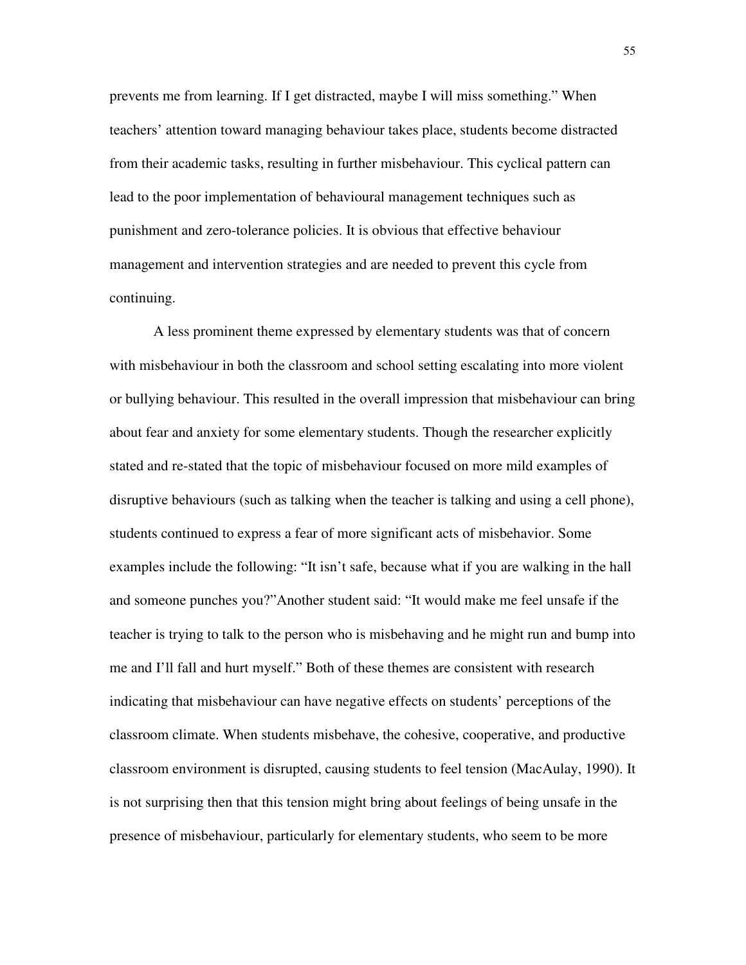prevents me from learning. If I get distracted, maybe I will miss something." When teachers' attention toward managing behaviour takes place, students become distracted from their academic tasks, resulting in further misbehaviour. This cyclical pattern can lead to the poor implementation of behavioural management techniques such as punishment and zero-tolerance policies. It is obvious that effective behaviour management and intervention strategies and are needed to prevent this cycle from continuing.

 A less prominent theme expressed by elementary students was that of concern with misbehaviour in both the classroom and school setting escalating into more violent or bullying behaviour. This resulted in the overall impression that misbehaviour can bring about fear and anxiety for some elementary students. Though the researcher explicitly stated and re-stated that the topic of misbehaviour focused on more mild examples of disruptive behaviours (such as talking when the teacher is talking and using a cell phone), students continued to express a fear of more significant acts of misbehavior. Some examples include the following: "It isn't safe, because what if you are walking in the hall and someone punches you?"Another student said: "It would make me feel unsafe if the teacher is trying to talk to the person who is misbehaving and he might run and bump into me and I'll fall and hurt myself." Both of these themes are consistent with research indicating that misbehaviour can have negative effects on students' perceptions of the classroom climate. When students misbehave, the cohesive, cooperative, and productive classroom environment is disrupted, causing students to feel tension (MacAulay, 1990). It is not surprising then that this tension might bring about feelings of being unsafe in the presence of misbehaviour, particularly for elementary students, who seem to be more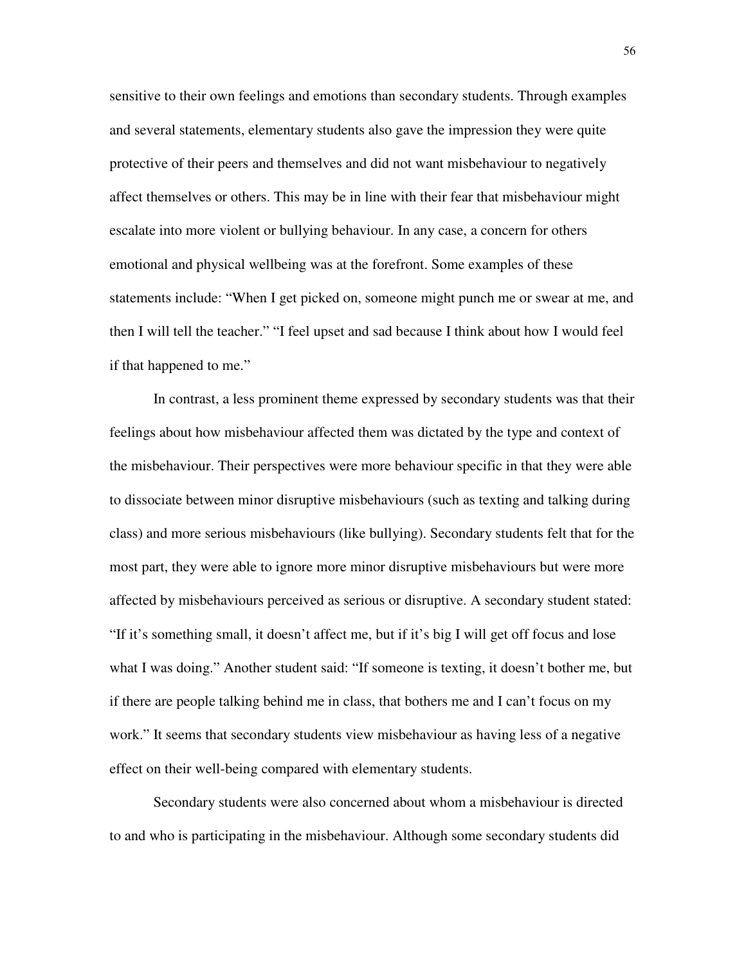sensitive to their own feelings and emotions than secondary students. Through examples and several statements, elementary students also gave the impression they were quite protective of their peers and themselves and did not want misbehaviour to negatively affect themselves or others. This may be in line with their fear that misbehaviour might escalate into more violent or bullying behaviour. In any case, a concern for others emotional and physical wellbeing was at the forefront. Some examples of these statements include: "When I get picked on, someone might punch me or swear at me, and then I will tell the teacher." "I feel upset and sad because I think about how I would feel if that happened to me."

 In contrast, a less prominent theme expressed by secondary students was that their feelings about how misbehaviour affected them was dictated by the type and context of the misbehaviour. Their perspectives were more behaviour specific in that they were able to dissociate between minor disruptive misbehaviours (such as texting and talking during class) and more serious misbehaviours (like bullying). Secondary students felt that for the most part, they were able to ignore more minor disruptive misbehaviours but were more affected by misbehaviours perceived as serious or disruptive. A secondary student stated: "If it's something small, it doesn't affect me, but if it's big I will get off focus and lose what I was doing." Another student said: "If someone is texting, it doesn't bother me, but if there are people talking behind me in class, that bothers me and I can't focus on my work." It seems that secondary students view misbehaviour as having less of a negative effect on their well-being compared with elementary students.

 Secondary students were also concerned about whom a misbehaviour is directed to and who is participating in the misbehaviour. Although some secondary students did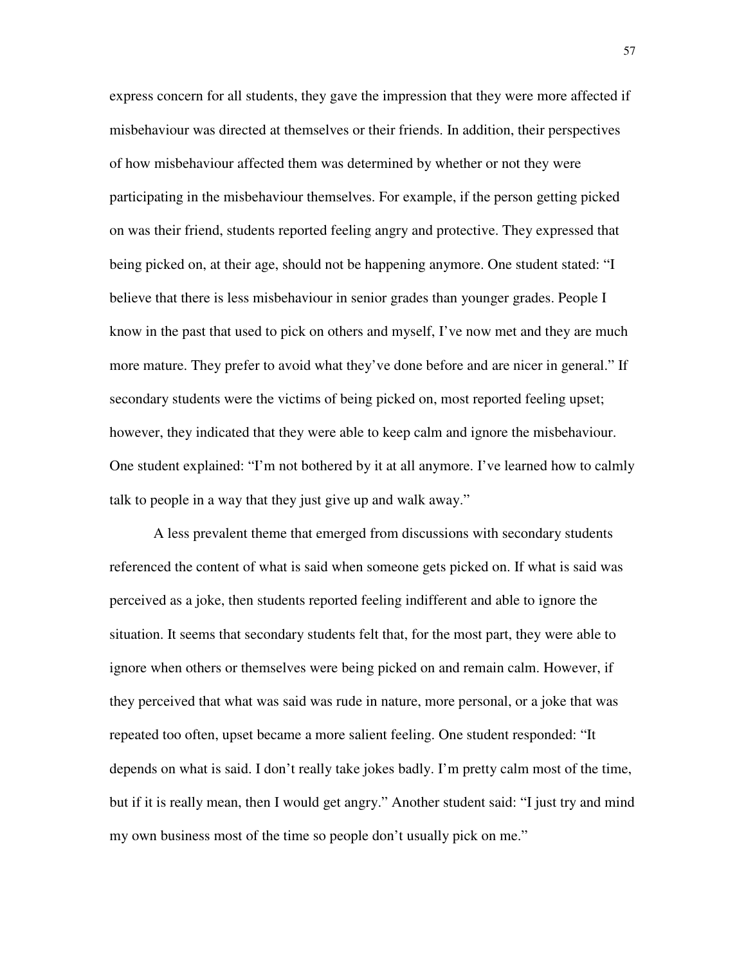express concern for all students, they gave the impression that they were more affected if misbehaviour was directed at themselves or their friends. In addition, their perspectives of how misbehaviour affected them was determined by whether or not they were participating in the misbehaviour themselves. For example, if the person getting picked on was their friend, students reported feeling angry and protective. They expressed that being picked on, at their age, should not be happening anymore. One student stated: "I believe that there is less misbehaviour in senior grades than younger grades. People I know in the past that used to pick on others and myself, I've now met and they are much more mature. They prefer to avoid what they've done before and are nicer in general." If secondary students were the victims of being picked on, most reported feeling upset; however, they indicated that they were able to keep calm and ignore the misbehaviour. One student explained: "I'm not bothered by it at all anymore. I've learned how to calmly talk to people in a way that they just give up and walk away."

 A less prevalent theme that emerged from discussions with secondary students referenced the content of what is said when someone gets picked on. If what is said was perceived as a joke, then students reported feeling indifferent and able to ignore the situation. It seems that secondary students felt that, for the most part, they were able to ignore when others or themselves were being picked on and remain calm. However, if they perceived that what was said was rude in nature, more personal, or a joke that was repeated too often, upset became a more salient feeling. One student responded: "It depends on what is said. I don't really take jokes badly. I'm pretty calm most of the time, but if it is really mean, then I would get angry." Another student said: "I just try and mind my own business most of the time so people don't usually pick on me."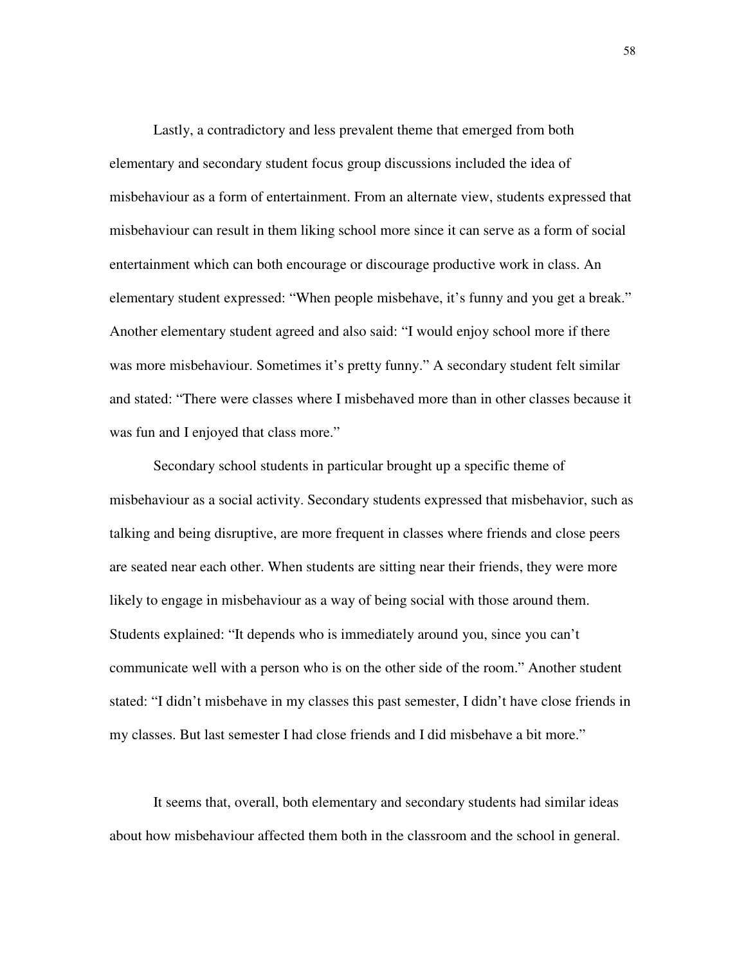Lastly, a contradictory and less prevalent theme that emerged from both elementary and secondary student focus group discussions included the idea of misbehaviour as a form of entertainment. From an alternate view, students expressed that misbehaviour can result in them liking school more since it can serve as a form of social entertainment which can both encourage or discourage productive work in class. An elementary student expressed: "When people misbehave, it's funny and you get a break." Another elementary student agreed and also said: "I would enjoy school more if there was more misbehaviour. Sometimes it's pretty funny." A secondary student felt similar and stated: "There were classes where I misbehaved more than in other classes because it was fun and I enjoyed that class more."

 Secondary school students in particular brought up a specific theme of misbehaviour as a social activity. Secondary students expressed that misbehavior, such as talking and being disruptive, are more frequent in classes where friends and close peers are seated near each other. When students are sitting near their friends, they were more likely to engage in misbehaviour as a way of being social with those around them. Students explained: "It depends who is immediately around you, since you can't communicate well with a person who is on the other side of the room." Another student stated: "I didn't misbehave in my classes this past semester, I didn't have close friends in my classes. But last semester I had close friends and I did misbehave a bit more."

 It seems that, overall, both elementary and secondary students had similar ideas about how misbehaviour affected them both in the classroom and the school in general.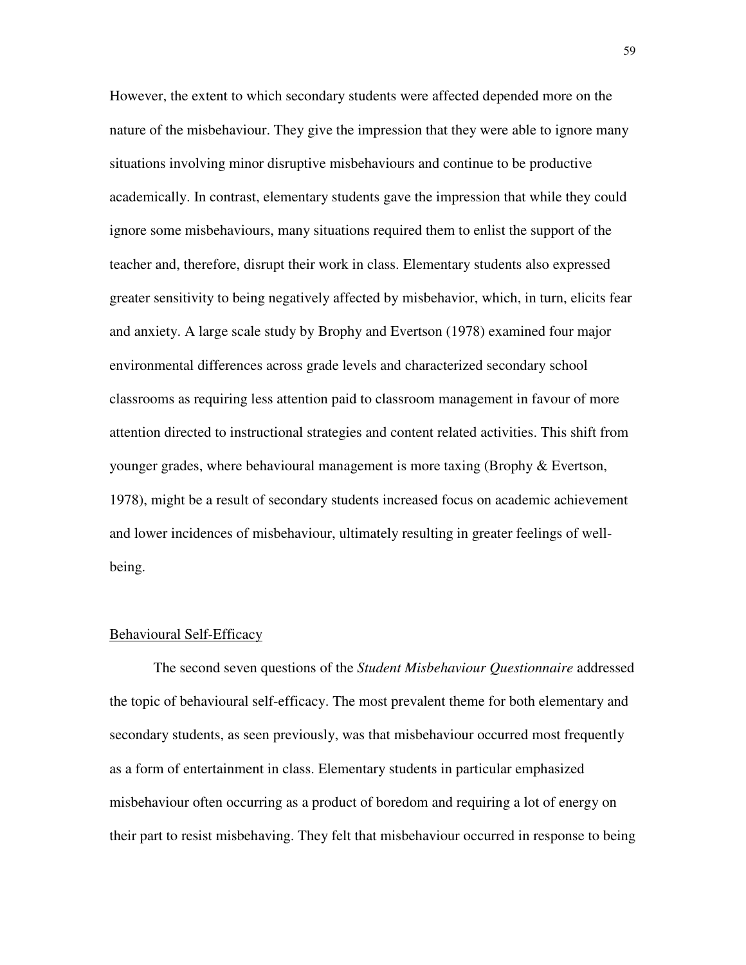However, the extent to which secondary students were affected depended more on the nature of the misbehaviour. They give the impression that they were able to ignore many situations involving minor disruptive misbehaviours and continue to be productive academically. In contrast, elementary students gave the impression that while they could ignore some misbehaviours, many situations required them to enlist the support of the teacher and, therefore, disrupt their work in class. Elementary students also expressed greater sensitivity to being negatively affected by misbehavior, which, in turn, elicits fear and anxiety. A large scale study by Brophy and Evertson (1978) examined four major environmental differences across grade levels and characterized secondary school classrooms as requiring less attention paid to classroom management in favour of more attention directed to instructional strategies and content related activities. This shift from younger grades, where behavioural management is more taxing (Brophy & Evertson, 1978), might be a result of secondary students increased focus on academic achievement and lower incidences of misbehaviour, ultimately resulting in greater feelings of wellbeing.

#### Behavioural Self-Efficacy

 The second seven questions of the *Student Misbehaviour Questionnaire* addressed the topic of behavioural self-efficacy. The most prevalent theme for both elementary and secondary students, as seen previously, was that misbehaviour occurred most frequently as a form of entertainment in class. Elementary students in particular emphasized misbehaviour often occurring as a product of boredom and requiring a lot of energy on their part to resist misbehaving. They felt that misbehaviour occurred in response to being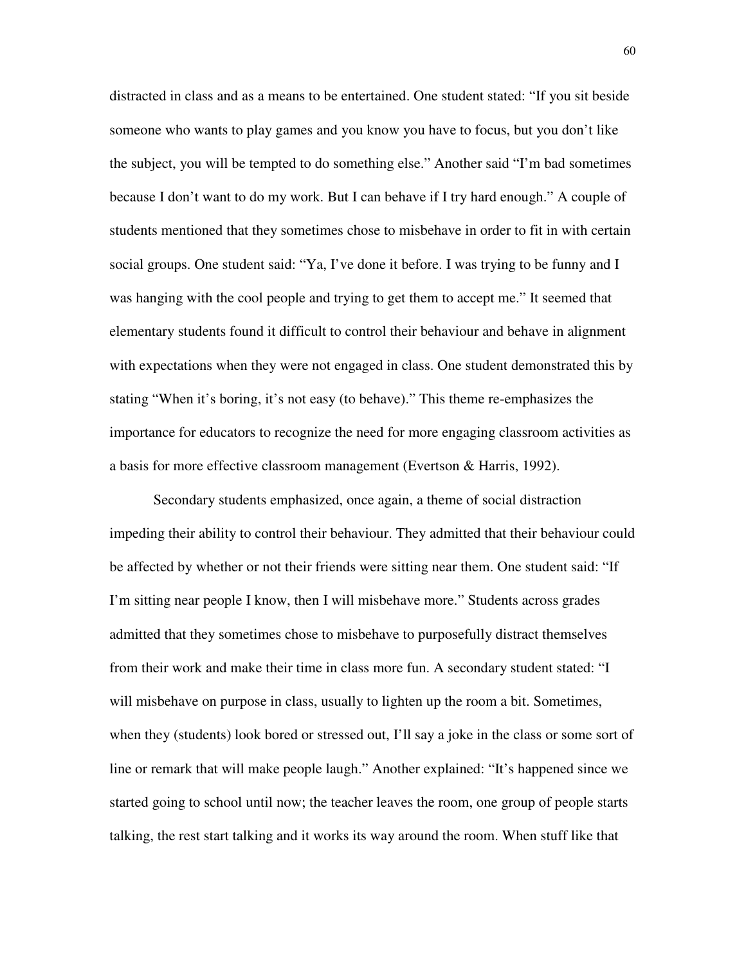distracted in class and as a means to be entertained. One student stated: "If you sit beside someone who wants to play games and you know you have to focus, but you don't like the subject, you will be tempted to do something else." Another said "I'm bad sometimes because I don't want to do my work. But I can behave if I try hard enough." A couple of students mentioned that they sometimes chose to misbehave in order to fit in with certain social groups. One student said: "Ya, I've done it before. I was trying to be funny and I was hanging with the cool people and trying to get them to accept me." It seemed that elementary students found it difficult to control their behaviour and behave in alignment with expectations when they were not engaged in class. One student demonstrated this by stating "When it's boring, it's not easy (to behave)." This theme re-emphasizes the importance for educators to recognize the need for more engaging classroom activities as a basis for more effective classroom management (Evertson & Harris, 1992).

 Secondary students emphasized, once again, a theme of social distraction impeding their ability to control their behaviour. They admitted that their behaviour could be affected by whether or not their friends were sitting near them. One student said: "If I'm sitting near people I know, then I will misbehave more." Students across grades admitted that they sometimes chose to misbehave to purposefully distract themselves from their work and make their time in class more fun. A secondary student stated: "I will misbehave on purpose in class, usually to lighten up the room a bit. Sometimes, when they (students) look bored or stressed out, I'll say a joke in the class or some sort of line or remark that will make people laugh." Another explained: "It's happened since we started going to school until now; the teacher leaves the room, one group of people starts talking, the rest start talking and it works its way around the room. When stuff like that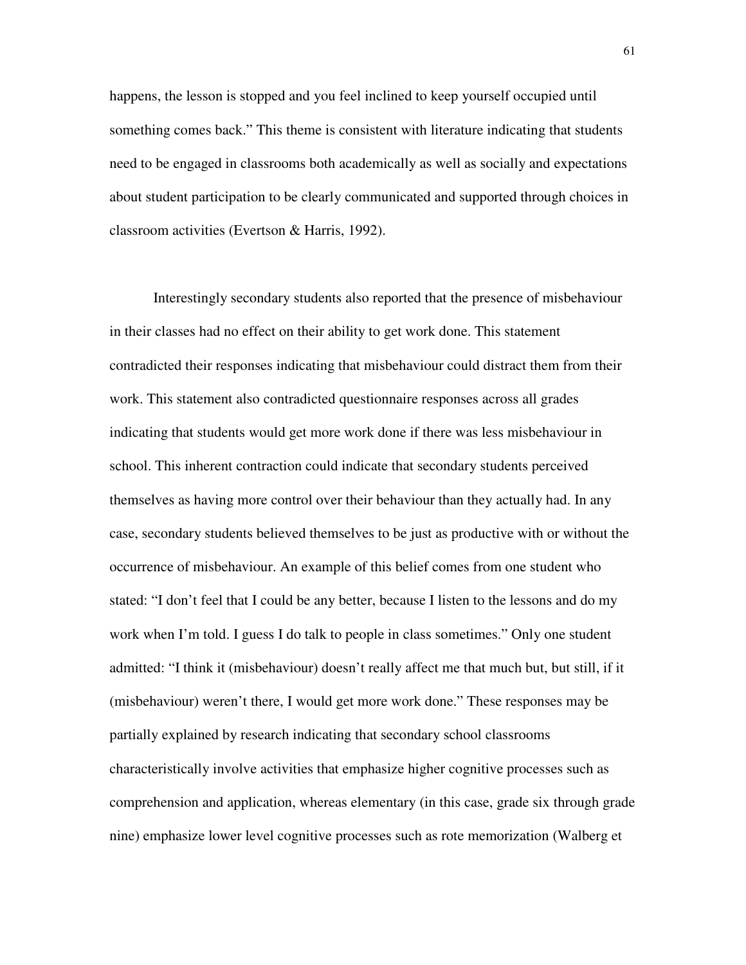happens, the lesson is stopped and you feel inclined to keep yourself occupied until something comes back." This theme is consistent with literature indicating that students need to be engaged in classrooms both academically as well as socially and expectations about student participation to be clearly communicated and supported through choices in classroom activities (Evertson & Harris, 1992).

 Interestingly secondary students also reported that the presence of misbehaviour in their classes had no effect on their ability to get work done. This statement contradicted their responses indicating that misbehaviour could distract them from their work. This statement also contradicted questionnaire responses across all grades indicating that students would get more work done if there was less misbehaviour in school. This inherent contraction could indicate that secondary students perceived themselves as having more control over their behaviour than they actually had. In any case, secondary students believed themselves to be just as productive with or without the occurrence of misbehaviour. An example of this belief comes from one student who stated: "I don't feel that I could be any better, because I listen to the lessons and do my work when I'm told. I guess I do talk to people in class sometimes." Only one student admitted: "I think it (misbehaviour) doesn't really affect me that much but, but still, if it (misbehaviour) weren't there, I would get more work done." These responses may be partially explained by research indicating that secondary school classrooms characteristically involve activities that emphasize higher cognitive processes such as comprehension and application, whereas elementary (in this case, grade six through grade nine) emphasize lower level cognitive processes such as rote memorization (Walberg et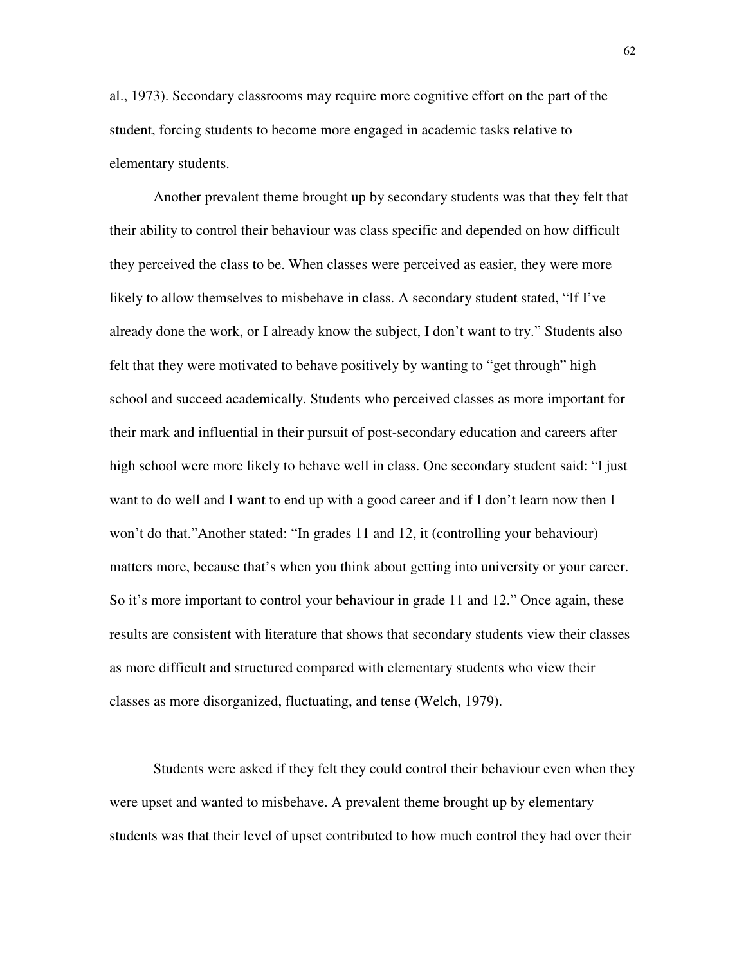al., 1973). Secondary classrooms may require more cognitive effort on the part of the student, forcing students to become more engaged in academic tasks relative to elementary students.

 Another prevalent theme brought up by secondary students was that they felt that their ability to control their behaviour was class specific and depended on how difficult they perceived the class to be. When classes were perceived as easier, they were more likely to allow themselves to misbehave in class. A secondary student stated, "If I've already done the work, or I already know the subject, I don't want to try." Students also felt that they were motivated to behave positively by wanting to "get through" high school and succeed academically. Students who perceived classes as more important for their mark and influential in their pursuit of post-secondary education and careers after high school were more likely to behave well in class. One secondary student said: "I just want to do well and I want to end up with a good career and if I don't learn now then I won't do that."Another stated: "In grades 11 and 12, it (controlling your behaviour) matters more, because that's when you think about getting into university or your career. So it's more important to control your behaviour in grade 11 and 12." Once again, these results are consistent with literature that shows that secondary students view their classes as more difficult and structured compared with elementary students who view their classes as more disorganized, fluctuating, and tense (Welch, 1979).

 Students were asked if they felt they could control their behaviour even when they were upset and wanted to misbehave. A prevalent theme brought up by elementary students was that their level of upset contributed to how much control they had over their

62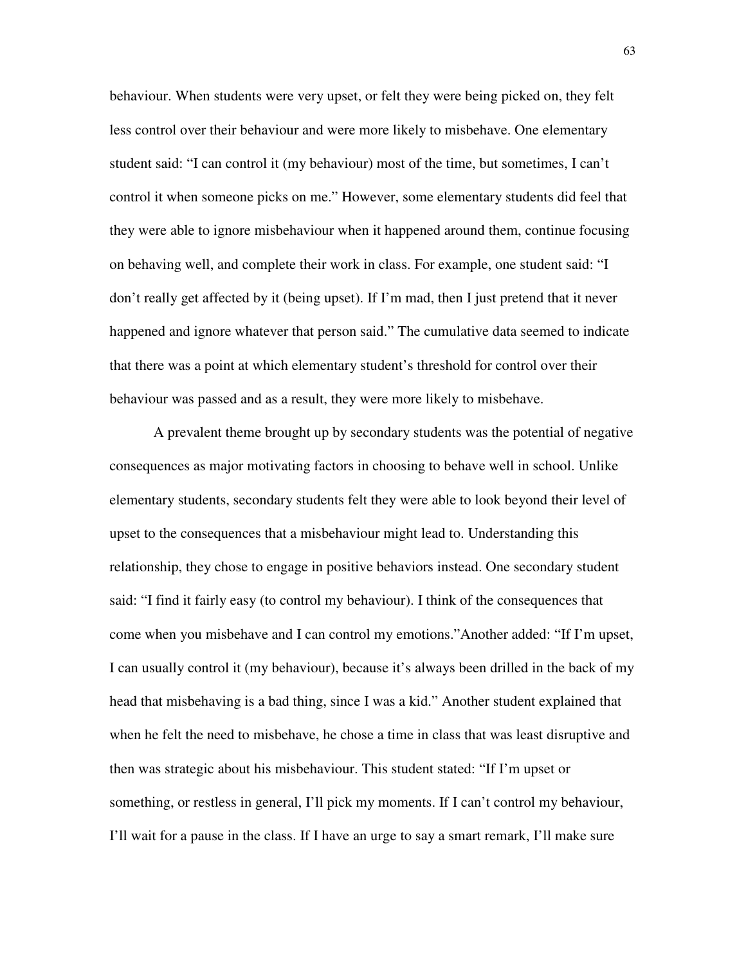behaviour. When students were very upset, or felt they were being picked on, they felt less control over their behaviour and were more likely to misbehave. One elementary student said: "I can control it (my behaviour) most of the time, but sometimes, I can't control it when someone picks on me." However, some elementary students did feel that they were able to ignore misbehaviour when it happened around them, continue focusing on behaving well, and complete their work in class. For example, one student said: "I don't really get affected by it (being upset). If I'm mad, then I just pretend that it never happened and ignore whatever that person said." The cumulative data seemed to indicate that there was a point at which elementary student's threshold for control over their behaviour was passed and as a result, they were more likely to misbehave.

 A prevalent theme brought up by secondary students was the potential of negative consequences as major motivating factors in choosing to behave well in school. Unlike elementary students, secondary students felt they were able to look beyond their level of upset to the consequences that a misbehaviour might lead to. Understanding this relationship, they chose to engage in positive behaviors instead. One secondary student said: "I find it fairly easy (to control my behaviour). I think of the consequences that come when you misbehave and I can control my emotions."Another added: "If I'm upset, I can usually control it (my behaviour), because it's always been drilled in the back of my head that misbehaving is a bad thing, since I was a kid." Another student explained that when he felt the need to misbehave, he chose a time in class that was least disruptive and then was strategic about his misbehaviour. This student stated: "If I'm upset or something, or restless in general, I'll pick my moments. If I can't control my behaviour, I'll wait for a pause in the class. If I have an urge to say a smart remark, I'll make sure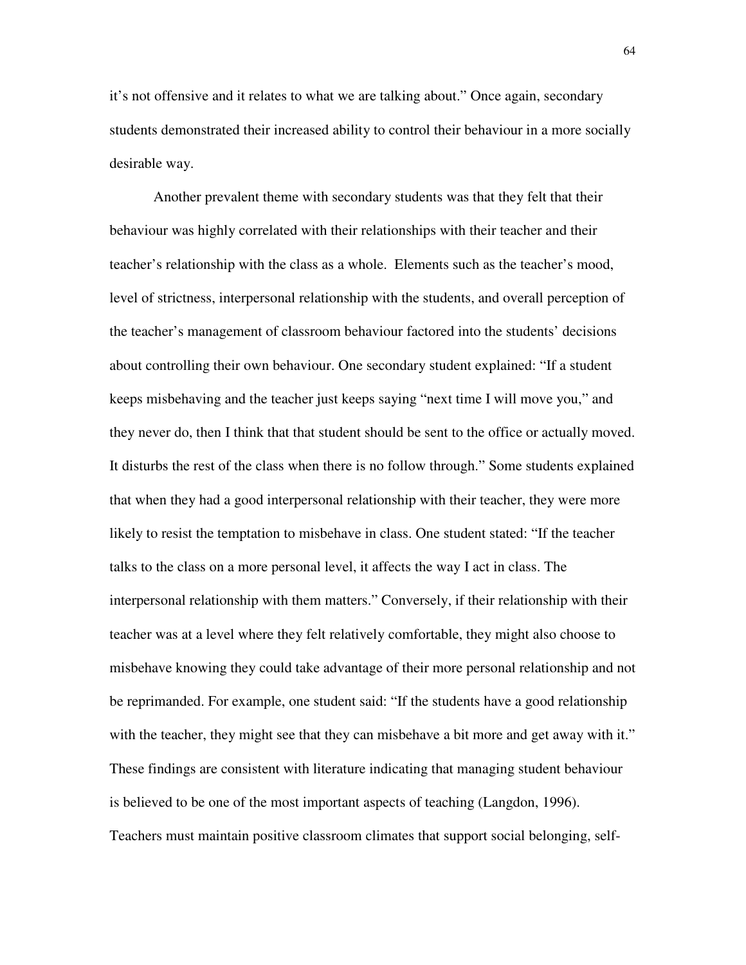it's not offensive and it relates to what we are talking about." Once again, secondary students demonstrated their increased ability to control their behaviour in a more socially desirable way.

 Another prevalent theme with secondary students was that they felt that their behaviour was highly correlated with their relationships with their teacher and their teacher's relationship with the class as a whole. Elements such as the teacher's mood, level of strictness, interpersonal relationship with the students, and overall perception of the teacher's management of classroom behaviour factored into the students' decisions about controlling their own behaviour. One secondary student explained: "If a student keeps misbehaving and the teacher just keeps saying "next time I will move you," and they never do, then I think that that student should be sent to the office or actually moved. It disturbs the rest of the class when there is no follow through." Some students explained that when they had a good interpersonal relationship with their teacher, they were more likely to resist the temptation to misbehave in class. One student stated: "If the teacher talks to the class on a more personal level, it affects the way I act in class. The interpersonal relationship with them matters." Conversely, if their relationship with their teacher was at a level where they felt relatively comfortable, they might also choose to misbehave knowing they could take advantage of their more personal relationship and not be reprimanded. For example, one student said: "If the students have a good relationship with the teacher, they might see that they can misbehave a bit more and get away with it." These findings are consistent with literature indicating that managing student behaviour is believed to be one of the most important aspects of teaching (Langdon, 1996). Teachers must maintain positive classroom climates that support social belonging, self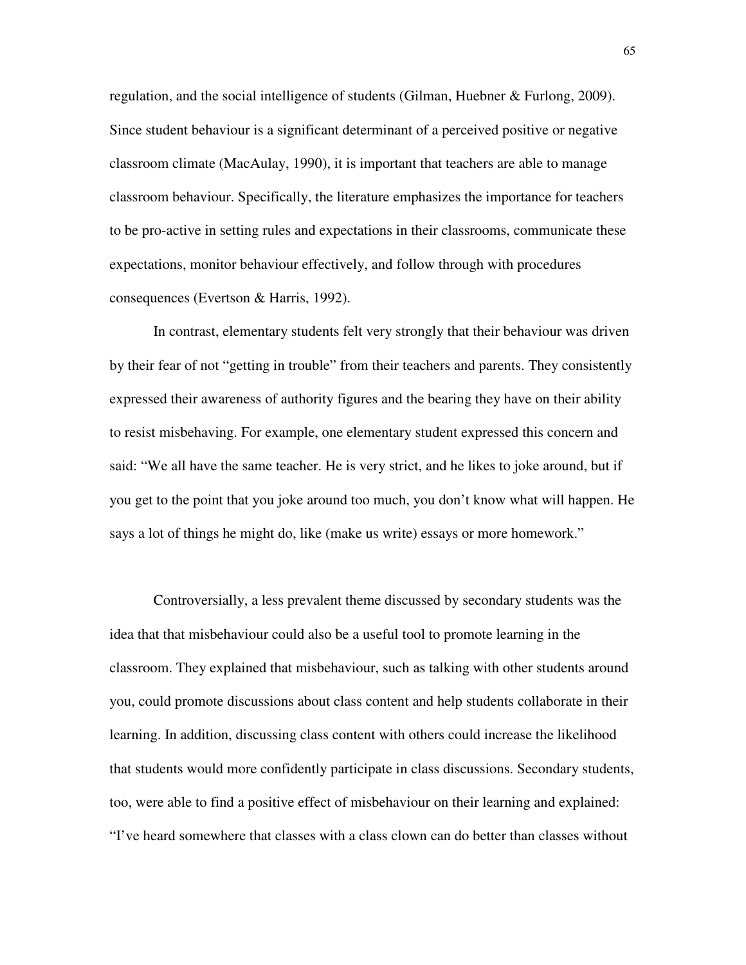regulation, and the social intelligence of students (Gilman, Huebner & Furlong, 2009). Since student behaviour is a significant determinant of a perceived positive or negative classroom climate (MacAulay, 1990), it is important that teachers are able to manage classroom behaviour. Specifically, the literature emphasizes the importance for teachers to be pro-active in setting rules and expectations in their classrooms, communicate these expectations, monitor behaviour effectively, and follow through with procedures consequences (Evertson & Harris, 1992).

 In contrast, elementary students felt very strongly that their behaviour was driven by their fear of not "getting in trouble" from their teachers and parents. They consistently expressed their awareness of authority figures and the bearing they have on their ability to resist misbehaving. For example, one elementary student expressed this concern and said: "We all have the same teacher. He is very strict, and he likes to joke around, but if you get to the point that you joke around too much, you don't know what will happen. He says a lot of things he might do, like (make us write) essays or more homework."

 Controversially, a less prevalent theme discussed by secondary students was the idea that that misbehaviour could also be a useful tool to promote learning in the classroom. They explained that misbehaviour, such as talking with other students around you, could promote discussions about class content and help students collaborate in their learning. In addition, discussing class content with others could increase the likelihood that students would more confidently participate in class discussions. Secondary students, too, were able to find a positive effect of misbehaviour on their learning and explained: "I've heard somewhere that classes with a class clown can do better than classes without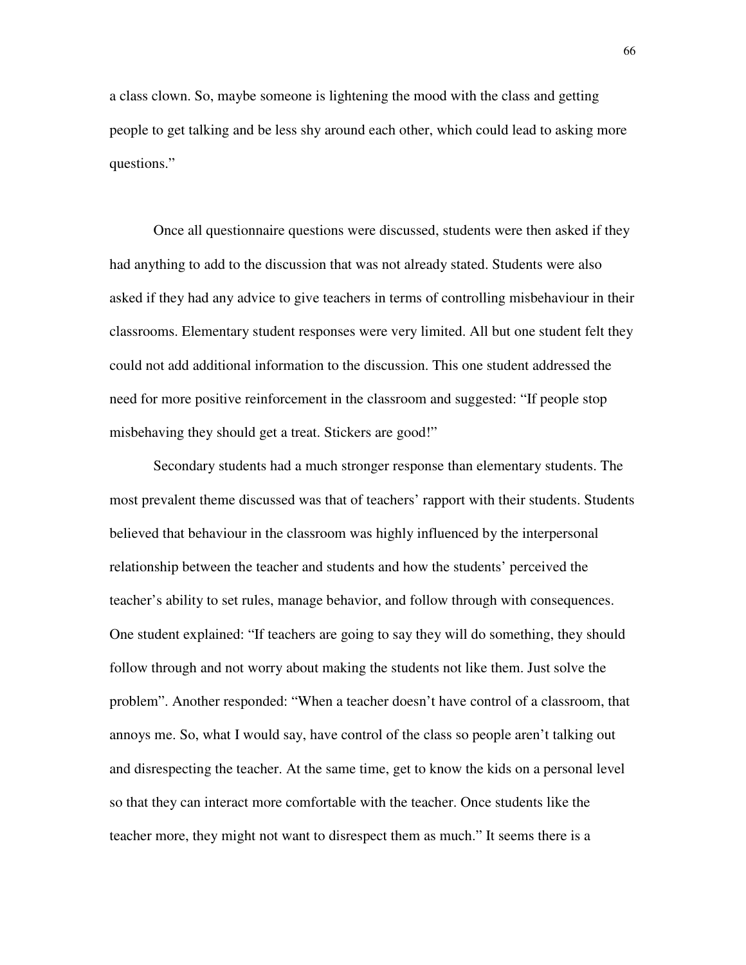a class clown. So, maybe someone is lightening the mood with the class and getting people to get talking and be less shy around each other, which could lead to asking more questions."

 Once all questionnaire questions were discussed, students were then asked if they had anything to add to the discussion that was not already stated. Students were also asked if they had any advice to give teachers in terms of controlling misbehaviour in their classrooms. Elementary student responses were very limited. All but one student felt they could not add additional information to the discussion. This one student addressed the need for more positive reinforcement in the classroom and suggested: "If people stop misbehaving they should get a treat. Stickers are good!"

 Secondary students had a much stronger response than elementary students. The most prevalent theme discussed was that of teachers' rapport with their students. Students believed that behaviour in the classroom was highly influenced by the interpersonal relationship between the teacher and students and how the students' perceived the teacher's ability to set rules, manage behavior, and follow through with consequences. One student explained: "If teachers are going to say they will do something, they should follow through and not worry about making the students not like them. Just solve the problem". Another responded: "When a teacher doesn't have control of a classroom, that annoys me. So, what I would say, have control of the class so people aren't talking out and disrespecting the teacher. At the same time, get to know the kids on a personal level so that they can interact more comfortable with the teacher. Once students like the teacher more, they might not want to disrespect them as much." It seems there is a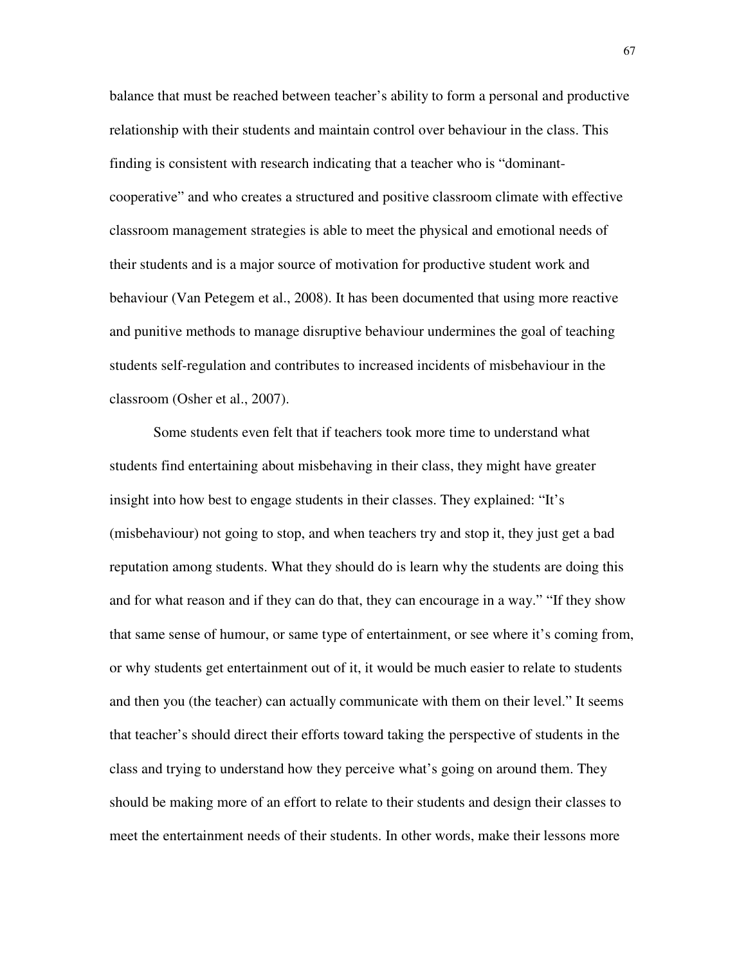balance that must be reached between teacher's ability to form a personal and productive relationship with their students and maintain control over behaviour in the class. This finding is consistent with research indicating that a teacher who is "dominantcooperative" and who creates a structured and positive classroom climate with effective classroom management strategies is able to meet the physical and emotional needs of their students and is a major source of motivation for productive student work and behaviour (Van Petegem et al., 2008). It has been documented that using more reactive and punitive methods to manage disruptive behaviour undermines the goal of teaching students self-regulation and contributes to increased incidents of misbehaviour in the classroom (Osher et al., 2007).

 Some students even felt that if teachers took more time to understand what students find entertaining about misbehaving in their class, they might have greater insight into how best to engage students in their classes. They explained: "It's (misbehaviour) not going to stop, and when teachers try and stop it, they just get a bad reputation among students. What they should do is learn why the students are doing this and for what reason and if they can do that, they can encourage in a way." "If they show that same sense of humour, or same type of entertainment, or see where it's coming from, or why students get entertainment out of it, it would be much easier to relate to students and then you (the teacher) can actually communicate with them on their level." It seems that teacher's should direct their efforts toward taking the perspective of students in the class and trying to understand how they perceive what's going on around them. They should be making more of an effort to relate to their students and design their classes to meet the entertainment needs of their students. In other words, make their lessons more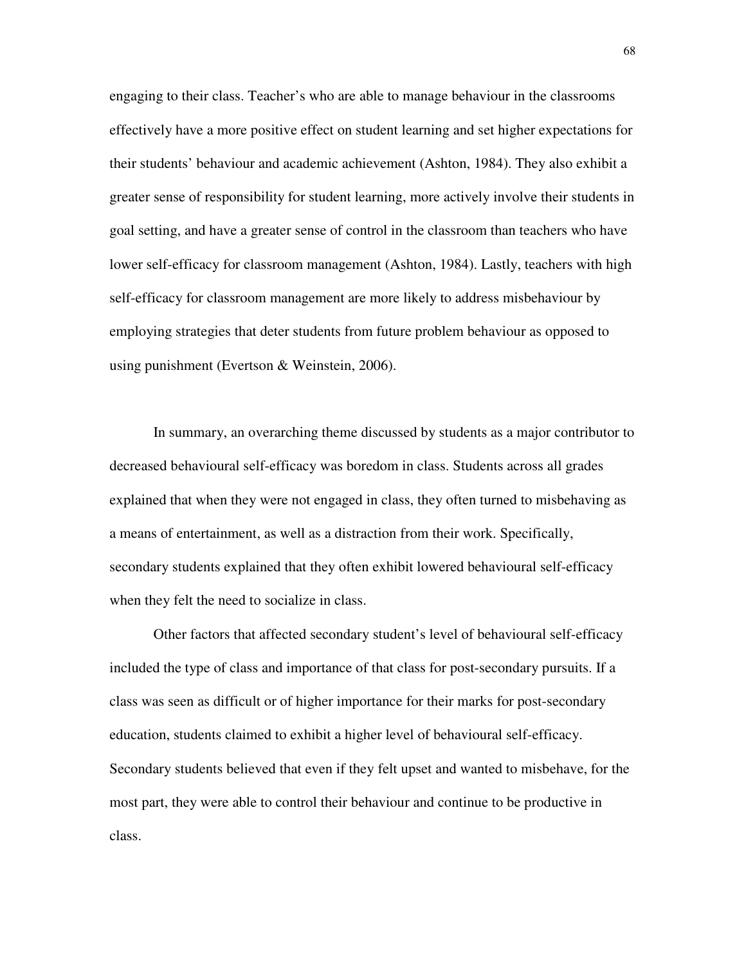engaging to their class. Teacher's who are able to manage behaviour in the classrooms effectively have a more positive effect on student learning and set higher expectations for their students' behaviour and academic achievement (Ashton, 1984). They also exhibit a greater sense of responsibility for student learning, more actively involve their students in goal setting, and have a greater sense of control in the classroom than teachers who have lower self-efficacy for classroom management (Ashton, 1984). Lastly, teachers with high self-efficacy for classroom management are more likely to address misbehaviour by employing strategies that deter students from future problem behaviour as opposed to using punishment (Evertson & Weinstein, 2006).

 In summary, an overarching theme discussed by students as a major contributor to decreased behavioural self-efficacy was boredom in class. Students across all grades explained that when they were not engaged in class, they often turned to misbehaving as a means of entertainment, as well as a distraction from their work. Specifically, secondary students explained that they often exhibit lowered behavioural self-efficacy when they felt the need to socialize in class.

 Other factors that affected secondary student's level of behavioural self-efficacy included the type of class and importance of that class for post-secondary pursuits. If a class was seen as difficult or of higher importance for their marks for post-secondary education, students claimed to exhibit a higher level of behavioural self-efficacy. Secondary students believed that even if they felt upset and wanted to misbehave, for the most part, they were able to control their behaviour and continue to be productive in class.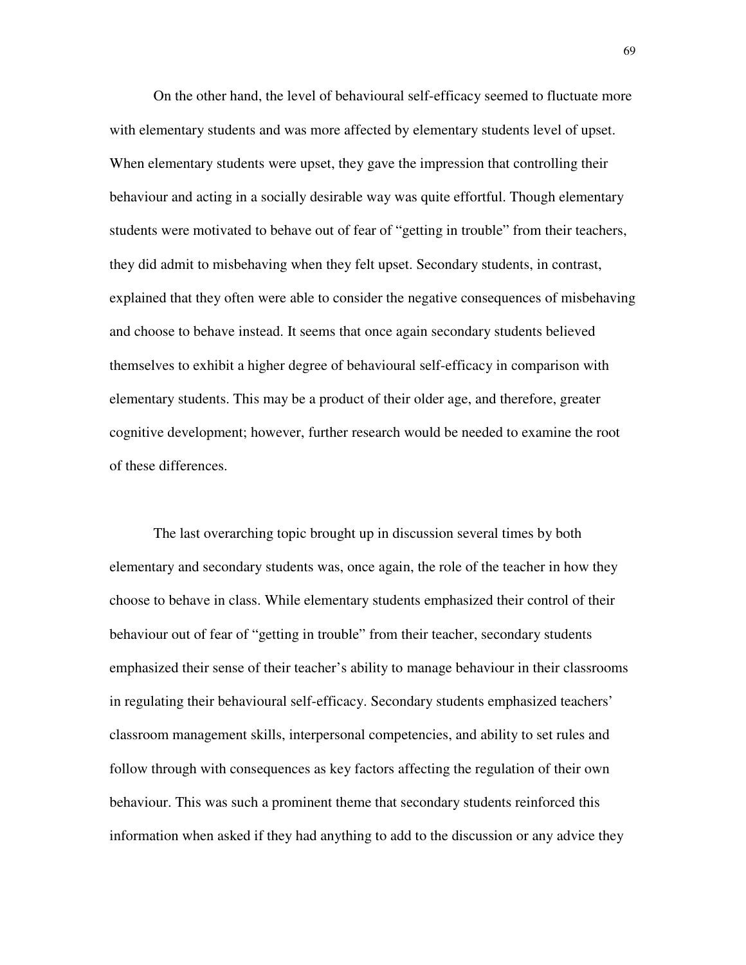On the other hand, the level of behavioural self-efficacy seemed to fluctuate more with elementary students and was more affected by elementary students level of upset. When elementary students were upset, they gave the impression that controlling their behaviour and acting in a socially desirable way was quite effortful. Though elementary students were motivated to behave out of fear of "getting in trouble" from their teachers, they did admit to misbehaving when they felt upset. Secondary students, in contrast, explained that they often were able to consider the negative consequences of misbehaving and choose to behave instead. It seems that once again secondary students believed themselves to exhibit a higher degree of behavioural self-efficacy in comparison with elementary students. This may be a product of their older age, and therefore, greater cognitive development; however, further research would be needed to examine the root of these differences.

 The last overarching topic brought up in discussion several times by both elementary and secondary students was, once again, the role of the teacher in how they choose to behave in class. While elementary students emphasized their control of their behaviour out of fear of "getting in trouble" from their teacher, secondary students emphasized their sense of their teacher's ability to manage behaviour in their classrooms in regulating their behavioural self-efficacy. Secondary students emphasized teachers' classroom management skills, interpersonal competencies, and ability to set rules and follow through with consequences as key factors affecting the regulation of their own behaviour. This was such a prominent theme that secondary students reinforced this information when asked if they had anything to add to the discussion or any advice they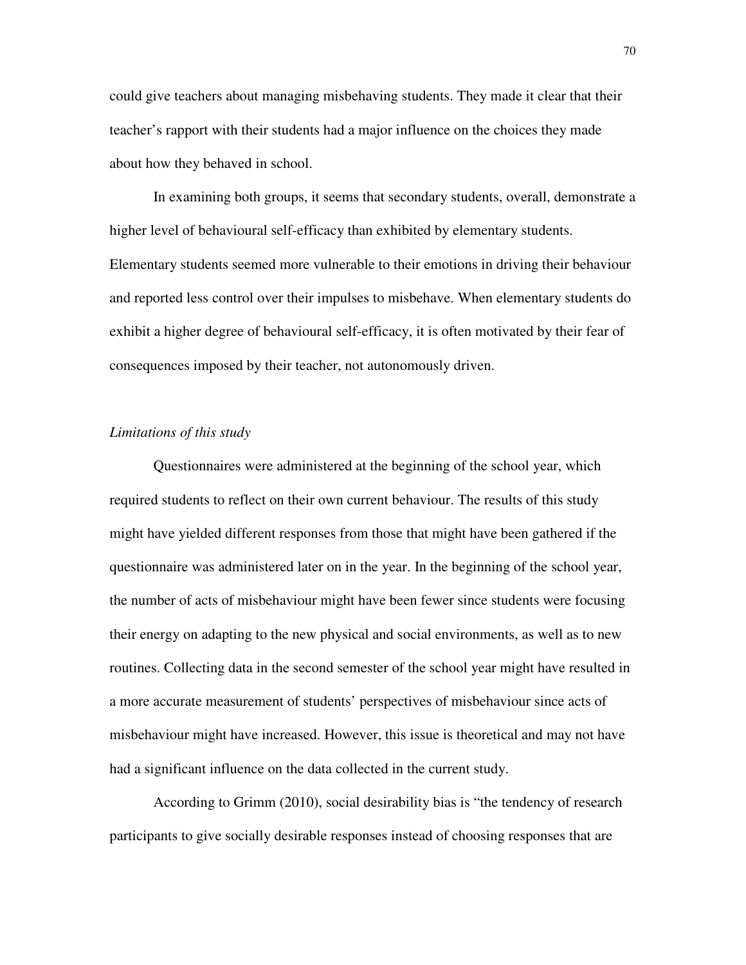could give teachers about managing misbehaving students. They made it clear that their teacher's rapport with their students had a major influence on the choices they made about how they behaved in school.

 In examining both groups, it seems that secondary students, overall, demonstrate a higher level of behavioural self-efficacy than exhibited by elementary students. Elementary students seemed more vulnerable to their emotions in driving their behaviour and reported less control over their impulses to misbehave. When elementary students do exhibit a higher degree of behavioural self-efficacy, it is often motivated by their fear of consequences imposed by their teacher, not autonomously driven.

#### *Limitations of this study*

 Questionnaires were administered at the beginning of the school year, which required students to reflect on their own current behaviour. The results of this study might have yielded different responses from those that might have been gathered if the questionnaire was administered later on in the year. In the beginning of the school year, the number of acts of misbehaviour might have been fewer since students were focusing their energy on adapting to the new physical and social environments, as well as to new routines. Collecting data in the second semester of the school year might have resulted in a more accurate measurement of students' perspectives of misbehaviour since acts of misbehaviour might have increased. However, this issue is theoretical and may not have had a significant influence on the data collected in the current study.

 According to Grimm (2010), social desirability bias is "the tendency of research participants to give socially desirable responses instead of choosing responses that are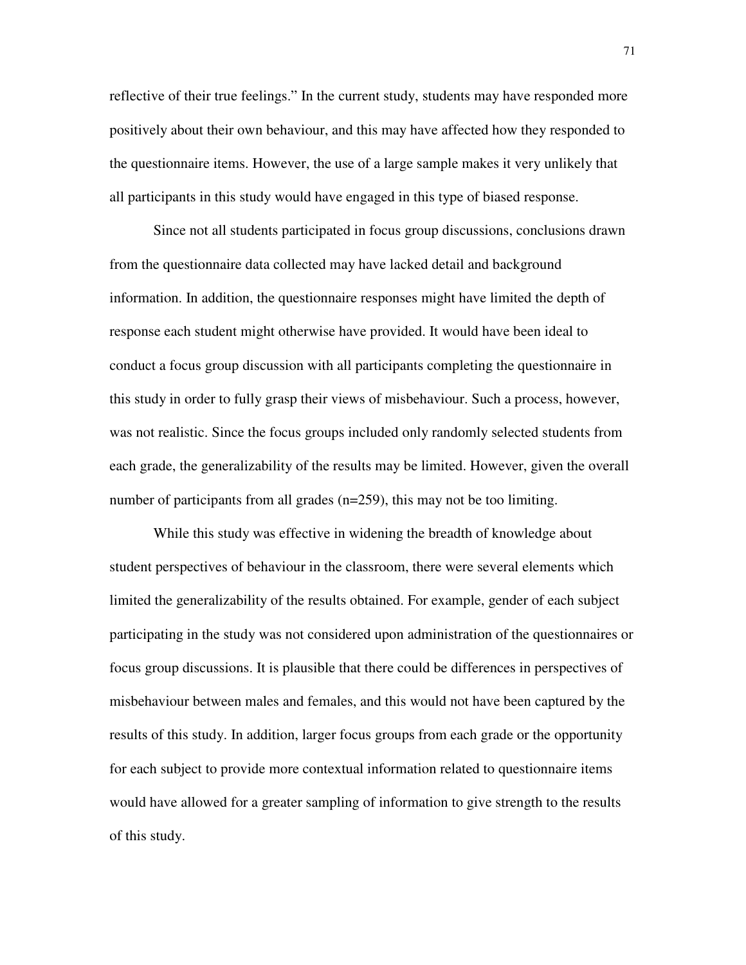reflective of their true feelings." In the current study, students may have responded more positively about their own behaviour, and this may have affected how they responded to the questionnaire items. However, the use of a large sample makes it very unlikely that all participants in this study would have engaged in this type of biased response.

 Since not all students participated in focus group discussions, conclusions drawn from the questionnaire data collected may have lacked detail and background information. In addition, the questionnaire responses might have limited the depth of response each student might otherwise have provided. It would have been ideal to conduct a focus group discussion with all participants completing the questionnaire in this study in order to fully grasp their views of misbehaviour. Such a process, however, was not realistic. Since the focus groups included only randomly selected students from each grade, the generalizability of the results may be limited. However, given the overall number of participants from all grades (n=259), this may not be too limiting.

 While this study was effective in widening the breadth of knowledge about student perspectives of behaviour in the classroom, there were several elements which limited the generalizability of the results obtained. For example, gender of each subject participating in the study was not considered upon administration of the questionnaires or focus group discussions. It is plausible that there could be differences in perspectives of misbehaviour between males and females, and this would not have been captured by the results of this study. In addition, larger focus groups from each grade or the opportunity for each subject to provide more contextual information related to questionnaire items would have allowed for a greater sampling of information to give strength to the results of this study.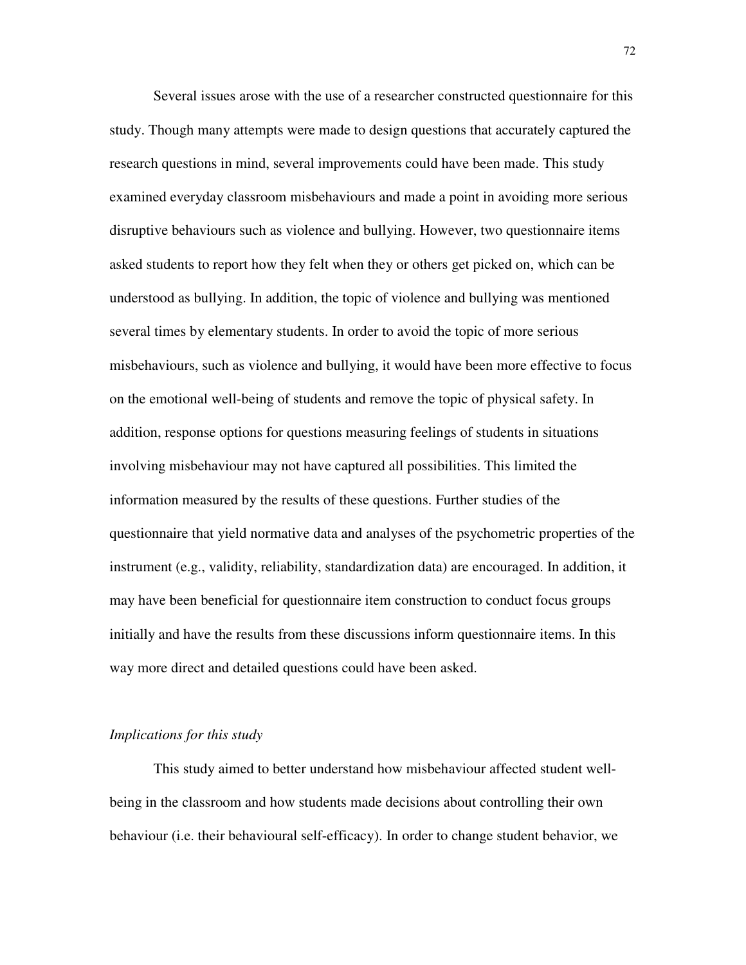Several issues arose with the use of a researcher constructed questionnaire for this study. Though many attempts were made to design questions that accurately captured the research questions in mind, several improvements could have been made. This study examined everyday classroom misbehaviours and made a point in avoiding more serious disruptive behaviours such as violence and bullying. However, two questionnaire items asked students to report how they felt when they or others get picked on, which can be understood as bullying. In addition, the topic of violence and bullying was mentioned several times by elementary students. In order to avoid the topic of more serious misbehaviours, such as violence and bullying, it would have been more effective to focus on the emotional well-being of students and remove the topic of physical safety. In addition, response options for questions measuring feelings of students in situations involving misbehaviour may not have captured all possibilities. This limited the information measured by the results of these questions. Further studies of the questionnaire that yield normative data and analyses of the psychometric properties of the instrument (e.g., validity, reliability, standardization data) are encouraged. In addition, it may have been beneficial for questionnaire item construction to conduct focus groups initially and have the results from these discussions inform questionnaire items. In this way more direct and detailed questions could have been asked.

#### *Implications for this study*

 This study aimed to better understand how misbehaviour affected student wellbeing in the classroom and how students made decisions about controlling their own behaviour (i.e. their behavioural self-efficacy). In order to change student behavior, we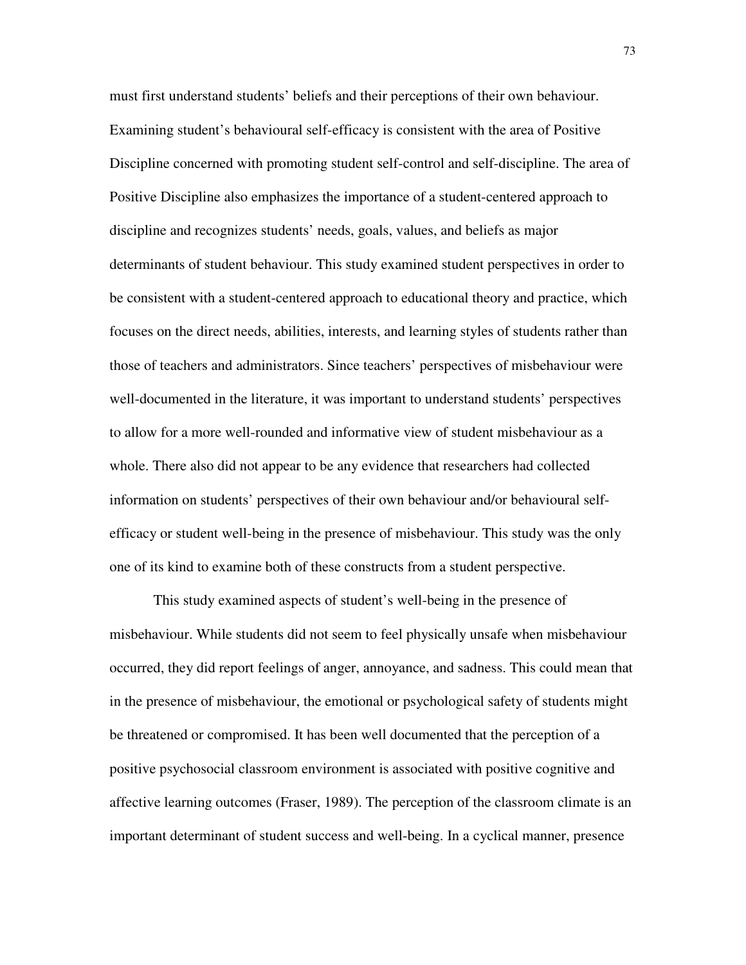must first understand students' beliefs and their perceptions of their own behaviour. Examining student's behavioural self-efficacy is consistent with the area of Positive Discipline concerned with promoting student self-control and self-discipline. The area of Positive Discipline also emphasizes the importance of a student-centered approach to discipline and recognizes students' needs, goals, values, and beliefs as major determinants of student behaviour. This study examined student perspectives in order to be consistent with a student-centered approach to educational theory and practice, which focuses on the direct needs, abilities, interests, and learning styles of students rather than those of teachers and administrators. Since teachers' perspectives of misbehaviour were well-documented in the literature, it was important to understand students' perspectives to allow for a more well-rounded and informative view of student misbehaviour as a whole. There also did not appear to be any evidence that researchers had collected information on students' perspectives of their own behaviour and/or behavioural selfefficacy or student well-being in the presence of misbehaviour. This study was the only one of its kind to examine both of these constructs from a student perspective.

 This study examined aspects of student's well-being in the presence of misbehaviour. While students did not seem to feel physically unsafe when misbehaviour occurred, they did report feelings of anger, annoyance, and sadness. This could mean that in the presence of misbehaviour, the emotional or psychological safety of students might be threatened or compromised. It has been well documented that the perception of a positive psychosocial classroom environment is associated with positive cognitive and affective learning outcomes (Fraser, 1989). The perception of the classroom climate is an important determinant of student success and well-being. In a cyclical manner, presence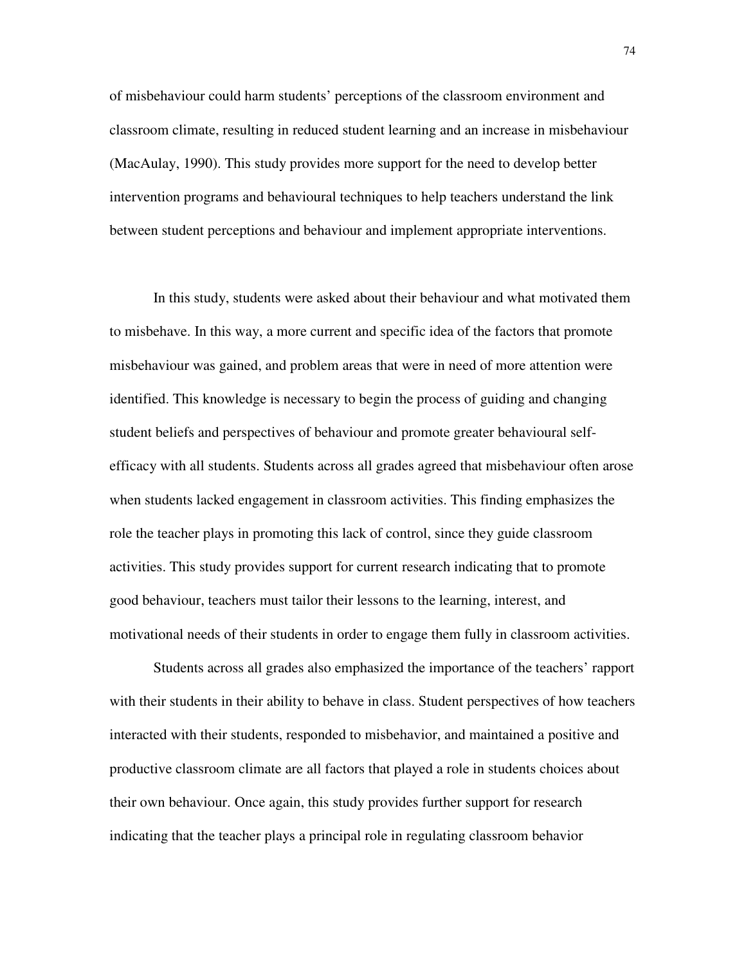of misbehaviour could harm students' perceptions of the classroom environment and classroom climate, resulting in reduced student learning and an increase in misbehaviour (MacAulay, 1990). This study provides more support for the need to develop better intervention programs and behavioural techniques to help teachers understand the link between student perceptions and behaviour and implement appropriate interventions.

 In this study, students were asked about their behaviour and what motivated them to misbehave. In this way, a more current and specific idea of the factors that promote misbehaviour was gained, and problem areas that were in need of more attention were identified. This knowledge is necessary to begin the process of guiding and changing student beliefs and perspectives of behaviour and promote greater behavioural selfefficacy with all students. Students across all grades agreed that misbehaviour often arose when students lacked engagement in classroom activities. This finding emphasizes the role the teacher plays in promoting this lack of control, since they guide classroom activities. This study provides support for current research indicating that to promote good behaviour, teachers must tailor their lessons to the learning, interest, and motivational needs of their students in order to engage them fully in classroom activities.

 Students across all grades also emphasized the importance of the teachers' rapport with their students in their ability to behave in class. Student perspectives of how teachers interacted with their students, responded to misbehavior, and maintained a positive and productive classroom climate are all factors that played a role in students choices about their own behaviour. Once again, this study provides further support for research indicating that the teacher plays a principal role in regulating classroom behavior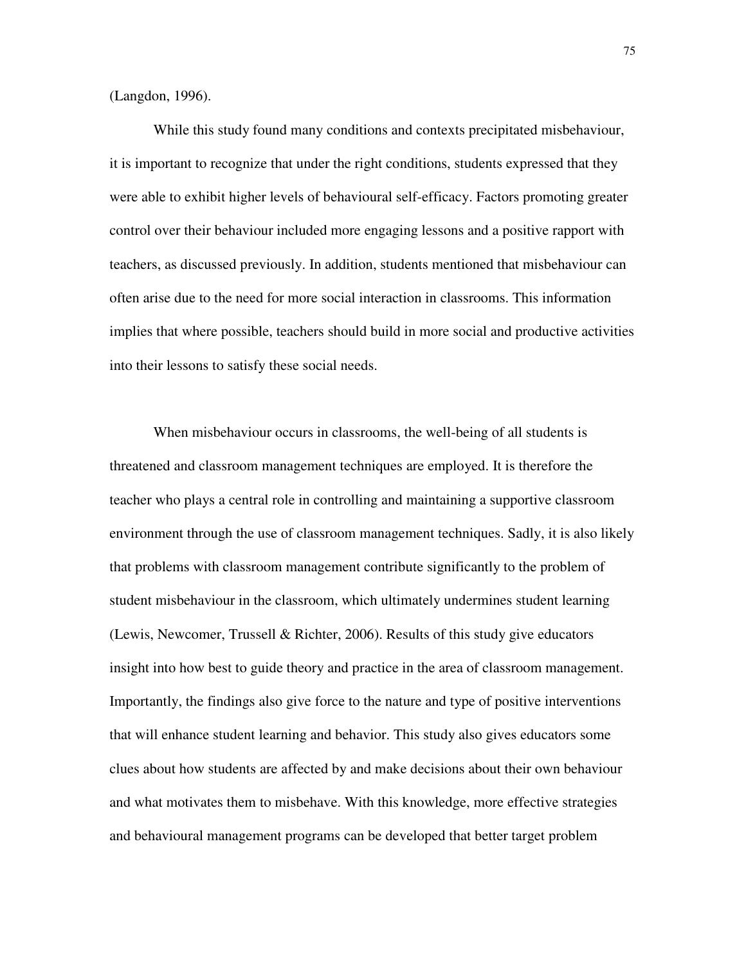(Langdon, 1996).

 While this study found many conditions and contexts precipitated misbehaviour, it is important to recognize that under the right conditions, students expressed that they were able to exhibit higher levels of behavioural self-efficacy. Factors promoting greater control over their behaviour included more engaging lessons and a positive rapport with teachers, as discussed previously. In addition, students mentioned that misbehaviour can often arise due to the need for more social interaction in classrooms. This information implies that where possible, teachers should build in more social and productive activities into their lessons to satisfy these social needs.

 When misbehaviour occurs in classrooms, the well-being of all students is threatened and classroom management techniques are employed. It is therefore the teacher who plays a central role in controlling and maintaining a supportive classroom environment through the use of classroom management techniques. Sadly, it is also likely that problems with classroom management contribute significantly to the problem of student misbehaviour in the classroom, which ultimately undermines student learning (Lewis, Newcomer, Trussell & Richter, 2006). Results of this study give educators insight into how best to guide theory and practice in the area of classroom management. Importantly, the findings also give force to the nature and type of positive interventions that will enhance student learning and behavior. This study also gives educators some clues about how students are affected by and make decisions about their own behaviour and what motivates them to misbehave. With this knowledge, more effective strategies and behavioural management programs can be developed that better target problem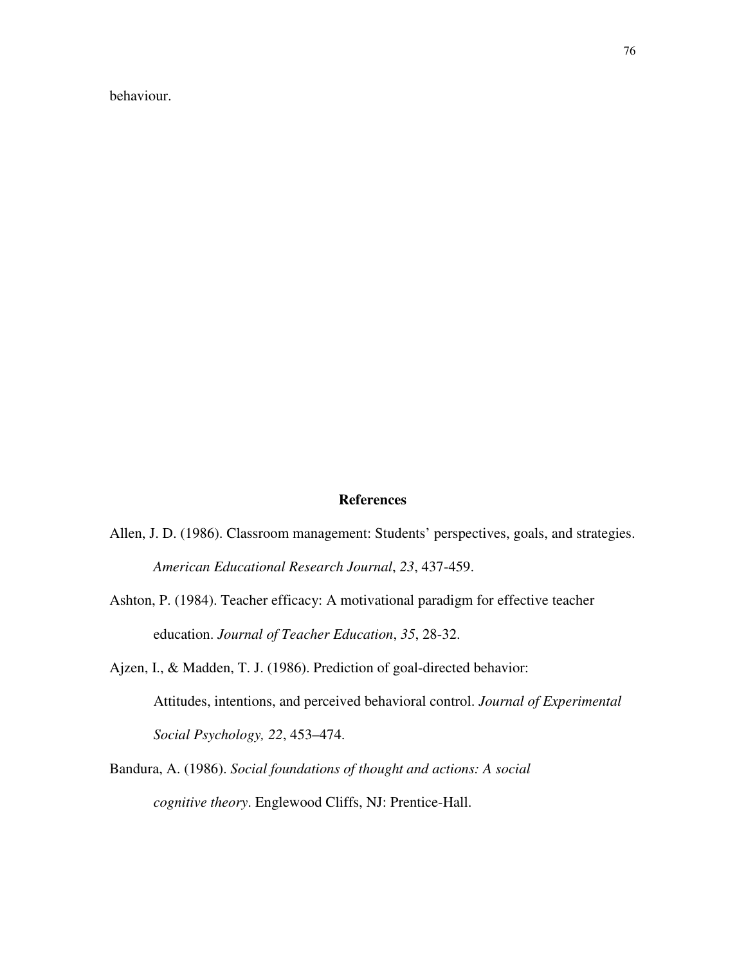behaviour.

#### **References**

- Allen, J. D. (1986). Classroom management: Students' perspectives, goals, and strategies. *American Educational Research Journal*, *23*, 437-459.
- Ashton, P. (1984). Teacher efficacy: A motivational paradigm for effective teacher education. *Journal of Teacher Education*, *35*, 28-32.
- Ajzen, I., & Madden, T. J. (1986). Prediction of goal-directed behavior: Attitudes, intentions, and perceived behavioral control. *Journal of Experimental Social Psychology, 22*, 453–474.
- Bandura, A. (1986). *Social foundations of thought and actions: A social cognitive theory*. Englewood Cliffs, NJ: Prentice-Hall.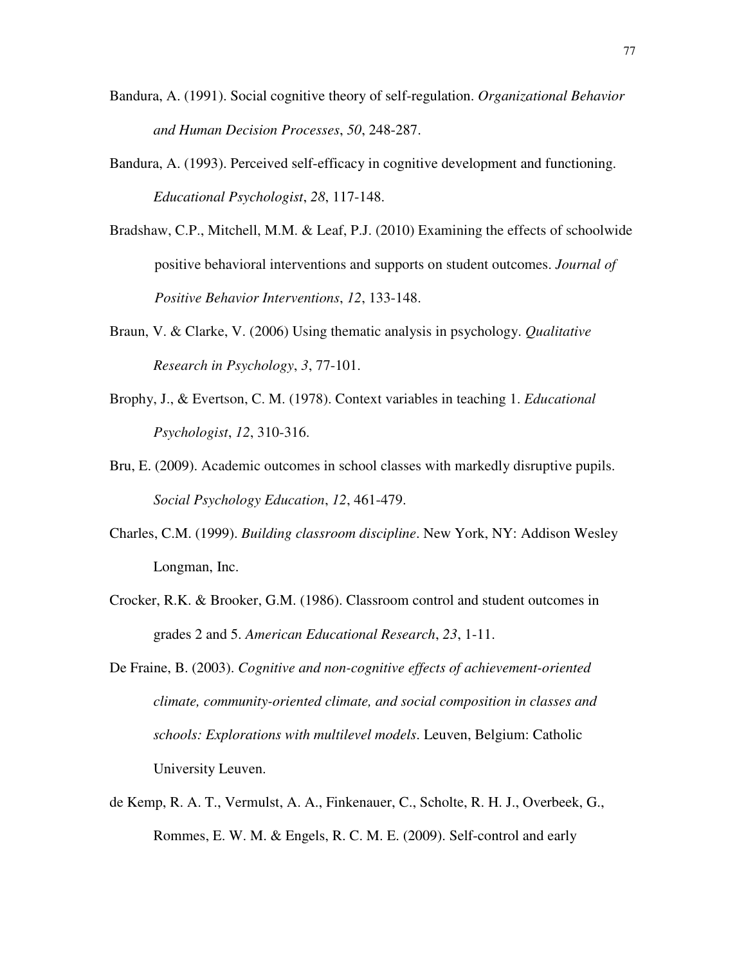- Bandura, A. (1991). Social cognitive theory of self-regulation. *Organizational Behavior and Human Decision Processes*, *50*, 248-287.
- Bandura, A. (1993). Perceived self-efficacy in cognitive development and functioning. *Educational Psychologist*, *28*, 117-148.
- Bradshaw, C.P., Mitchell, M.M. & Leaf, P.J. (2010) Examining the effects of schoolwide positive behavioral interventions and supports on student outcomes. *Journal of Positive Behavior Interventions*, *12*, 133-148.
- Braun, V. & Clarke, V. (2006) Using thematic analysis in psychology. *Qualitative Research in Psychology*, *3*, 77-101.
- Brophy, J., & Evertson, C. M. (1978). Context variables in teaching 1. *Educational Psychologist*, *12*, 310-316.
- Bru, E. (2009). Academic outcomes in school classes with markedly disruptive pupils. *Social Psychology Education*, *12*, 461-479.
- Charles, C.M. (1999). *Building classroom discipline*. New York, NY: Addison Wesley Longman, Inc.
- Crocker, R.K. & Brooker, G.M. (1986). Classroom control and student outcomes in grades 2 and 5. *American Educational Research*, *23*, 1-11.
- De Fraine, B. (2003). *Cognitive and non-cognitive effects of achievement-oriented climate, community-oriented climate, and social composition in classes and schools: Explorations with multilevel models*. Leuven, Belgium: Catholic University Leuven.
- de Kemp, R. A. T., Vermulst, A. A., Finkenauer, C., Scholte, R. H. J., Overbeek, G., Rommes, E. W. M. & Engels, R. C. M. E. (2009). Self-control and early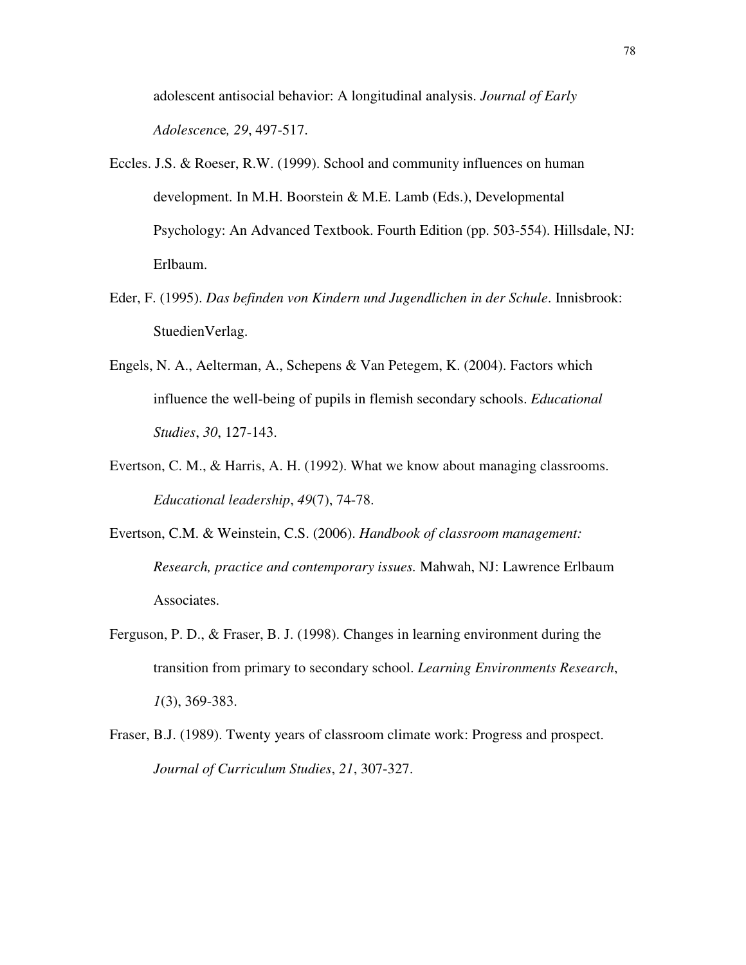adolescent antisocial behavior: A longitudinal analysis. *Journal of Early Adolescenc*e*, 29*, 497-517.

- Eccles. J.S. & Roeser, R.W. (1999). School and community influences on human development. In M.H. Boorstein & M.E. Lamb (Eds.), Developmental Psychology: An Advanced Textbook. Fourth Edition (pp. 503-554). Hillsdale, NJ: Erlbaum.
- Eder, F. (1995). *Das befinden von Kindern und Jugendlichen in der Schule*. Innisbrook: StuedienVerlag.
- Engels, N. A., Aelterman, A., Schepens & Van Petegem, K. (2004). Factors which influence the well-being of pupils in flemish secondary schools. *Educational Studies*, *30*, 127-143.
- Evertson, C. M., & Harris, A. H. (1992). What we know about managing classrooms. *Educational leadership*, *49*(7), 74-78.
- Evertson, C.M. & Weinstein, C.S. (2006). *Handbook of classroom management: Research, practice and contemporary issues.* Mahwah, NJ: Lawrence Erlbaum Associates.
- Ferguson, P. D., & Fraser, B. J. (1998). Changes in learning environment during the transition from primary to secondary school. *Learning Environments Research*, *1*(3), 369-383.
- Fraser, B.J. (1989). Twenty years of classroom climate work: Progress and prospect. *Journal of Curriculum Studies*, *21*, 307-327.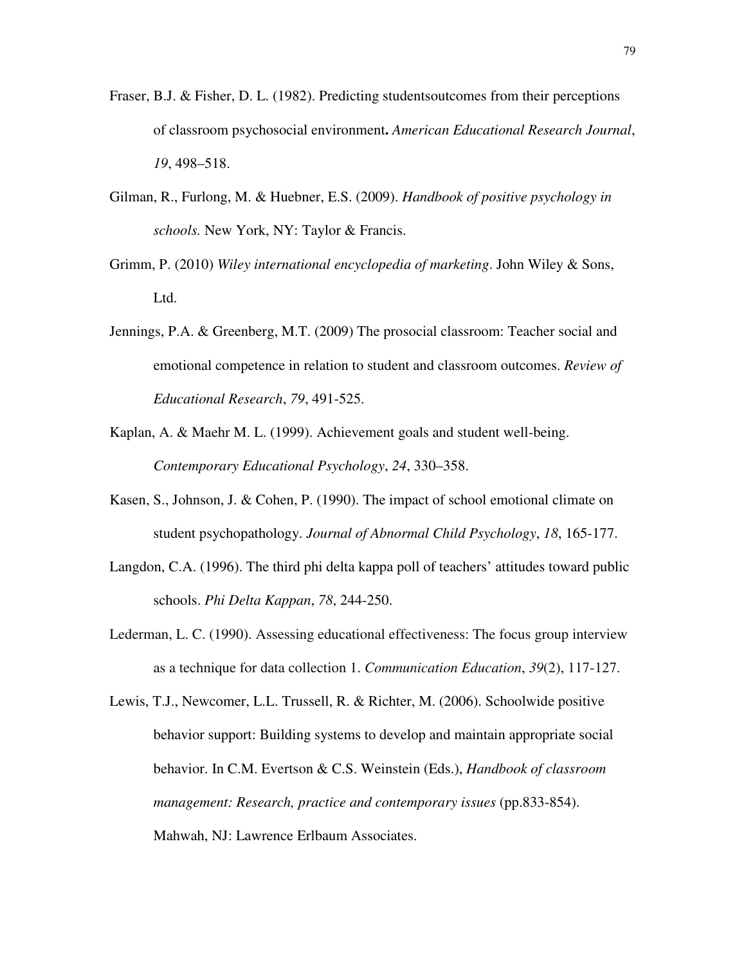- Fraser, B.J. & Fisher, D. L. (1982). Predicting studentsoutcomes from their perceptions of classroom psychosocial environment**.** *American Educational Research Journal*, *19*, 498–518.
- Gilman, R., Furlong, M. & Huebner, E.S. (2009). *Handbook of positive psychology in schools.* New York, NY: Taylor & Francis.
- Grimm, P. (2010) *Wiley international encyclopedia of marketing*. John Wiley & Sons, Ltd.
- Jennings, P.A. & Greenberg, M.T. (2009) The prosocial classroom: Teacher social and emotional competence in relation to student and classroom outcomes. *Review of Educational Research*, *79*, 491-525.
- Kaplan, A. & Maehr M. L. (1999). Achievement goals and student well-being. *Contemporary Educational Psychology*, *24*, 330–358.
- Kasen, S., Johnson, J. & Cohen, P. (1990). The impact of school emotional climate on student psychopathology. *Journal of Abnormal Child Psychology*, *18*, 165-177.
- Langdon, C.A. (1996). The third phi delta kappa poll of teachers' attitudes toward public schools. *Phi Delta Kappan*, *78*, 244-250.
- Lederman, L. C. (1990). Assessing educational effectiveness: The focus group interview as a technique for data collection 1. *Communication Education*, *39*(2), 117-127.
- Lewis, T.J., Newcomer, L.L. Trussell, R. & Richter, M. (2006). Schoolwide positive behavior support: Building systems to develop and maintain appropriate social behavior. In C.M. Evertson & C.S. Weinstein (Eds.), *Handbook of classroom management: Research, practice and contemporary issues* (pp.833-854). Mahwah, NJ: Lawrence Erlbaum Associates.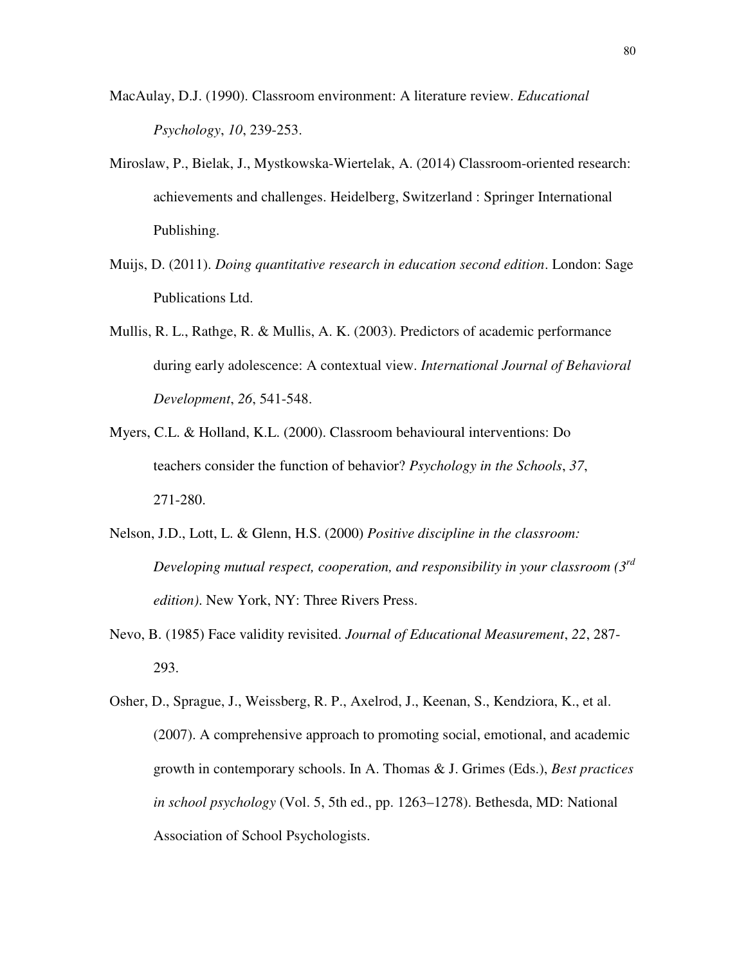- MacAulay, D.J. (1990). Classroom environment: A literature review. *Educational Psychology*, *10*, 239-253.
- Miroslaw, P., Bielak, J., Mystkowska-Wiertelak, A. (2014) Classroom-oriented research: achievements and challenges. Heidelberg, Switzerland : Springer International Publishing.
- Muijs, D. (2011). *Doing quantitative research in education second edition*. London: Sage Publications Ltd.
- Mullis, R. L., Rathge, R. & Mullis, A. K. (2003). Predictors of academic performance during early adolescence: A contextual view. *International Journal of Behavioral Development*, *26*, 541-548.
- Myers, C.L. & Holland, K.L. (2000). Classroom behavioural interventions: Do teachers consider the function of behavior? *Psychology in the Schools*, *37*, 271-280.
- Nelson, J.D., Lott, L. & Glenn, H.S. (2000) *Positive discipline in the classroom: Developing mutual respect, cooperation, and responsibility in your classroom (3rd edition)*. New York, NY: Three Rivers Press.
- Nevo, B. (1985) Face validity revisited. *Journal of Educational Measurement*, *22*, 287- 293.
- Osher, D., Sprague, J., Weissberg, R. P., Axelrod, J., Keenan, S., Kendziora, K., et al. (2007). A comprehensive approach to promoting social, emotional, and academic growth in contemporary schools. In A. Thomas & J. Grimes (Eds.), *Best practices in school psychology* (Vol. 5, 5th ed., pp. 1263–1278). Bethesda, MD: National Association of School Psychologists.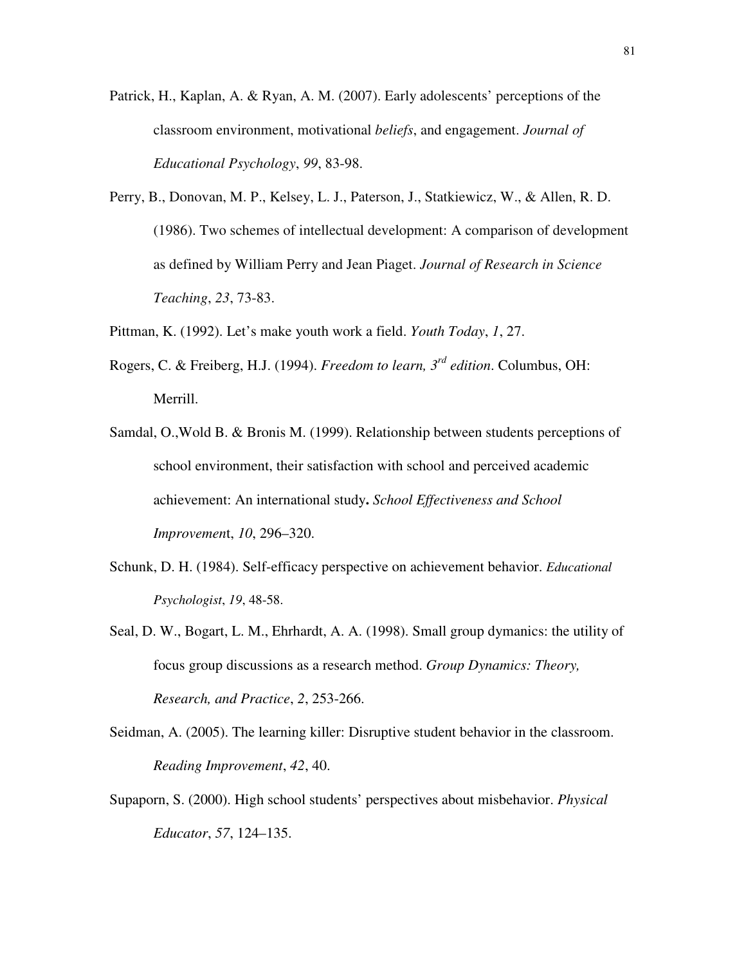- Patrick, H., Kaplan, A. & Ryan, A. M. (2007). Early adolescents' perceptions of the classroom environment, motivational *beliefs*, and engagement. *Journal of Educational Psychology*, *99*, 83-98.
- Perry, B., Donovan, M. P., Kelsey, L. J., Paterson, J., Statkiewicz, W., & Allen, R. D. (1986). Two schemes of intellectual development: A comparison of development as defined by William Perry and Jean Piaget. *Journal of Research in Science Teaching*, *23*, 73-83.
- Pittman, K. (1992). Let's make youth work a field. *Youth Today*, *1*, 27.
- Rogers, C. & Freiberg, H.J. (1994). *Freedom to learn, 3rd edition*. Columbus, OH: Merrill.
- Samdal, O.,Wold B. & Bronis M. (1999). Relationship between students perceptions of school environment, their satisfaction with school and perceived academic achievement: An international study**.** *School Effectiveness and School Improvemen*t, *10*, 296–320.
- Schunk, D. H. (1984). Self-efficacy perspective on achievement behavior. *Educational Psychologist*, *19*, 48-58.
- Seal, D. W., Bogart, L. M., Ehrhardt, A. A. (1998). Small group dymanics: the utility of focus group discussions as a research method. *Group Dynamics: Theory, Research, and Practice*, *2*, 253-266.
- Seidman, A. (2005). The learning killer: Disruptive student behavior in the classroom. *Reading Improvement*, *42*, 40.
- Supaporn, S. (2000). High school students' perspectives about misbehavior. *Physical Educator*, *57*, 124–135.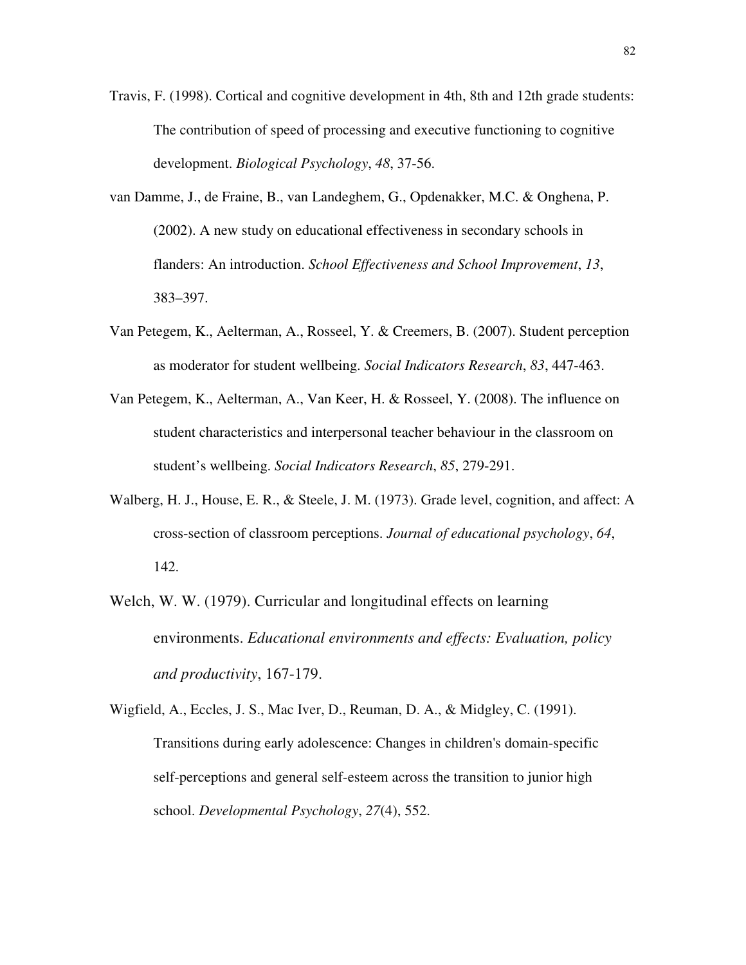- Travis, F. (1998). Cortical and cognitive development in 4th, 8th and 12th grade students: The contribution of speed of processing and executive functioning to cognitive development. *Biological Psychology*, *48*, 37-56.
- van Damme, J., de Fraine, B., van Landeghem, G., Opdenakker, M.C. & Onghena, P. (2002). A new study on educational effectiveness in secondary schools in flanders: An introduction. *School Effectiveness and School Improvement*, *13*, 383–397.
- Van Petegem, K., Aelterman, A., Rosseel, Y. & Creemers, B. (2007). Student perception as moderator for student wellbeing. *Social Indicators Research*, *83*, 447-463.
- Van Petegem, K., Aelterman, A., Van Keer, H. & Rosseel, Y. (2008). The influence on student characteristics and interpersonal teacher behaviour in the classroom on student's wellbeing. *Social Indicators Research*, *85*, 279-291.
- Walberg, H. J., House, E. R., & Steele, J. M. (1973). Grade level, cognition, and affect: A cross-section of classroom perceptions. *Journal of educational psychology*, *64*, 142.
- Welch, W. W. (1979). Curricular and longitudinal effects on learning environments. *Educational environments and effects: Evaluation, policy and productivity*, 167-179.

Wigfield, A., Eccles, J. S., Mac Iver, D., Reuman, D. A., & Midgley, C. (1991). Transitions during early adolescence: Changes in children's domain-specific self-perceptions and general self-esteem across the transition to junior high school. *Developmental Psychology*, *27*(4), 552.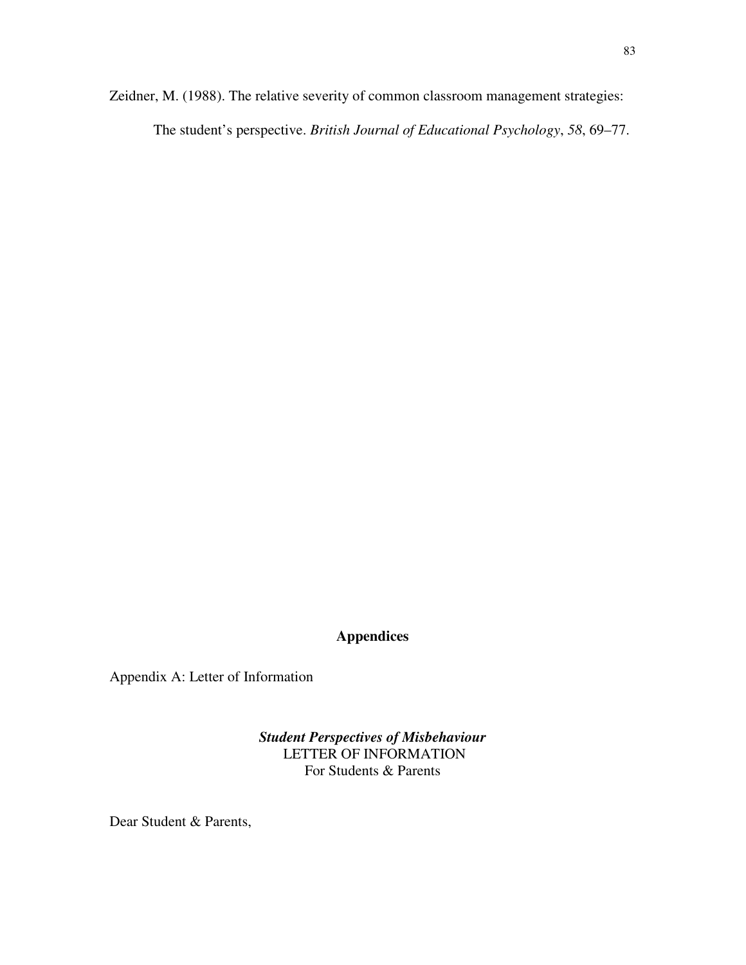Zeidner, M. (1988). The relative severity of common classroom management strategies:

The student's perspective. *British Journal of Educational Psychology*, *58*, 69–77.

## **Appendices**

Appendix A: Letter of Information

*Student Perspectives of Misbehaviour*  LETTER OF INFORMATION For Students & Parents

Dear Student & Parents,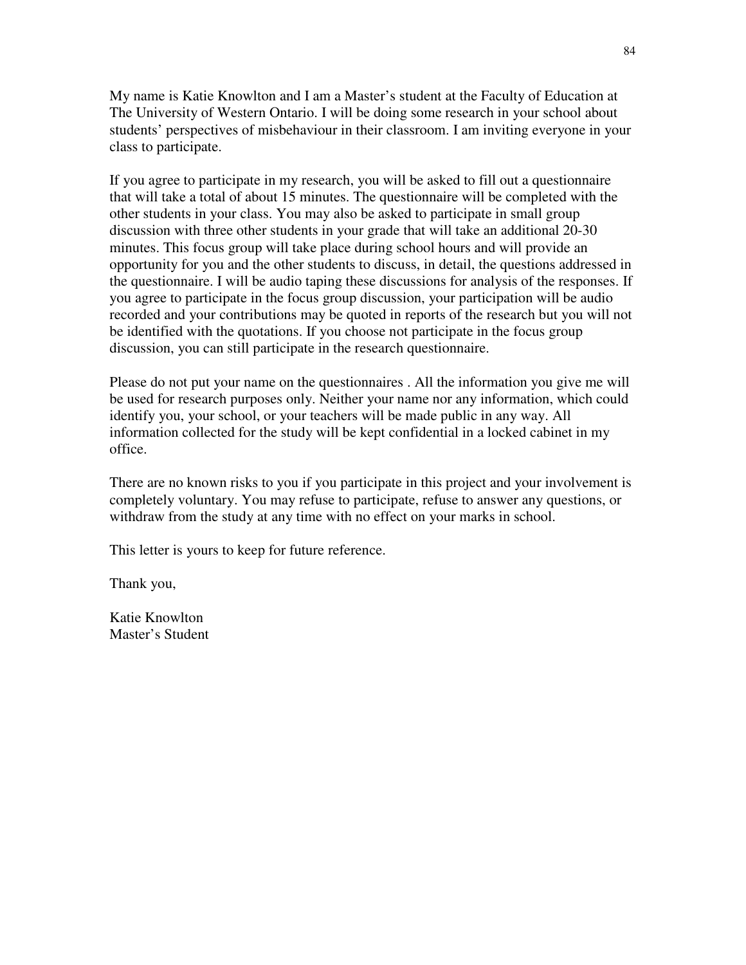My name is Katie Knowlton and I am a Master's student at the Faculty of Education at The University of Western Ontario. I will be doing some research in your school about students' perspectives of misbehaviour in their classroom. I am inviting everyone in your class to participate.

If you agree to participate in my research, you will be asked to fill out a questionnaire that will take a total of about 15 minutes. The questionnaire will be completed with the other students in your class. You may also be asked to participate in small group discussion with three other students in your grade that will take an additional 20-30 minutes. This focus group will take place during school hours and will provide an opportunity for you and the other students to discuss, in detail, the questions addressed in the questionnaire. I will be audio taping these discussions for analysis of the responses. If you agree to participate in the focus group discussion, your participation will be audio recorded and your contributions may be quoted in reports of the research but you will not be identified with the quotations. If you choose not participate in the focus group discussion, you can still participate in the research questionnaire.

Please do not put your name on the questionnaires . All the information you give me will be used for research purposes only. Neither your name nor any information, which could identify you, your school, or your teachers will be made public in any way. All information collected for the study will be kept confidential in a locked cabinet in my office.

There are no known risks to you if you participate in this project and your involvement is completely voluntary. You may refuse to participate, refuse to answer any questions, or withdraw from the study at any time with no effect on your marks in school.

This letter is yours to keep for future reference.

Thank you,

Katie Knowlton Master's Student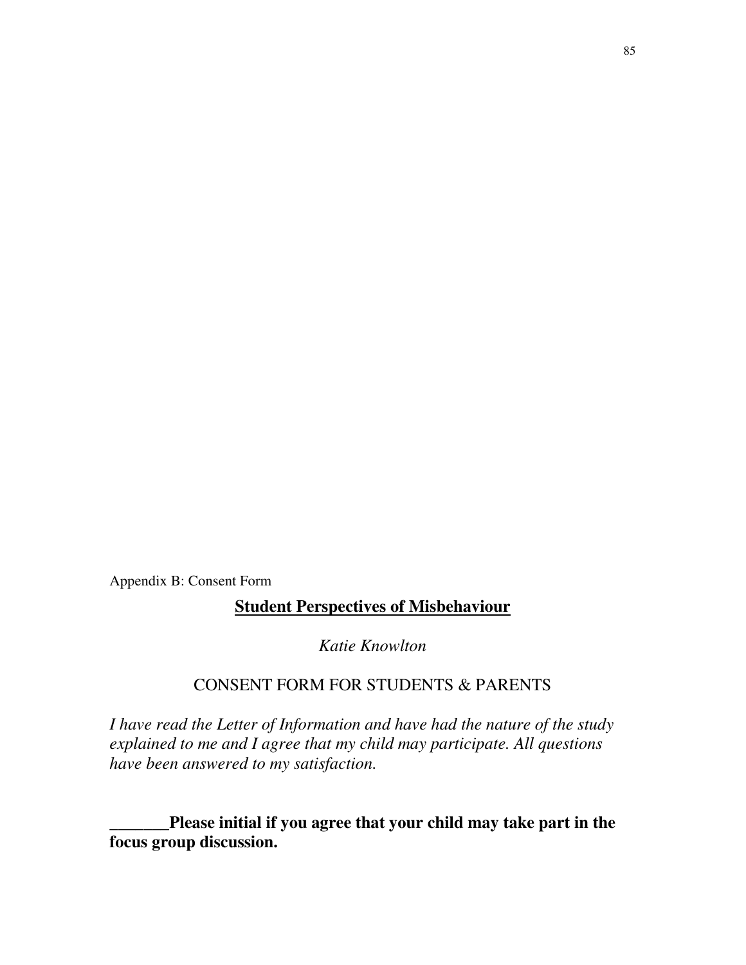Appendix B: Consent Form

# **Student Perspectives of Misbehaviour**

*Katie Knowlton* 

# CONSENT FORM FOR STUDENTS & PARENTS

*I have read the Letter of Information and have had the nature of the study explained to me and I agree that my child may participate. All questions have been answered to my satisfaction.* 

**\_\_\_\_\_\_\_Please initial if you agree that your child may take part in the focus group discussion.**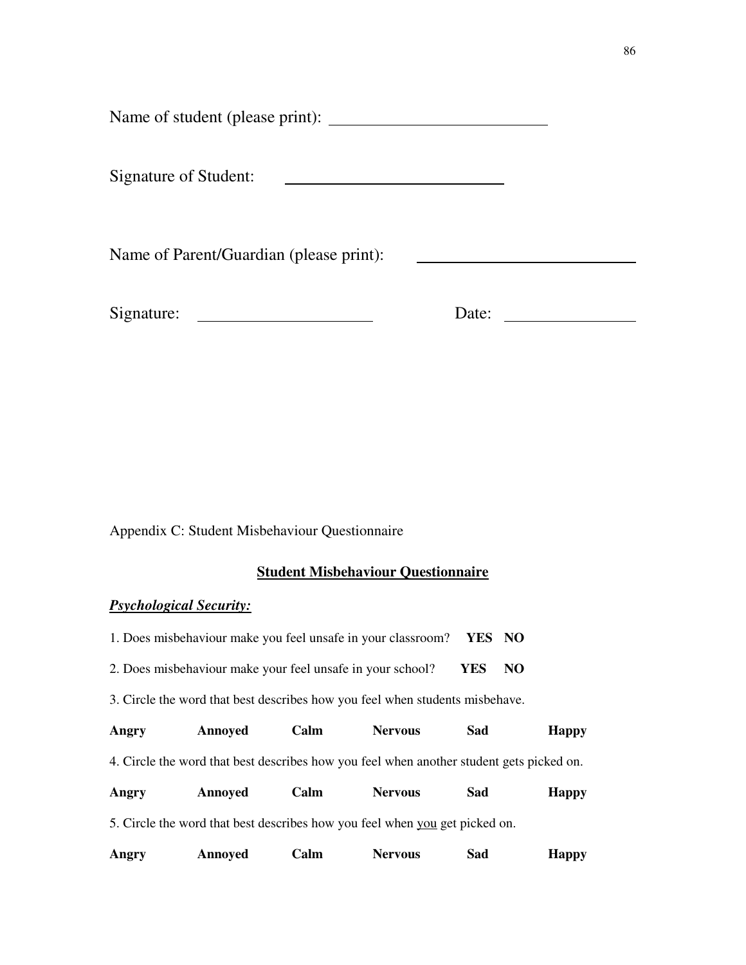Name of student (please print):

Signature of Student: 

Name of Parent/Guardian (please print):

Signature: Date:

Appendix C: Student Misbehaviour Questionnaire

## **Student Misbehaviour Questionnaire**

### *Psychological Security:*

| 1. Does misbehaviour make you feel unsafe in your classroom? YES NO |  |  |
|---------------------------------------------------------------------|--|--|
|---------------------------------------------------------------------|--|--|

- 2. Does misbehaviour make your feel unsafe in your school? **YES NO**
- 3. Circle the word that best describes how you feel when students misbehave.

| Angry | Annoyed | ∑alm | Nervous | Sad | <b>Happy</b> |
|-------|---------|------|---------|-----|--------------|
|       |         |      |         |     |              |

4. Circle the word that best describes how you feel when another student gets picked on.

| Angry | Annoved | <b>Calm</b> | <b>Nervous</b> | Sad | <b>Happy</b> |
|-------|---------|-------------|----------------|-----|--------------|
|       |         |             |                |     |              |

5. Circle the word that best describes how you feel when you get picked on.

| Angry | Annoyed | <b>Calm</b> | Nervous | Sad | <b>Happy</b> |
|-------|---------|-------------|---------|-----|--------------|
|       |         |             |         |     |              |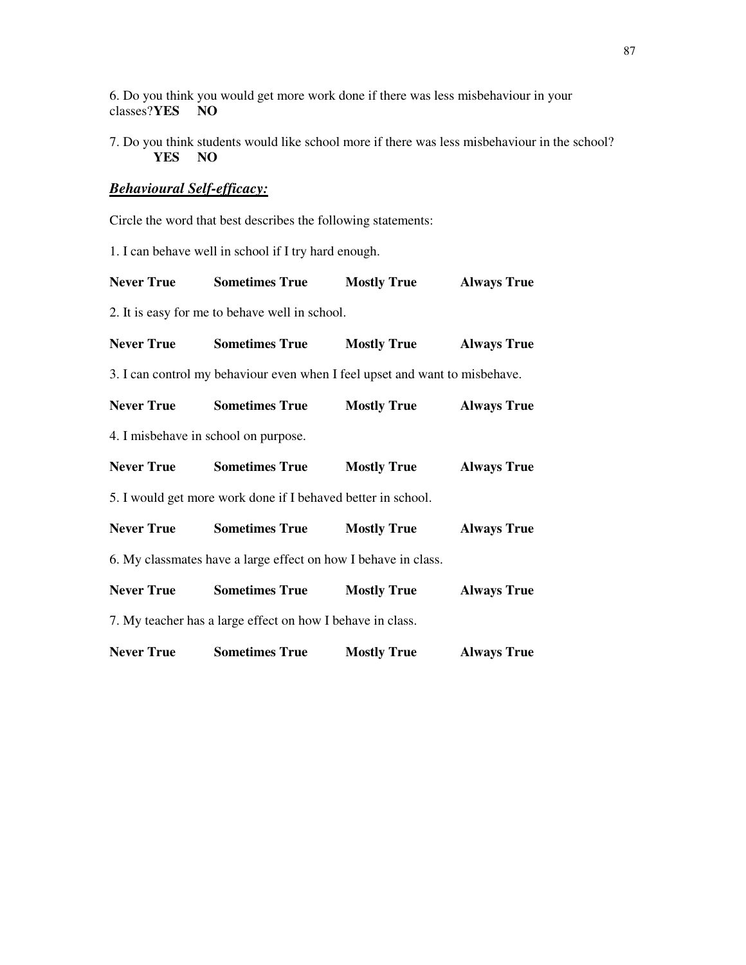6. Do you think you would get more work done if there was less misbehaviour in your classes?**YES** NO

7. Do you think students would like school more if there was less misbehaviour in the school?<br>**YES** NO  $YES$ 

## *Behavioural Self-efficacy:*

Circle the word that best describes the following statements:

1. I can behave well in school if I try hard enough.

| <b>Never True</b>                                              | <b>Sometimes True</b>                                                       | <b>Mostly True</b> | <b>Always True</b> |  |
|----------------------------------------------------------------|-----------------------------------------------------------------------------|--------------------|--------------------|--|
|                                                                | 2. It is easy for me to behave well in school.                              |                    |                    |  |
| <b>Never True</b>                                              | <b>Sometimes True</b>                                                       | <b>Mostly True</b> | <b>Always True</b> |  |
|                                                                | 3. I can control my behaviour even when I feel upset and want to misbehave. |                    |                    |  |
| <b>Never True</b>                                              | <b>Sometimes True</b>                                                       | <b>Mostly True</b> | <b>Always True</b> |  |
| 4. I misbehave in school on purpose.                           |                                                                             |                    |                    |  |
| <b>Never True</b>                                              | <b>Sometimes True</b>                                                       | <b>Mostly True</b> | <b>Always True</b> |  |
| 5. I would get more work done if I behaved better in school.   |                                                                             |                    |                    |  |
| <b>Never True</b>                                              | <b>Sometimes True</b>                                                       | <b>Mostly True</b> | <b>Always True</b> |  |
| 6. My classmates have a large effect on how I behave in class. |                                                                             |                    |                    |  |
| <b>Never True</b>                                              | <b>Sometimes True</b>                                                       | <b>Mostly True</b> | <b>Always True</b> |  |
|                                                                | 7. My teacher has a large effect on how I behave in class.                  |                    |                    |  |
| <b>Never True</b>                                              | <b>Sometimes True</b>                                                       | <b>Mostly True</b> | <b>Always True</b> |  |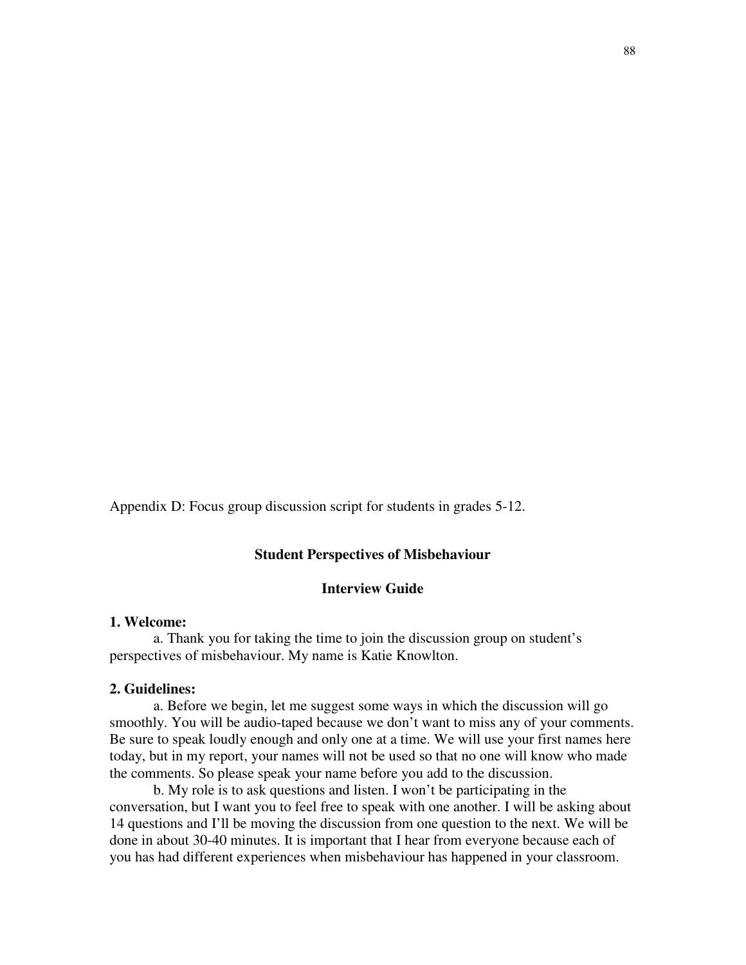Appendix D: Focus group discussion script for students in grades 5-12.

#### **Student Perspectives of Misbehaviour**

#### **Interview Guide**

#### **1. Welcome:**

 a. Thank you for taking the time to join the discussion group on student's perspectives of misbehaviour. My name is Katie Knowlton.

#### **2. Guidelines:**

 a. Before we begin, let me suggest some ways in which the discussion will go smoothly. You will be audio-taped because we don't want to miss any of your comments. Be sure to speak loudly enough and only one at a time. We will use your first names here today, but in my report, your names will not be used so that no one will know who made the comments. So please speak your name before you add to the discussion.

 b. My role is to ask questions and listen. I won't be participating in the conversation, but I want you to feel free to speak with one another. I will be asking about 14 questions and I'll be moving the discussion from one question to the next. We will be done in about 30-40 minutes. It is important that I hear from everyone because each of you has had different experiences when misbehaviour has happened in your classroom.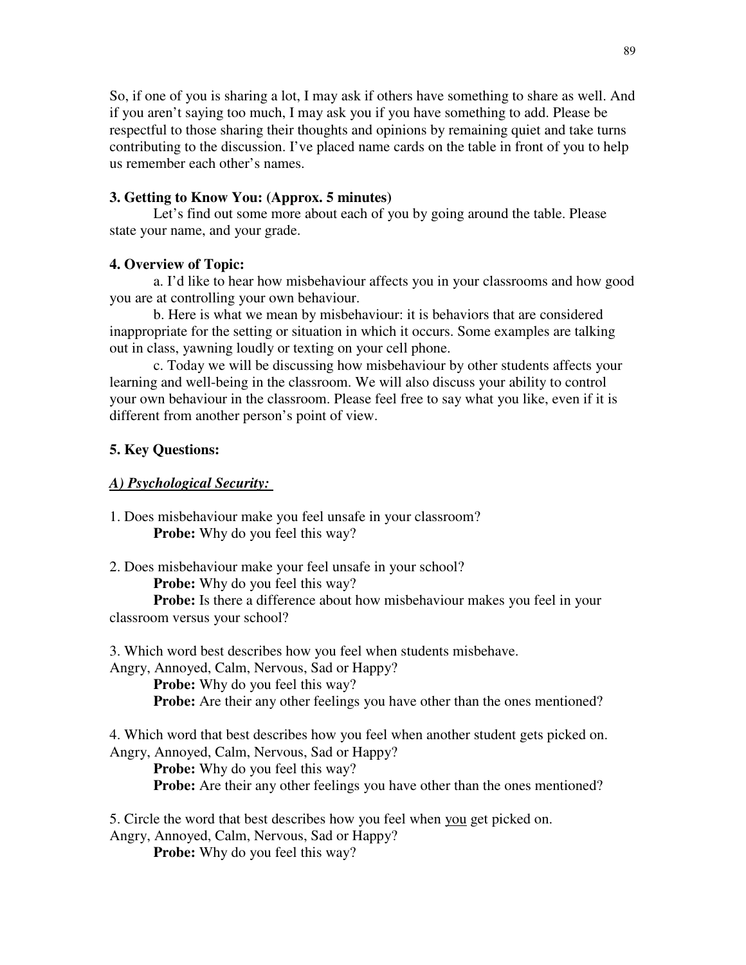So, if one of you is sharing a lot, I may ask if others have something to share as well. And if you aren't saying too much, I may ask you if you have something to add. Please be respectful to those sharing their thoughts and opinions by remaining quiet and take turns contributing to the discussion. I've placed name cards on the table in front of you to help us remember each other's names.

#### **3. Getting to Know You: (Approx. 5 minutes)**

Let's find out some more about each of you by going around the table. Please state your name, and your grade.

#### **4. Overview of Topic:**

 a. I'd like to hear how misbehaviour affects you in your classrooms and how good you are at controlling your own behaviour.

 b. Here is what we mean by misbehaviour: it is behaviors that are considered inappropriate for the setting or situation in which it occurs. Some examples are talking out in class, yawning loudly or texting on your cell phone.

 c. Today we will be discussing how misbehaviour by other students affects your learning and well-being in the classroom. We will also discuss your ability to control your own behaviour in the classroom. Please feel free to say what you like, even if it is different from another person's point of view.

#### **5. Key Questions:**

#### *A) Psychological Security:*

1. Does misbehaviour make you feel unsafe in your classroom? **Probe:** Why do you feel this way?

2. Does misbehaviour make your feel unsafe in your school?

**Probe:** Why do you feel this way?

**Probe:** Is there a difference about how misbehaviour makes you feel in your classroom versus your school?

3. Which word best describes how you feel when students misbehave.

Angry, Annoyed, Calm, Nervous, Sad or Happy?

**Probe:** Why do you feel this way? **Probe:** Are their any other feelings you have other than the ones mentioned?

4. Which word that best describes how you feel when another student gets picked on. Angry, Annoyed, Calm, Nervous, Sad or Happy?

**Probe:** Why do you feel this way?

**Probe:** Are their any other feelings you have other than the ones mentioned?

5. Circle the word that best describes how you feel when you get picked on. Angry, Annoyed, Calm, Nervous, Sad or Happy?

**Probe:** Why do you feel this way?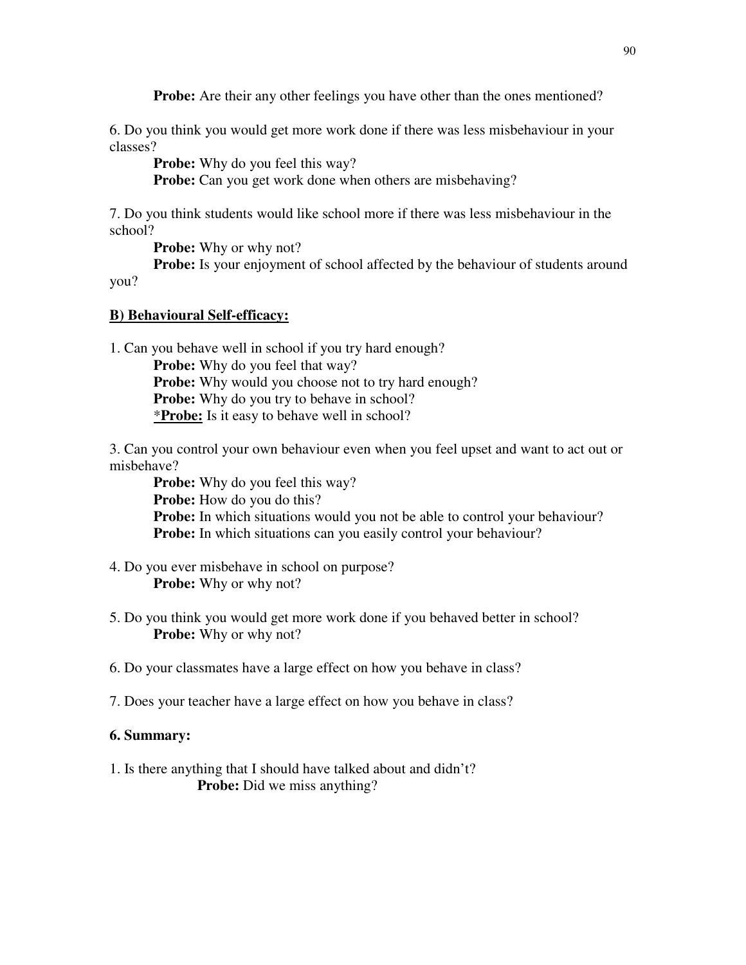**Probe:** Are their any other feelings you have other than the ones mentioned?

6. Do you think you would get more work done if there was less misbehaviour in your classes?

**Probe:** Why do you feel this way?

**Probe:** Can you get work done when others are misbehaving?

7. Do you think students would like school more if there was less misbehaviour in the school?

**Probe:** Why or why not?

**Probe:** Is your enjoyment of school affected by the behaviour of students around you?

**B) Behavioural Self-efficacy:**

1. Can you behave well in school if you try hard enough?

**Probe:** Why do you feel that way? **Probe:** Why would you choose not to try hard enough? **Probe:** Why do you try to behave in school? \***Probe:** Is it easy to behave well in school?

3. Can you control your own behaviour even when you feel upset and want to act out or misbehave?

**Probe:** Why do you feel this way? **Probe:** How do you do this? **Probe:** In which situations would you not be able to control your behaviour? **Probe:** In which situations can you easily control your behaviour?

- 4. Do you ever misbehave in school on purpose? **Probe:** Why or why not?
- 5. Do you think you would get more work done if you behaved better in school? **Probe:** Why or why not?
- 6. Do your classmates have a large effect on how you behave in class?
- 7. Does your teacher have a large effect on how you behave in class?

#### **6. Summary:**

1. Is there anything that I should have talked about and didn't? **Probe:** Did we miss anything?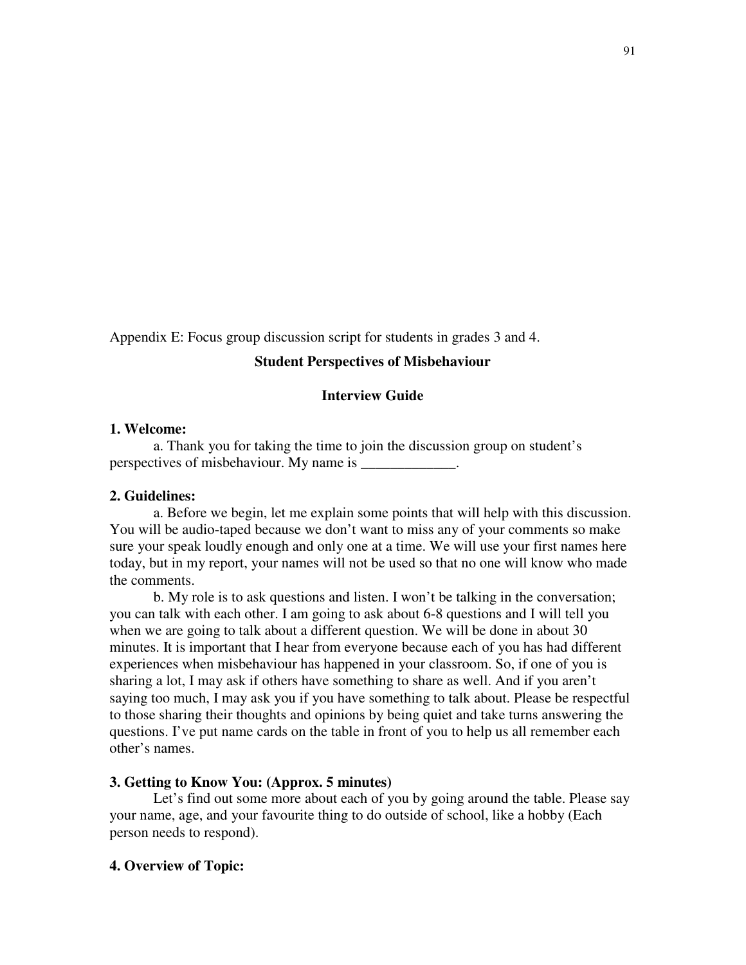Appendix E: Focus group discussion script for students in grades 3 and 4.

### **Student Perspectives of Misbehaviour**

### **Interview Guide**

#### **1. Welcome:**

 a. Thank you for taking the time to join the discussion group on student's perspectives of misbehaviour. My name is \_\_\_\_\_\_\_\_\_\_\_\_\_.

#### **2. Guidelines:**

 a. Before we begin, let me explain some points that will help with this discussion. You will be audio-taped because we don't want to miss any of your comments so make sure your speak loudly enough and only one at a time. We will use your first names here today, but in my report, your names will not be used so that no one will know who made the comments.

 b. My role is to ask questions and listen. I won't be talking in the conversation; you can talk with each other. I am going to ask about 6-8 questions and I will tell you when we are going to talk about a different question. We will be done in about 30 minutes. It is important that I hear from everyone because each of you has had different experiences when misbehaviour has happened in your classroom. So, if one of you is sharing a lot, I may ask if others have something to share as well. And if you aren't saying too much, I may ask you if you have something to talk about. Please be respectful to those sharing their thoughts and opinions by being quiet and take turns answering the questions. I've put name cards on the table in front of you to help us all remember each other's names.

#### **3. Getting to Know You: (Approx. 5 minutes)**

Let's find out some more about each of you by going around the table. Please say your name, age, and your favourite thing to do outside of school, like a hobby (Each person needs to respond).

#### **4. Overview of Topic:**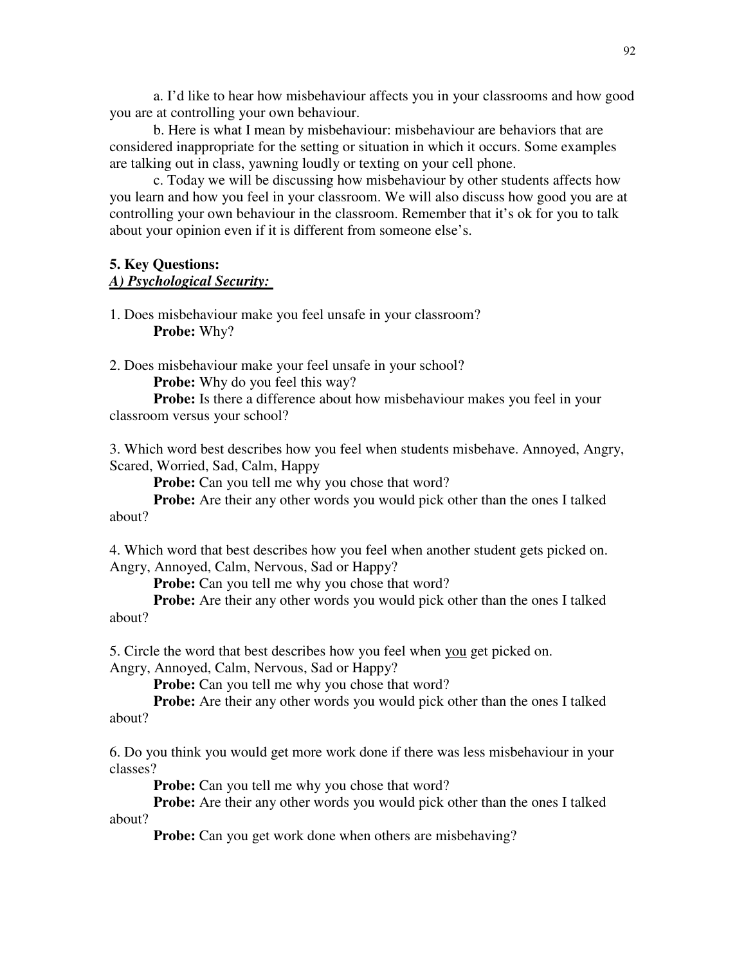a. I'd like to hear how misbehaviour affects you in your classrooms and how good you are at controlling your own behaviour.

 b. Here is what I mean by misbehaviour: misbehaviour are behaviors that are considered inappropriate for the setting or situation in which it occurs. Some examples are talking out in class, yawning loudly or texting on your cell phone.

 c. Today we will be discussing how misbehaviour by other students affects how you learn and how you feel in your classroom. We will also discuss how good you are at controlling your own behaviour in the classroom. Remember that it's ok for you to talk about your opinion even if it is different from someone else's.

### **5. Key Questions:**  *A) Psychological Security:*

1. Does misbehaviour make you feel unsafe in your classroom?  **Probe:** Why?

2. Does misbehaviour make your feel unsafe in your school?

**Probe:** Why do you feel this way?

**Probe:** Is there a difference about how misbehaviour makes you feel in your classroom versus your school?

3. Which word best describes how you feel when students misbehave. Annoyed, Angry, Scared, Worried, Sad, Calm, Happy

**Probe:** Can you tell me why you chose that word?

**Probe:** Are their any other words you would pick other than the ones I talked about?

4. Which word that best describes how you feel when another student gets picked on. Angry, Annoyed, Calm, Nervous, Sad or Happy?

**Probe:** Can you tell me why you chose that word?

**Probe:** Are their any other words you would pick other than the ones I talked about?

5. Circle the word that best describes how you feel when you get picked on.

Angry, Annoyed, Calm, Nervous, Sad or Happy?

**Probe:** Can you tell me why you chose that word?

**Probe:** Are their any other words you would pick other than the ones I talked about?

6. Do you think you would get more work done if there was less misbehaviour in your classes?

**Probe:** Can you tell me why you chose that word?

**Probe:** Are their any other words you would pick other than the ones I talked about?

**Probe:** Can you get work done when others are misbehaving?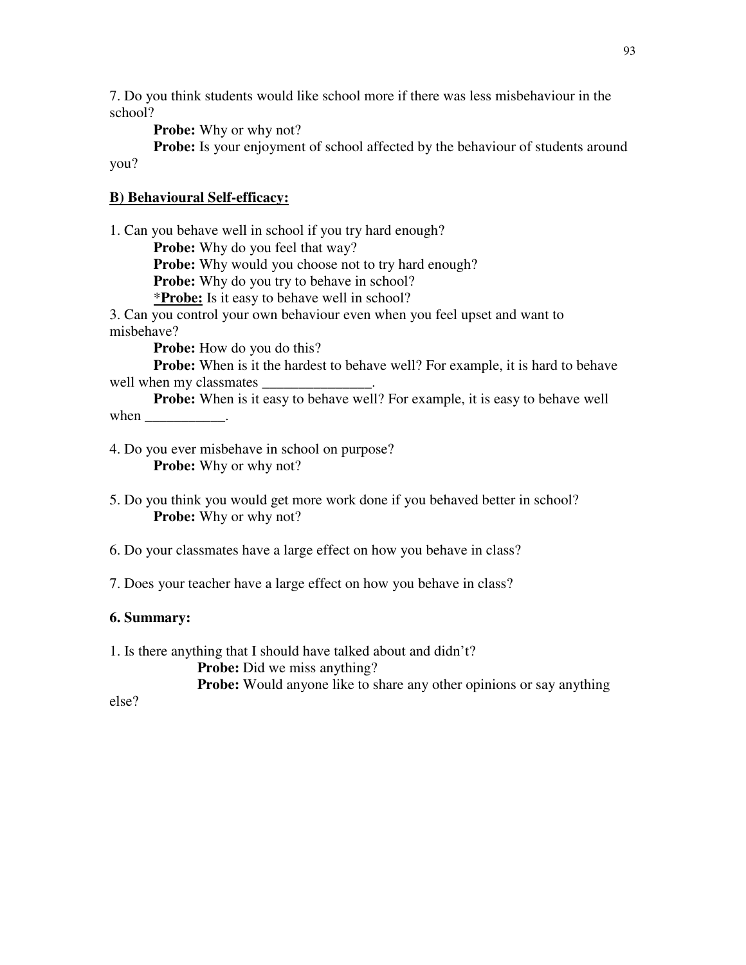7. Do you think students would like school more if there was less misbehaviour in the school?

**Probe:** Why or why not?

**Probe:** Is your enjoyment of school affected by the behaviour of students around you?

# **B) Behavioural Self-efficacy:**

1. Can you behave well in school if you try hard enough? **Probe:** Why do you feel that way? **Probe:** Why would you choose not to try hard enough? **Probe:** Why do you try to behave in school? \***Probe:** Is it easy to behave well in school? 3. Can you control your own behaviour even when you feel upset and want to misbehave? **Probe:** How do you do this? **Probe:** When is it the hardest to behave well? For example, it is hard to behave well when my classmates \_ **Probe:** When is it easy to behave well? For example, it is easy to behave well when

4. Do you ever misbehave in school on purpose? **Probe:** Why or why not?

5. Do you think you would get more work done if you behaved better in school? **Probe:** Why or why not?

6. Do your classmates have a large effect on how you behave in class?

7. Does your teacher have a large effect on how you behave in class?

## **6. Summary:**

1. Is there anything that I should have talked about and didn't?

**Probe:** Did we miss anything?

**Probe:** Would anyone like to share any other opinions or say anything

else?